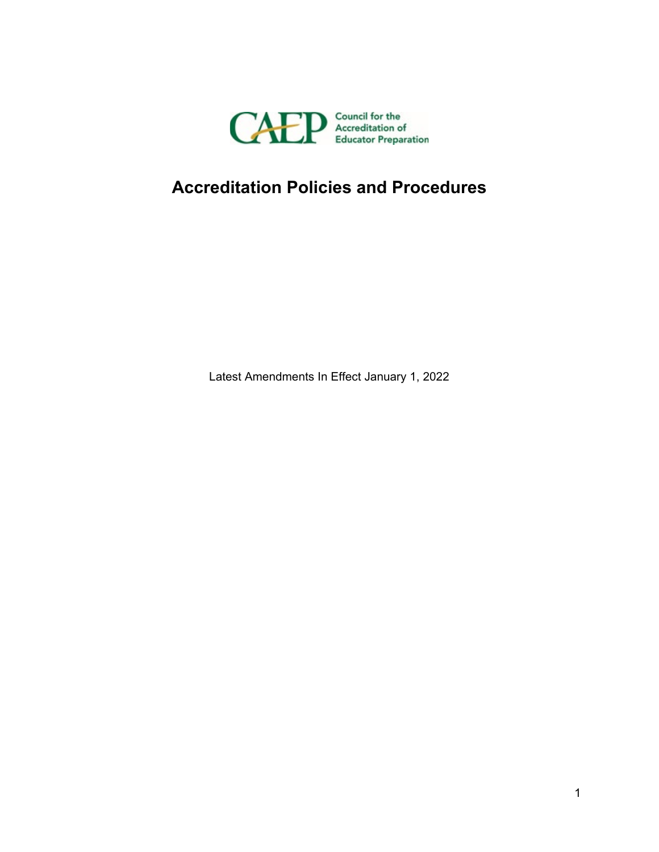

# **Accreditation Policies and Procedures**

Latest Amendments In Effect January 1, 2022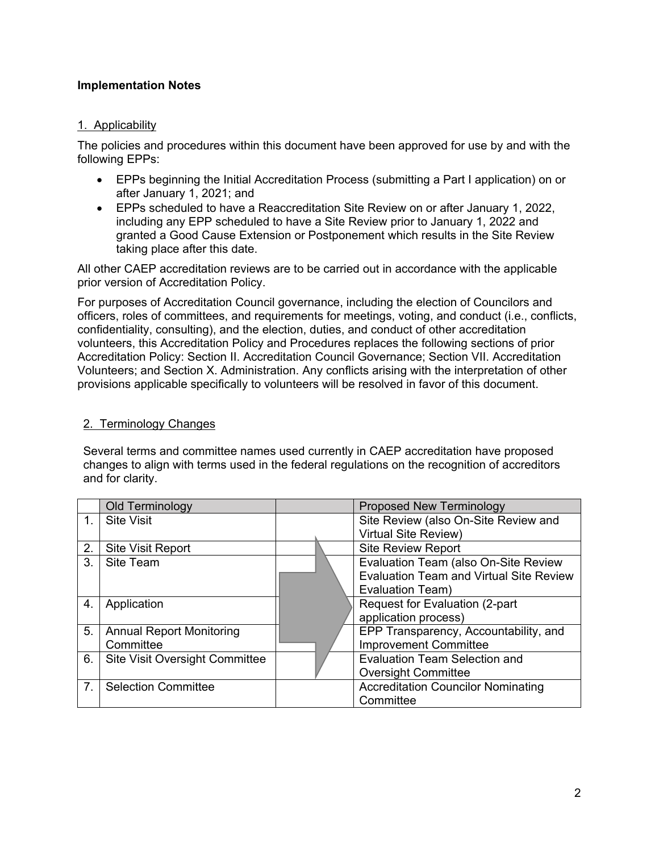## **Implementation Notes**

## 1. Applicability

The policies and procedures within this document have been approved for use by and with the following EPPs:

- EPPs beginning the Initial Accreditation Process (submitting a Part I application) on or after January 1, 2021; and
- EPPs scheduled to have a Reaccreditation Site Review on or after January 1, 2022, including any EPP scheduled to have a Site Review prior to January 1, 2022 and granted a Good Cause Extension or Postponement which results in the Site Review taking place after this date.

All other CAEP accreditation reviews are to be carried out in accordance with the applicable prior version of Accreditation Policy.

For purposes of Accreditation Council governance, including the election of Councilors and officers, roles of committees, and requirements for meetings, voting, and conduct (i.e., conflicts, confidentiality, consulting), and the election, duties, and conduct of other accreditation volunteers, this Accreditation Policy and Procedures replaces the following sections of prior Accreditation Policy: Section II. Accreditation Council Governance; Section VII. Accreditation Volunteers; and Section X. Administration. Any conflicts arising with the interpretation of other provisions applicable specifically to volunteers will be resolved in favor of this document.

#### 2. Terminology Changes

Several terms and committee names used currently in CAEP accreditation have proposed changes to align with terms used in the federal regulations on the recognition of accreditors and for clarity.

|    | Old Terminology                       |                                                | <b>Proposed New Terminology</b>      |
|----|---------------------------------------|------------------------------------------------|--------------------------------------|
|    | <b>Site Visit</b>                     |                                                | Site Review (also On-Site Review and |
|    |                                       |                                                | <b>Virtual Site Review)</b>          |
| 2. | <b>Site Visit Report</b>              |                                                | <b>Site Review Report</b>            |
| 3. | <b>Site Team</b>                      | Evaluation Team (also On-Site Review           |                                      |
|    |                                       | <b>Evaluation Team and Virtual Site Review</b> |                                      |
|    |                                       |                                                | Evaluation Team)                     |
| 4. | Application                           | Request for Evaluation (2-part                 |                                      |
|    |                                       |                                                | application process)                 |
| 5. | <b>Annual Report Monitoring</b>       | EPP Transparency, Accountability, and          |                                      |
|    | Committee                             |                                                | <b>Improvement Committee</b>         |
| 6. | <b>Site Visit Oversight Committee</b> |                                                | <b>Evaluation Team Selection and</b> |
|    |                                       |                                                | <b>Oversight Committee</b>           |
| 7. | <b>Selection Committee</b>            | <b>Accreditation Councilor Nominating</b>      |                                      |
|    |                                       |                                                | Committee                            |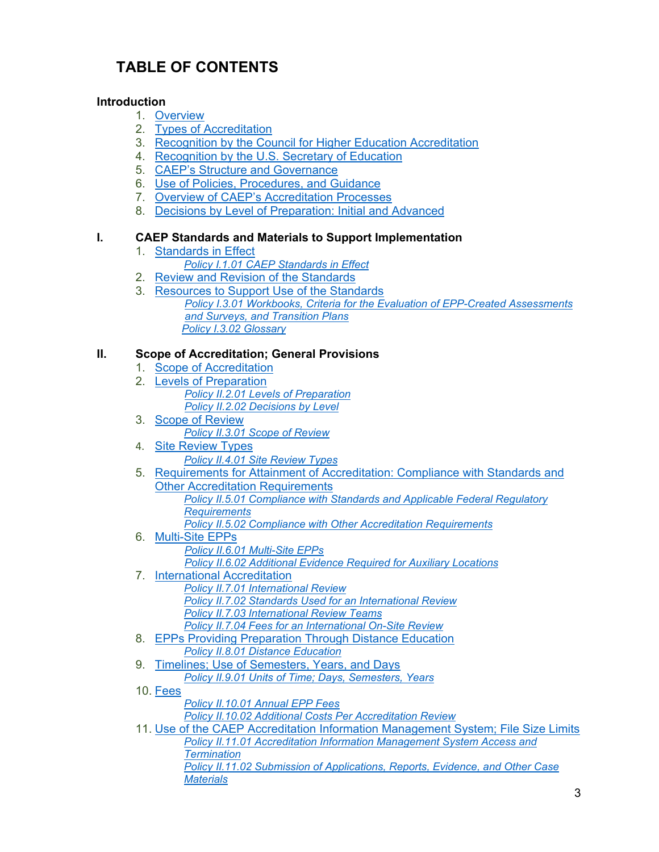## **TABLE OF CONTENTS**

## **Introduction**

- 1. [Overview](#page-7-0)
- 2. [Types of Accreditation](#page-7-1)
- 3. [Recognition by the Council for Higher Education Accreditation](#page-7-2)
- 4. [Recognition by the U.S. Secretary of Education](#page-8-0)
- 5. CAEP's [Structure and Governance](#page-8-1)
- 6. [Use of Policies, Procedures, and Guidance](#page-8-2)
- 7. [Overview of CAEP's Accreditation Processes](#page-9-0)
- 8. [Decisions by Level of Preparation: Initial and Advanced](#page-10-0)

## **I. CAEP Standards and Materials to Support Implementation**

- 1. [Standards in Effect](#page-11-0)
	- *Policy I.1.01 [CAEP Standards in Effect](#page-11-1)*
- 2. [Review and Revision of the Standards](#page-11-2)
- 3. [Resources to Support Use of the Standards](#page-12-0) *[Policy I.3.01 Workbooks, Criteria for the Evaluation of EPP-Created Assessments](#page-12-1)   [and Surveys, and Transition Plans](#page-12-1) [Policy I.3.02 Glossary](#page-13-0)*

## **II. Scope of Accreditation; General Provisions**

- 1. [Scope of Accreditation](#page-13-1)
- 2. [Levels of Preparation](#page-13-2) *Policy II.2.01 [Levels of Preparation](#page-13-3) Policy II.2.02 [Decisions by Level](#page-14-0)*
- 3. [Scope of Review](#page-14-1) *Policy II.3.01 [Scope of Review](#page-14-2)*
- 4. [Site Review](#page-15-0) Types *Policy II.4.01 [Site Review](#page-15-1) Types*
- 5. [Requirements for Attainment of Accreditation: Compliance with Standards and](#page-16-0)  **[Other Accreditation Requirements](#page-16-0)** *Policy II.5.01 Compliance with Standards [and Applicable Federal Regulatory](#page-16-1)* 
	- *[Requirements](#page-16-1)*
	- *Policy II.5.02 [Compliance with Other Accreditation Requirements](#page-16-2)*
- 6. [Multi-Site EPPs](#page-17-0) *Policy II.6.01 [Multi-Site EPPs](#page-17-1) Policy II.6.02 [Additional Evidence Required for Auxiliary Locations](#page-19-0)*
- 7. [International Accreditation](#page-19-1) *Policy II.7.01 [International Review](#page-19-2)*
	- *Policy II.7.02 [Standards Used for an International Review](#page-20-0)*
	- *Policy II.7.03 [International Review Teams](#page-20-1)*
	- *Policy II.7.04 [Fees for an International On-Site Review](#page-20-2)*
- 8. [EPPs Providing Preparation Through Distance Education](#page-20-3) *Policy II.8.01 [Distance Education](#page-20-4)*
- 9. Timelines; [Use of Semesters, Years, and Days](#page-21-0)
	- *Policy II.9.01 [Units of Time; Days, Semesters, Years](#page-21-1)*
- 10. [Fees](#page-21-2)
	- *Policy [II.10.01 Annual EPP Fees](#page-21-3) [Policy II.10.02 Additional Costs Per Accreditation Review](#page-22-0)*
- 11. [Use of the CAEP Accreditation Information Management System; File Size Limits](#page-22-1) *Policy II.11.01 [Accreditation Information Management System Access](#page-22-2) and [Termination](#page-22-2) Policy II.11.02 [Submission of Applications, Reports, Evidence, and Other Case](#page-23-0)  [Materials](#page-23-0)*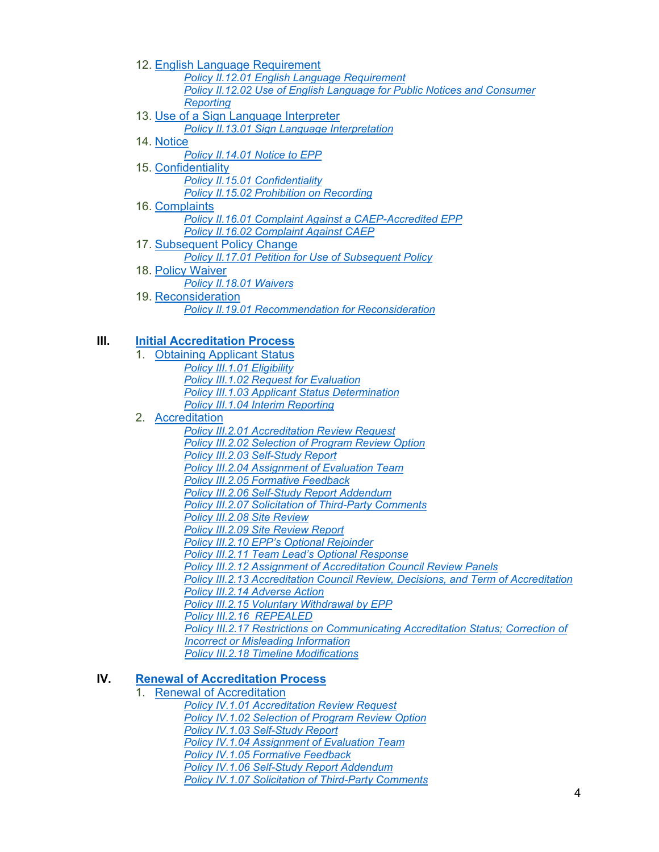- 12. [English Language Requirement](#page-23-1) *Policy II.12.01 [English Language Requirement](#page-23-2) Policy II.12.02 [Use of English Language for Public Notices and Consumer](#page-23-3)  [Reporting](#page-23-3)*
- 13. [Use of a Sign Language Interpreter](#page-23-4) *[Policy II.13.01 Sign Language Interpretation](#page-23-5)*
- 14. [Notice](#page-24-0)

*Policy II.14.01 [Notice to EPP](#page-24-1)*

15. [Confidentiality](#page-24-2) *Policy II.15.01 [Confidentiality](#page-24-3)*

*Policy II.15.02 [Prohibition on Recording](#page-25-0)*

16. [Complaints](#page-25-1)

*Policy II.16.01 [Complaint Against a CAEP-Accredited EPP](#page-25-2)*

- *Policy II.16.02 [Complaint Against CAEP](#page-25-3)*
- 17. [Subsequent Policy Change](#page-26-0)

*Policy II.17.01 [Petition for Use of Subsequent Policy](#page-26-1)*

18. [Policy Waiver](#page-26-2) *Policy II.18.01 [Waivers](#page-26-3)* 19. [Reconsideration](#page-27-0) *Policy II.19.01 [Recommendation for Reconsideration](#page-27-1)*

## **III. [Initial Accreditation Process](#page-28-0)**

- 1. [Obtaining Applicant Status](#page-28-1)
	- *Policy III.1.01 [Eligibility](#page-28-2) Policy III.1.02 [Request for Evaluation](#page-29-0) Policy III.1.03 [Applicant Status Determination](#page-29-1) Policy III.1.04 [Interim Reporting](#page-30-0)*
- 2. [Accreditation](#page-30-1)
	- *Policy III.2.01 [Accreditation Review Request](#page-30-2) Policy III.2.02 [Selection of Program Review Option](#page-29-0) Policy III.2.03 [Self-Study](#page-29-1) Report Policy III.2.04 [Assignment of Evaluation Team](#page-32-0) Policy III.2.05 [Formative Feedback](#page-32-1) Policy III.2.06 [Self-Study Report](#page-32-2) Addendum Policy III.2.07 [Solicitation of Third-Party Comments](#page-33-0) Policy III.2.08 [Site Review](#page-33-1) Policy III.2.09 [Site Review Report](#page-34-0) Policy III.2.10 [EPP's Optional Rejoinder](#page-34-1) Policy III.2.11 [Team Lead's Optional Response](#page-34-2) Policy III.2.12 [Assignment of Accreditation Council Review Panels](#page-35-0) Policy III.2.13 [Accreditation Council Review, Decisions, and Term of Accreditation](#page-35-1) Policy III.2.14 [Adverse Action](#page-38-0) Policy III.2.15 [Voluntary Withdrawal by EPP](#page-38-1) Policy [III.2.16](#page-38-2) REPEALED Policy III.2.17 [Restrictions on Communicating Accreditation](#page-39-0) Status; Correction of Incorrect or Misleading Information Policy III.2.18 [Timeline Modifications](#page-39-1)*

## **IV. [Renewal of Accreditation Process](#page-40-0)**

1. [Renewal of Accreditation](#page-40-1)

*Policy IV.1.01 [Accreditation Review Request](#page-40-2)*

*Policy IV.1.02 [Selection of Program Review Option](#page-40-3)*

*Policy IV.1.03 [Self-Study](#page-41-0) Report*

*Policy IV.1.04 [Assignment of Evaluation Team](#page-42-0)*

*Policy IV.1.05 [Formative Feedback](#page-42-1)*

*Policy IV.1.06 [Self-Study Report](#page-42-2) Addendum*

*Policy IV.1.07 [Solicitation of Third-Party Comments](#page-42-3)*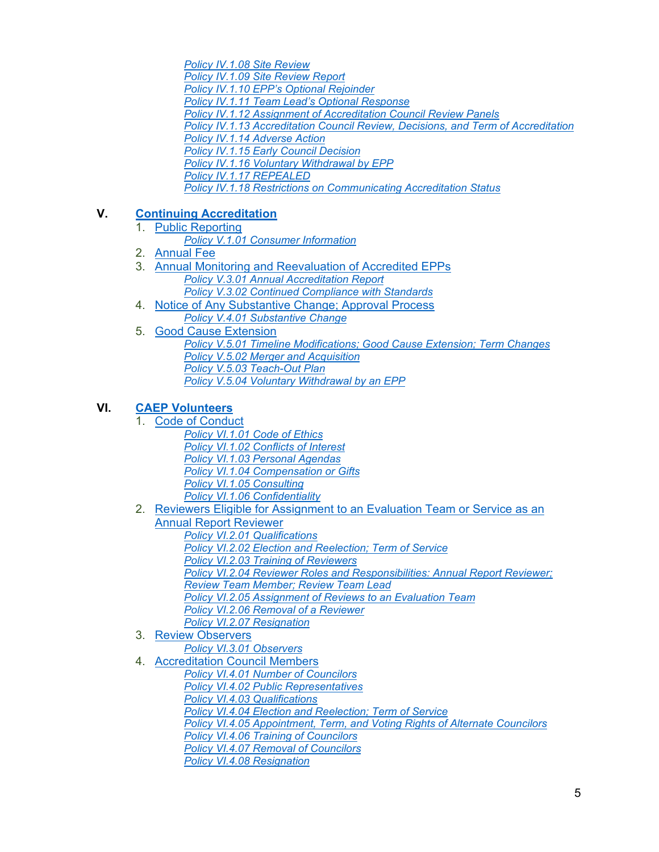*Policy IV.1.08 [Site Review](#page-43-0) Policy IV.1.09 [Site Review Report](#page-43-1) Policy IV.1.10 [EPP's Optional Rejoinder](#page-44-0) Policy IV.1.11 [Team Lead's Optional Response](#page-44-1) Policy IV.1.12 [Assignment of Accreditation Council Review Panels](#page-44-2) Policy IV.1.13 [Accreditation Council Review, Decisions, and Term of Accreditation](#page-45-0) Policy IV.1.14 [Adverse Action](#page-47-0) Policy IV.1.15 [Early Council Decision](#page-47-1) Policy IV.1.16 [Voluntary Withdrawal by EPP](#page-48-0) Policy [IV.1.17](#page-48-1) REPEALED Policy IV.1.18 [Restrictions on Communicating Accreditation Status](#page-48-2)*

## **V. [Continuing Accreditation](#page-50-0)**

- 1. [Public Reporting](#page-50-1) *Policy V.1.01 [Consumer Information](#page-50-2)*
- 2. [Annual Fee](#page-50-3)
- 3. [Annual Monitoring and Reevaluation of Accredited EPPs](#page-50-4) *Policy V.3.01 Annual Accreditation Report*
	- *Policy V.3.02 [Continued Compliance with Standards](#page-51-0)*
- 4. [Notice of Any Substantive Change; Approval Process](#page-51-1) *Policy V.4.01 [Substantive Change](#page-52-0)*
- 5. [Good Cause Extension](#page-53-0)
	- *Policy V.5.01 Timeline Modifications; [Good Cause Extension;](#page-53-1) Term Changes Policy V.5.02 [Merger and Acquisition](#page-54-0) Policy V.5.03 [Teach-Out Plan](#page-54-1) Policy V.5.04 [Voluntary Withdrawal by an EPP](#page-55-0)*

## **VI. [CAEP Volunteers](#page-56-0)**

- 1. [Code of Conduct](#page-56-1)
	- *Policy VI.1.01 [Code of Ethics](#page-56-2) Policy VI.1.02 [Conflicts of Interest](#page-57-0) Policy VI.1.03 [Personal Agendas](#page-59-0) Policy VI.1.04 [Compensation or Gifts](#page-59-1) Policy VI.1.05 [Consulting](#page-59-2)*
- *Policy VI.1.06 [Confidentiality](#page-59-3)* 2. [Reviewers Eligible for Assignment to an](#page-59-4) Evaluation Team or Service as an
	- [Annual Report Reviewer](#page-59-4) *Policy VI.2.01 [Qualifications](#page-60-0) Policy VI.2.02 [Election and Reelection; Term of Service](#page-60-1) Policy VI.2.03 [Training of Reviewers](#page-60-2) Policy VI.2.04 [Reviewer Roles and Responsibilities: Annual Report Reviewer;](#page-61-0)  Review [Team Member; Review](#page-61-0) Team Lead Policy VI.2.05 [Assignment of Reviews to an Evaluation](#page-62-0) Team Policy VI.2.06 [Removal of a Reviewer](#page-63-0) Policy VI.2.07 [Resignation](#page-63-1)*
- 3. [Review Observers](#page-64-0)
	- *Policy VI.3.01 [Observers](#page-64-1)*
- 4. [Accreditation Council Members](#page-64-2)
	- *Policy VI.4.01 [Number of Councilors](#page-64-3)*
	- *Policy VI.4.02 [Public Representatives](#page-65-0)*
	- *Policy VI.4.03 [Qualifications](#page-65-1)*
	- *Policy VI.4.04 [Election and Reelection; Term of Service](#page-66-0)*
	- *Policy VI.4.05 [Appointment, Term, and Voting Rights of Alternate Councilors](#page-66-1)*
	- *Policy VI.4.06 [Training of Councilors](#page-67-0)*
	- *Policy VI.4.07 [Removal of Councilors](#page-67-1)*
	- *Policy VI.4.08 [Resignation](#page-67-2)*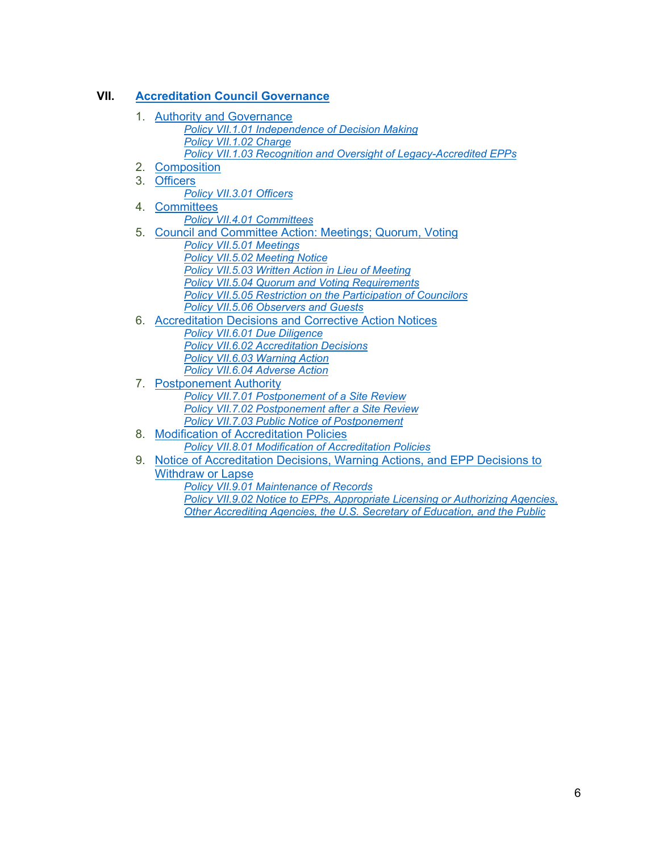## **VII. [Accreditation Council](#page-68-0) Governance**

- 1. [Authority and Governance](#page-68-1) *Policy VII.1.01 [Independence of Decision Making](#page-68-2) Policy [VII.1.02](#page-68-3) Charge Policy VII.1.03 [Recognition and Oversight of Legacy-Accredited EPPs](#page-68-4)*
- 2. [Composition](#page-69-0)
- 3. [Officers](#page-69-1)
	- *Policy VII.3.01 [Officers](#page-69-2)*
- 4. [Committees](#page-69-3)
	- *Policy VII.4.01 [Committees](#page-69-4)*
- 5. [Council and Committee Action: Meetings; Quorum,](#page-71-0) Voting
	- *Policy VII.5.01 [Meetings](#page-69-4)*
	- *Policy VII.5.02 [Meeting Notice](#page-72-0)*
	- *Policy VII.5.03 [Written Action in Lieu of Meeting](#page-72-1)*
	- *Policy VII.5.04 [Quorum and Voting Requirements](#page-72-2)*
	- *Policy VII.5.05 [Restriction on the Participation of Councilors](#page-72-3)*
	- *Policy VII.5.06 [Observers and Guests](#page-73-0)*
- 6. [Accreditation Decisions and Corrective Action Notices](#page-73-1)
	- *Policy VII.6.01 [Due Diligence](#page-73-2) Policy VII.6.02 [Accreditation Decisions](#page-73-3) Policy VII.6.03 [Warning Action](#page-74-0)*
- *Policy VII.6.04 [Adverse Action](#page-74-1)* 7. [Postponement Authority](#page-75-0) *Policy VII.7.01 [Postponement of a Site Review](#page-75-1) Policy VII.7.02 [Postponement after a Site Review](#page-75-2)*
	- *[Policy VII.7.03 Public Notice of Postponement](#page-75-3)*
- 8. [Modification of Accreditation Policies](#page-75-4) *Policy VII.8.01 [Modification of Accreditation Policies](#page-75-5)*
- 9. [Notice](#page-76-0) of Accreditation Decisions, Warning Actions, and EPP Decisions to Withdraw or Lapse
	- *Policy VII.9.01 [Maintenance of Records](#page-76-1)*
	- *Policy VII.9.02 Notice to EPPs, Appropriate Licensing or Authorizing Agencies, Other Accrediting Agencies, the U.S. Secretary of Education, and the Public*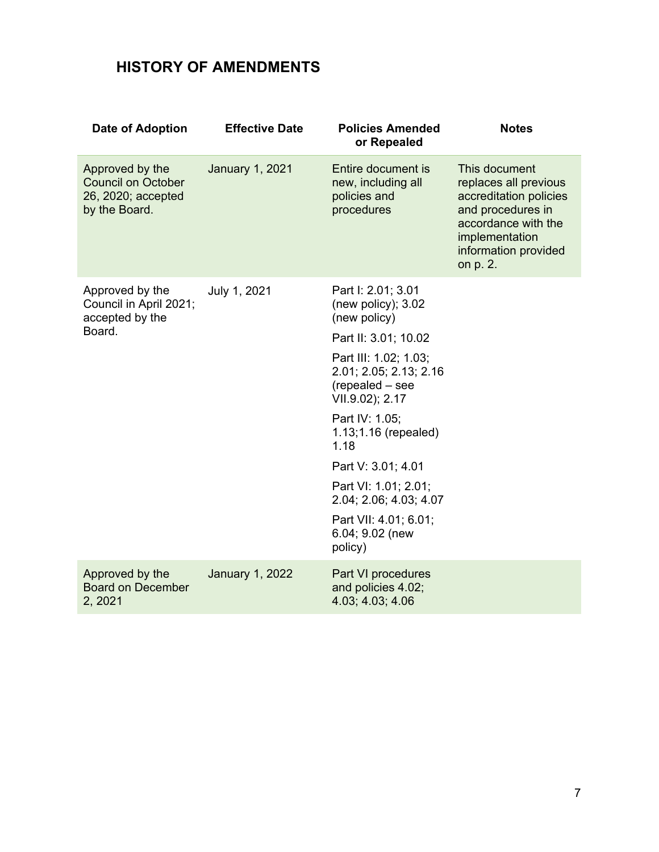## **HISTORY OF AMENDMENTS**

| <b>Date of Adoption</b>                                                             | <b>Effective Date</b>  | <b>Policies Amended</b><br>or Repealed                                                | <b>Notes</b>                                                                                                                                                       |
|-------------------------------------------------------------------------------------|------------------------|---------------------------------------------------------------------------------------|--------------------------------------------------------------------------------------------------------------------------------------------------------------------|
| Approved by the<br><b>Council on October</b><br>26, 2020; accepted<br>by the Board. | <b>January 1, 2021</b> | Entire document is<br>new, including all<br>policies and<br>procedures                | This document<br>replaces all previous<br>accreditation policies<br>and procedures in<br>accordance with the<br>implementation<br>information provided<br>on p. 2. |
| Approved by the<br>Council in April 2021;<br>accepted by the                        | July 1, 2021           | Part I: 2.01; 3.01<br>(new policy); $3.02$<br>(new policy)                            |                                                                                                                                                                    |
| Board.                                                                              |                        | Part II: 3.01; 10.02                                                                  |                                                                                                                                                                    |
|                                                                                     |                        | Part III: 1.02; 1.03;<br>2.01; 2.05; 2.13; 2.16<br>(repealed - see<br>VII.9.02); 2.17 |                                                                                                                                                                    |
|                                                                                     |                        | Part IV: 1.05;<br>1.13;1.16 (repealed)<br>1.18                                        |                                                                                                                                                                    |
|                                                                                     |                        | Part V: 3.01; 4.01                                                                    |                                                                                                                                                                    |
|                                                                                     |                        | Part VI: 1.01; 2.01;<br>2.04; 2.06; 4.03; 4.07                                        |                                                                                                                                                                    |
|                                                                                     |                        | Part VII: 4.01; 6.01;<br>6.04; 9.02 (new<br>policy)                                   |                                                                                                                                                                    |
| Approved by the<br><b>Board on December</b><br>2, 2021                              | <b>January 1, 2022</b> | Part VI procedures<br>and policies 4.02;<br>4.03; 4.03; 4.06                          |                                                                                                                                                                    |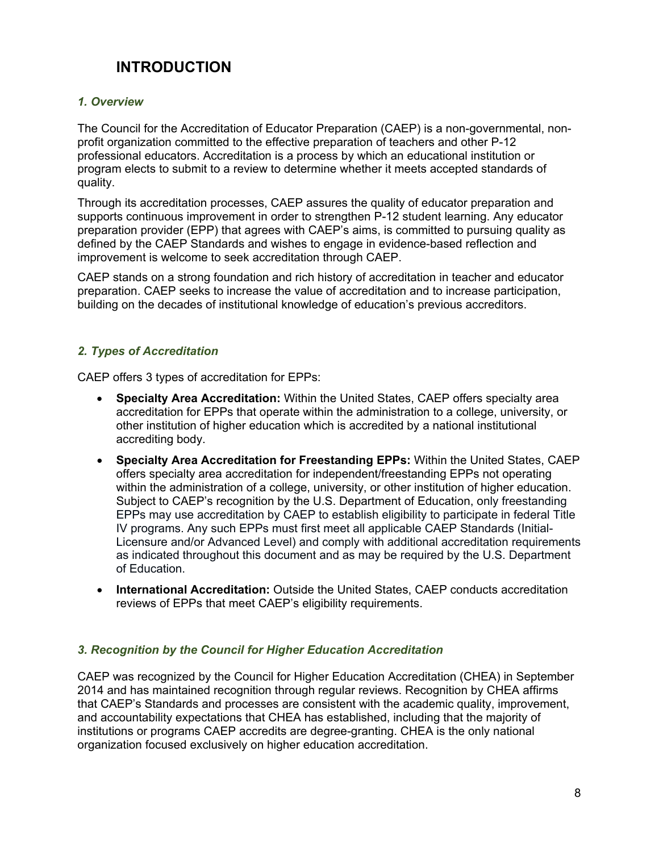## **INTRODUCTION**

## <span id="page-7-0"></span>*1. Overview*

The Council for the Accreditation of Educator Preparation (CAEP) is a non-governmental, nonprofit organization committed to the effective preparation of teachers and other P-12 professional educators. Accreditation is a process by which an educational institution or program elects to submit to a review to determine whether it meets accepted standards of quality.

Through its accreditation processes, CAEP assures the quality of educator preparation and supports continuous improvement in order to strengthen P-12 student learning. Any educator preparation provider (EPP) that agrees with CAEP's aims, is committed to pursuing quality as defined by the CAEP Standards and wishes to engage in evidence-based reflection and improvement is welcome to seek accreditation through CAEP.

CAEP stands on a strong foundation and rich history of accreditation in teacher and educator preparation. CAEP seeks to increase the value of accreditation and to increase participation, building on the decades of institutional knowledge of education's previous accreditors.

## <span id="page-7-1"></span>*2. Types of Accreditation*

CAEP offers 3 types of accreditation for EPPs:

- **Specialty Area Accreditation:** Within the United States, CAEP offers specialty area accreditation for EPPs that operate within the administration to a college, university, or other institution of higher education which is accredited by a national institutional accrediting body.
- **Specialty Area Accreditation for Freestanding EPPs:** Within the United States, CAEP offers specialty area accreditation for independent/freestanding EPPs not operating within the administration of a college, university, or other institution of higher education. Subject to CAEP's recognition by the U.S. Department of Education, only freestanding EPPs may use accreditation by CAEP to establish eligibility to participate in federal Title IV programs. Any such EPPs must first meet all applicable CAEP Standards (Initial-Licensure and/or Advanced Level) and comply with additional accreditation requirements as indicated throughout this document and as may be required by the U.S. Department of Education.
- **International Accreditation:** Outside the United States, CAEP conducts accreditation reviews of EPPs that meet CAEP's eligibility requirements.

## <span id="page-7-2"></span>*3. Recognition by the Council for Higher Education Accreditation*

CAEP was recognized by the Council for Higher Education Accreditation (CHEA) in September 2014 and has maintained recognition through regular reviews. Recognition by CHEA affirms that CAEP's Standards and processes are consistent with the academic quality, improvement, and accountability expectations that CHEA has established, including that the majority of institutions or programs CAEP accredits are degree-granting. CHEA is the only national organization focused exclusively on higher education accreditation.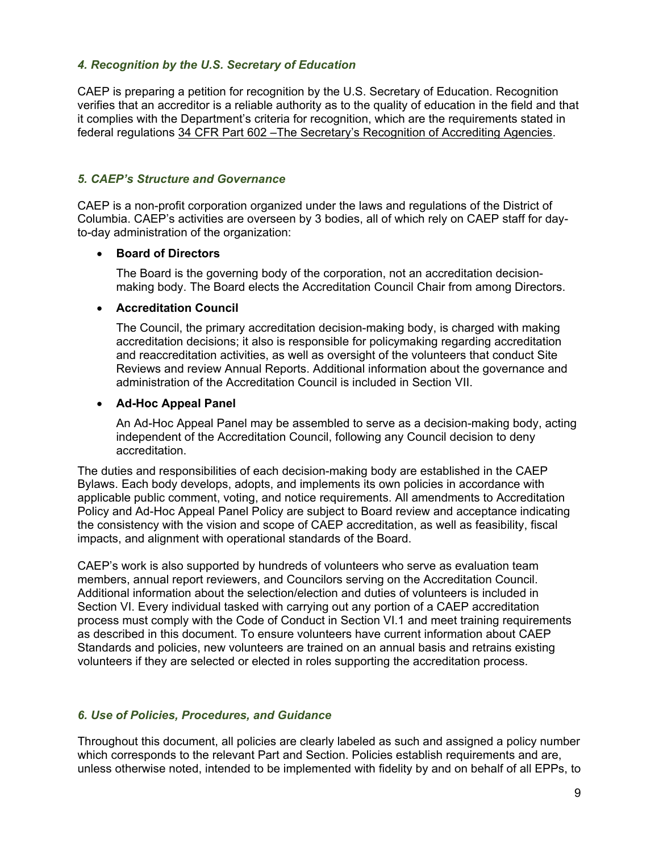## <span id="page-8-0"></span>*4. Recognition by the U.S. Secretary of Education*

CAEP is preparing a petition for recognition by the U.S. Secretary of Education. Recognition verifies that an accreditor is a reliable authority as to the quality of education in the field and that it complies with the Department's criteria for recognition, which are the requirements stated in federal regulations 34 CFR Part 602 [–The Secretary's Recognition of Accrediting Agencies.](https://www.ecfr.gov/cgi-bin/text-idx?SID=9ef35dd76e2c24ce383a59a9f1631628&mc=true&node=pt34.3.602&rgn=div5)

## <span id="page-8-1"></span>*5. CAEP's Structure and Governance*

CAEP is a non-profit corporation organized under the laws and regulations of the District of Columbia. CAEP's activities are overseen by 3 bodies, all of which rely on CAEP staff for dayto-day administration of the organization:

## • **Board of Directors**

The Board is the governing body of the corporation, not an accreditation decisionmaking body. The Board elects the Accreditation Council Chair from among Directors.

## • **Accreditation Council**

The Council, the primary accreditation decision-making body, is charged with making accreditation decisions; it also is responsible for policymaking regarding accreditation and reaccreditation activities, as well as oversight of the volunteers that conduct Site Reviews and review Annual Reports. Additional information about the governance and administration of the Accreditation Council is included in Section VII.

## • **Ad-Hoc Appeal Panel**

An Ad-Hoc Appeal Panel may be assembled to serve as a decision-making body, acting independent of the Accreditation Council, following any Council decision to deny accreditation.

The duties and responsibilities of each decision-making body are established in the CAEP Bylaws. Each body develops, adopts, and implements its own policies in accordance with applicable public comment, voting, and notice requirements. All amendments to Accreditation Policy and Ad-Hoc Appeal Panel Policy are subject to Board review and acceptance indicating the consistency with the vision and scope of CAEP accreditation, as well as feasibility, fiscal impacts, and alignment with operational standards of the Board.

CAEP's work is also supported by hundreds of volunteers who serve as evaluation team members, annual report reviewers, and Councilors serving on the Accreditation Council. Additional information about the selection/election and duties of volunteers is included in Section VI. Every individual tasked with carrying out any portion of a CAEP accreditation process must comply with the Code of Conduct in Section VI.1 and meet training requirements as described in this document. To ensure volunteers have current information about CAEP Standards and policies, new volunteers are trained on an annual basis and retrains existing volunteers if they are selected or elected in roles supporting the accreditation process.

## <span id="page-8-2"></span>*6. Use of Policies, Procedures, and Guidance*

Throughout this document, all policies are clearly labeled as such and assigned a policy number which corresponds to the relevant Part and Section. Policies establish requirements and are, unless otherwise noted, intended to be implemented with fidelity by and on behalf of all EPPs, to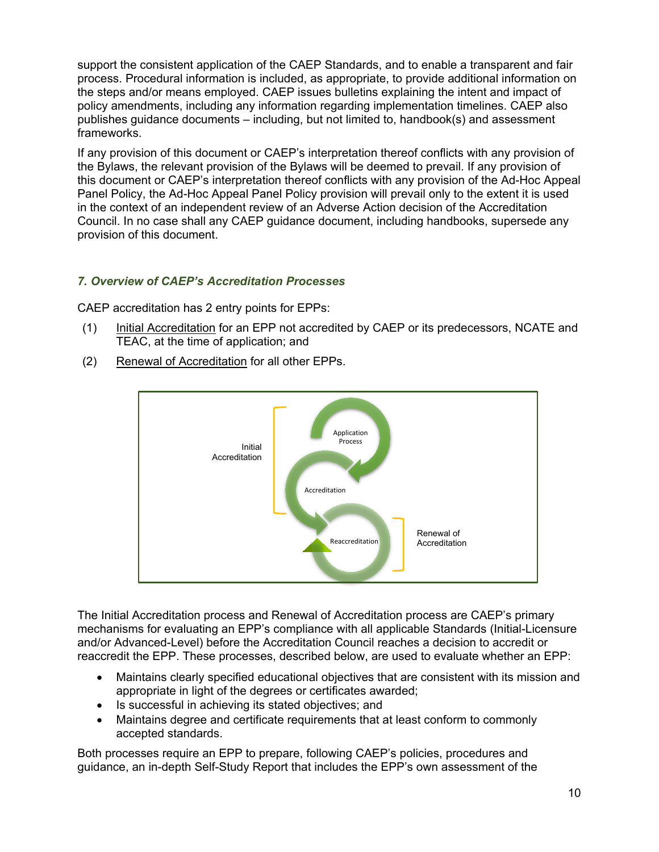support the consistent application of the CAEP Standards, and to enable a transparent and fair process. Procedural information is included, as appropriate, to provide additional information on the steps and/or means employed. CAEP issues bulletins explaining the intent and impact of policy amendments, including any information regarding implementation timelines. CAEP also publishes guidance documents – including, but not limited to, handbook(s) and assessment frameworks.

If any provision of this document or CAEP's interpretation thereof conflicts with any provision of the Bylaws, the relevant provision of the Bylaws will be deemed to prevail. If any provision of this document or CAEP's interpretation thereof conflicts with any provision of the Ad-Hoc Appeal Panel Policy, the Ad-Hoc Appeal Panel Policy provision will prevail only to the extent it is used in the context of an independent review of an Adverse Action decision of the Accreditation Council. In no case shall any CAEP guidance document, including handbooks, supersede any provision of this document.

## <span id="page-9-0"></span>*7. Overview of CAEP's Accreditation Processes*

CAEP accreditation has 2 entry points for EPPs:

- (1) Initial Accreditation for an EPP not accredited by CAEP or its predecessors, NCATE and TEAC, at the time of application; and
- (2) Renewal of Accreditation for all other EPPs.



The Initial Accreditation process and Renewal of Accreditation process are CAEP's primary mechanisms for evaluating an EPP's compliance with all applicable Standards (Initial-Licensure and/or Advanced-Level) before the Accreditation Council reaches a decision to accredit or reaccredit the EPP. These processes, described below, are used to evaluate whether an EPP:

- Maintains clearly specified educational objectives that are consistent with its mission and appropriate in light of the degrees or certificates awarded;
- Is successful in achieving its stated objectives; and
- Maintains degree and certificate requirements that at least conform to commonly accepted standards.

Both processes require an EPP to prepare, following CAEP's policies, procedures and guidance, an in-depth Self-Study Report that includes the EPP's own assessment of the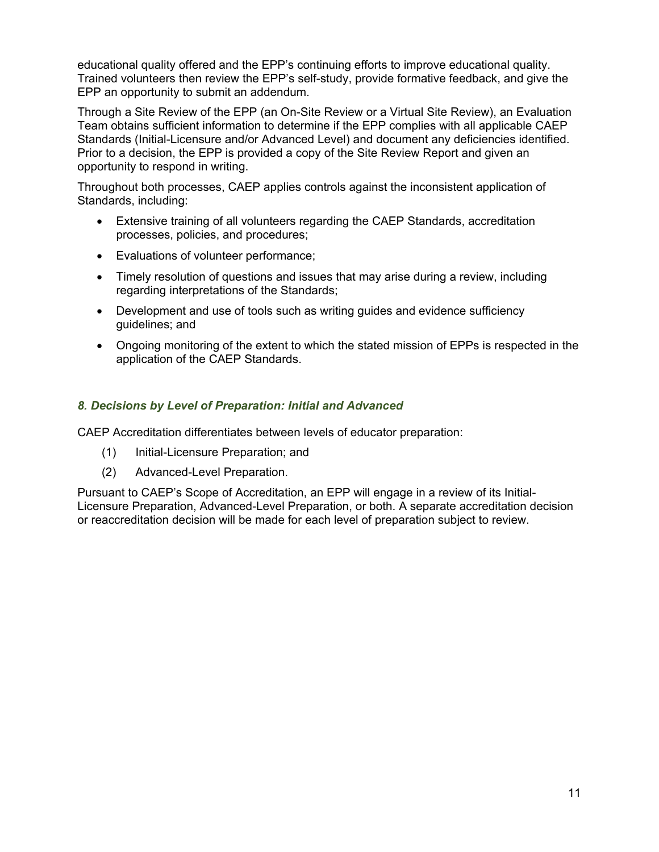educational quality offered and the EPP's continuing efforts to improve educational quality. Trained volunteers then review the EPP's self-study, provide formative feedback, and give the EPP an opportunity to submit an addendum.

Through a Site Review of the EPP (an On-Site Review or a Virtual Site Review), an Evaluation Team obtains sufficient information to determine if the EPP complies with all applicable CAEP Standards (Initial-Licensure and/or Advanced Level) and document any deficiencies identified. Prior to a decision, the EPP is provided a copy of the Site Review Report and given an opportunity to respond in writing.

Throughout both processes, CAEP applies controls against the inconsistent application of Standards, including:

- Extensive training of all volunteers regarding the CAEP Standards, accreditation processes, policies, and procedures;
- Evaluations of volunteer performance;
- Timely resolution of questions and issues that may arise during a review, including regarding interpretations of the Standards;
- Development and use of tools such as writing guides and evidence sufficiency guidelines; and
- Ongoing monitoring of the extent to which the stated mission of EPPs is respected in the application of the CAEP Standards.

## <span id="page-10-0"></span>*8. Decisions by Level of Preparation: Initial and Advanced*

CAEP Accreditation differentiates between levels of educator preparation:

- (1) Initial-Licensure Preparation; and
- (2) Advanced-Level Preparation.

Pursuant to CAEP's Scope of Accreditation, an EPP will engage in a review of its Initial-Licensure Preparation, Advanced-Level Preparation, or both. A separate accreditation decision or reaccreditation decision will be made for each level of preparation subject to review.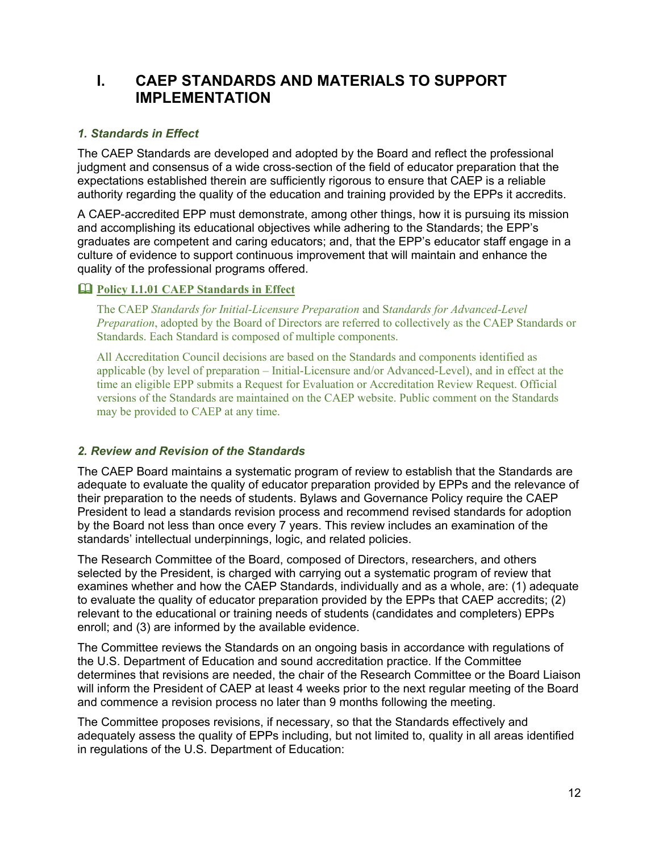## **I. CAEP STANDARDS AND MATERIALS TO SUPPORT IMPLEMENTATION**

## <span id="page-11-0"></span>*1. Standards in Effect*

The CAEP Standards are developed and adopted by the Board and reflect the professional judgment and consensus of a wide cross-section of the field of educator preparation that the expectations established therein are sufficiently rigorous to ensure that CAEP is a reliable authority regarding the quality of the education and training provided by the EPPs it accredits.

A CAEP-accredited EPP must demonstrate, among other things, how it is pursuing its mission and accomplishing its educational objectives while adhering to the Standards; the EPP's graduates are competent and caring educators; and, that the EPP's educator staff engage in a culture of evidence to support continuous improvement that will maintain and enhance the quality of the professional programs offered.

## <span id="page-11-1"></span>**Policy I.1.01 CAEP Standards in Effect**

The CAEP *[Standards](http://caepnet.org/%7E/media/Files/caep/standards/caep-standards-one-pager-0219.pdf?la=en) for Initial-Licensure Preparation* and S*tandards for Advanced-Level Preparation*, adopted by the Board of Directors are referred to collectively as the CAEP Standards or Standards. Each Standard is composed of multiple components.

All Accreditation Council decisions are based on the Standards and components identified as applicable (by level of preparation – Initial-Licensure and/or Advanced-Level), and in effect at the time an eligible EPP submits a Request for Evaluation or Accreditation Review Request. Official versions of the Standards are maintained on the CAEP website. Public comment on the Standards may be provided to CAEP at any time.

## <span id="page-11-2"></span>*2. Review and Revision of the Standards*

The CAEP Board maintains a systematic program of review to establish that the Standards are adequate to evaluate the quality of educator preparation provided by EPPs and the relevance of their preparation to the needs of students. Bylaws and Governance Policy require the CAEP President to lead a standards revision process and recommend revised standards for adoption by the Board not less than once every 7 years. This review includes an examination of the standards' intellectual underpinnings, logic, and related policies.

The Research Committee of the Board, composed of Directors, researchers, and others selected by the President, is charged with carrying out a systematic program of review that examines whether and how the CAEP Standards, individually and as a whole, are: (1) adequate to evaluate the quality of educator preparation provided by the EPPs that CAEP accredits; (2) relevant to the educational or training needs of students (candidates and completers) EPPs enroll; and (3) are informed by the available evidence.

The Committee reviews the Standards on an ongoing basis in accordance with regulations of the U.S. Department of Education and sound accreditation practice. If the Committee determines that revisions are needed, the chair of the Research Committee or the Board Liaison will inform the President of CAEP at least 4 weeks prior to the next regular meeting of the Board and commence a revision process no later than 9 months following the meeting.

The Committee proposes revisions, if necessary, so that the Standards effectively and adequately assess the quality of EPPs including, but not limited to, quality in all areas identified in regulations of the U.S. Department of Education: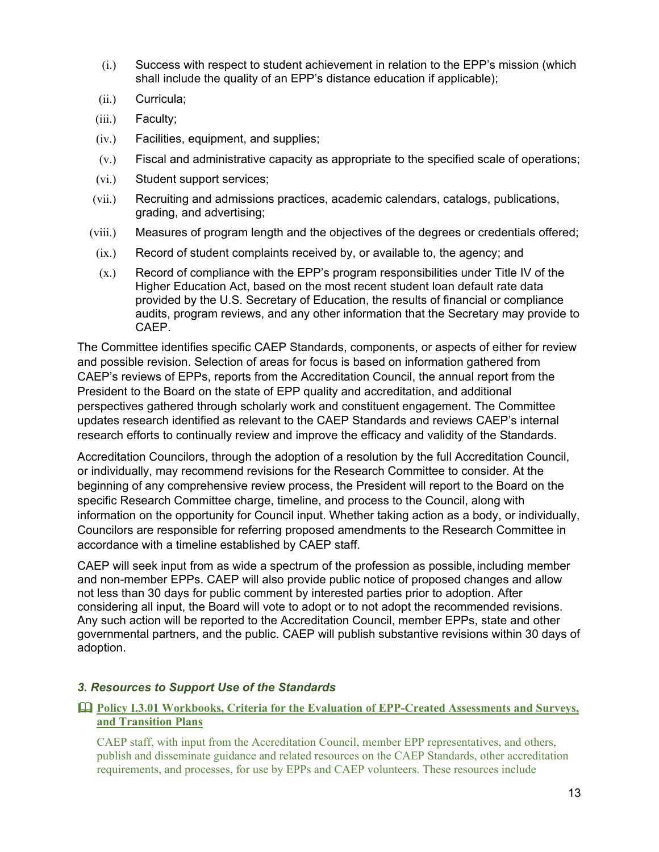- (i.) Success with respect to student achievement in relation to the EPP's mission (which shall include the quality of an EPP's distance education if applicable);
- (ii.) Curricula;
- (iii.) Faculty;
- (iv.) Facilities, equipment, and supplies;
- (v.) Fiscal and administrative capacity as appropriate to the specified scale of operations;
- (vi.) Student support services;
- (vii.) Recruiting and admissions practices, academic calendars, catalogs, publications, grading, and advertising;
- (viii.) Measures of program length and the objectives of the degrees or credentials offered;
- (ix.) Record of student complaints received by, or available to, the agency; and
- (x.) Record of compliance with the EPP's program responsibilities under Title IV of the Higher Education Act, based on the most recent student loan default rate data provided by the U.S. Secretary of Education, the results of financial or compliance audits, program reviews, and any other information that the Secretary may provide to CAEP.

The Committee identifies specific CAEP Standards, components, or aspects of either for review and possible revision. Selection of areas for focus is based on information gathered from CAEP's reviews of EPPs, reports from the Accreditation Council, the annual report from the President to the Board on the state of EPP quality and accreditation, and additional perspectives gathered through scholarly work and constituent engagement. The Committee updates research identified as relevant to the CAEP Standards and reviews CAEP's internal research efforts to continually review and improve the efficacy and validity of the Standards.

Accreditation Councilors, through the adoption of a resolution by the full Accreditation Council, or individually, may recommend revisions for the Research Committee to consider. At the beginning of any comprehensive review process, the President will report to the Board on the specific Research Committee charge, timeline, and process to the Council, along with information on the opportunity for Council input. Whether taking action as a body, or individually, Councilors are responsible for referring proposed amendments to the Research Committee in accordance with a timeline established by CAEP staff.

CAEP will seek input from as wide a spectrum of the profession as possible, including member and non-member EPPs. CAEP will also provide public notice of proposed changes and allow not less than 30 days for public comment by interested parties prior to adoption. After considering all input, the Board will vote to adopt or to not adopt the recommended revisions. Any such action will be reported to the Accreditation Council, member EPPs, state and other governmental partners, and the public. CAEP will publish substantive revisions within 30 days of adoption.

## <span id="page-12-0"></span>*3. Resources to Support Use of the Standards*

## <span id="page-12-1"></span> **Policy I.3.01 Workbooks, Criteria for the Evaluation of EPP-Created Assessments and Surveys, and Transition Plans**

CAEP staff, with input from the Accreditation Council, member EPP representatives, and others, publish and disseminate guidance and related resources on the CAEP Standards, other accreditation requirements, and processes, for use by EPPs and CAEP volunteers. These resources include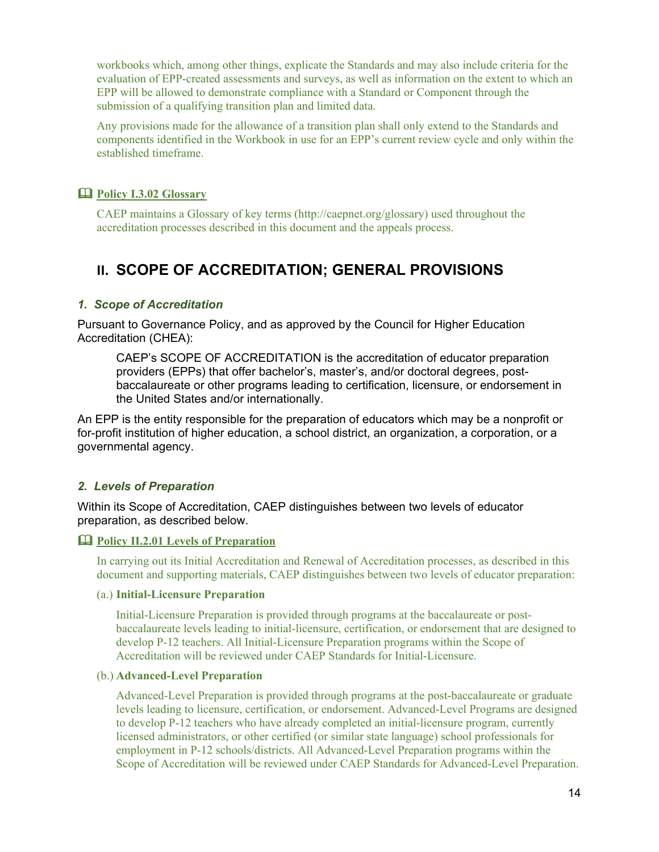workbooks which, among other things, explicate the Standards and may also include criteria for the evaluation of EPP-created assessments and surveys, as well as information on the extent to which an EPP will be allowed to demonstrate compliance with a Standard or Component through the submission of a qualifying transition plan and limited data.

Any provisions made for the allowance of a transition plan shall only extend to the Standards and components identified in the Workbook in use for an EPP's current review cycle and only within the established timeframe.

## <span id="page-13-0"></span>**Policy I.3.02 Glossary**

CAEP maintains a Glossary of key terms (http://caepnet.org/glossary) used throughout the accreditation processes described in this document and the appeals process.

## **II. SCOPE OF ACCREDITATION; GENERAL PROVISIONS**

#### <span id="page-13-1"></span>*1. Scope of Accreditation*

Pursuant to Governance Policy, and as approved by the Council for Higher Education Accreditation (CHEA):

CAEP's SCOPE OF ACCREDITATION is the accreditation of educator preparation providers (EPPs) that offer bachelor's, master's, and/or doctoral degrees, postbaccalaureate or other programs leading to certification, licensure, or endorsement in the United States and/or internationally.

An EPP is the entity responsible for the preparation of educators which may be a nonprofit or for-profit institution of higher education, a school district, an organization, a corporation, or a governmental agency.

#### <span id="page-13-2"></span>*2. Levels of Preparation*

Within its Scope of Accreditation, CAEP distinguishes between two levels of educator preparation, as described below.

#### <span id="page-13-3"></span>**Policy II.2.01 Levels of Preparation**

In carrying out its Initial Accreditation and Renewal of Accreditation processes, as described in this document and supporting materials, CAEP distinguishes between two levels of educator preparation:

#### (a.) **Initial-Licensure Preparation**

Initial-Licensure Preparation is provided through programs at the baccalaureate or postbaccalaureate levels leading to initial-licensure, certification, or endorsement that are designed to develop P-12 teachers. All Initial-Licensure Preparation programs within the Scope of Accreditation will be reviewed under CAEP Standards for Initial-Licensure.

#### (b.) **Advanced-Level Preparation**

Advanced-Level Preparation is provided through programs at the post-baccalaureate or graduate levels leading to licensure, certification, or endorsement. Advanced-Level Programs are designed to develop P-12 teachers who have already completed an initial-licensure program, currently licensed administrators, or other certified (or similar state language) school professionals for employment in P-12 schools/districts. All Advanced-Level Preparation programs within the Scope of Accreditation will be reviewed under CAEP Standards for Advanced-Level Preparation.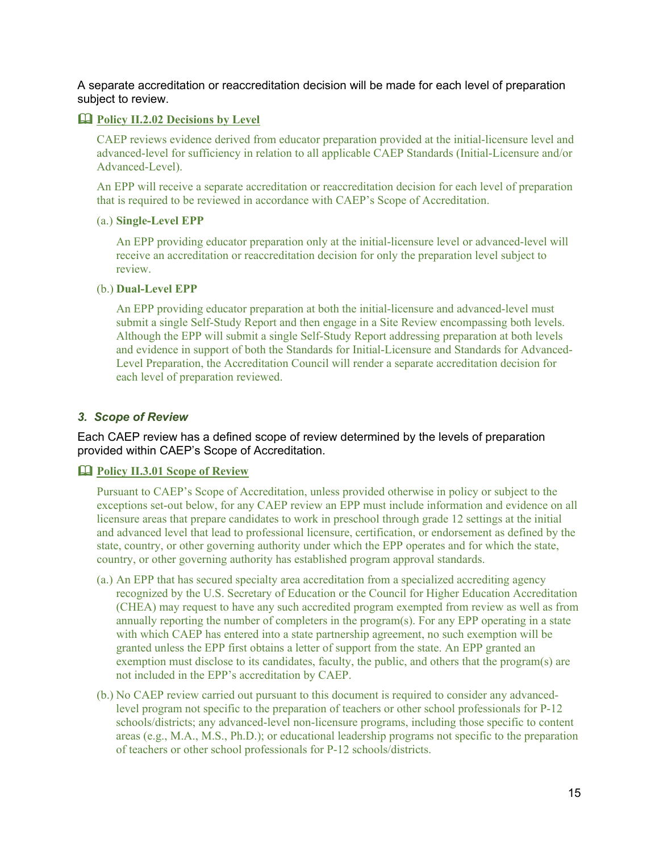A separate accreditation or reaccreditation decision will be made for each level of preparation subject to review.

#### <span id="page-14-0"></span>**Policy II.2.02 Decisions by Level**

CAEP reviews evidence derived from educator preparation provided at the initial-licensure level and advanced-level for sufficiency in relation to all applicable CAEP Standards (Initial-Licensure and/or Advanced-Level).

An EPP will receive a separate accreditation or reaccreditation decision for each level of preparation that is required to be reviewed in accordance with CAEP's Scope of Accreditation.

#### (a.) **Single-Level EPP**

An EPP providing educator preparation only at the initial-licensure level or advanced-level will receive an accreditation or reaccreditation decision for only the preparation level subject to review.

#### (b.) **Dual-Level EPP**

An EPP providing educator preparation at both the initial-licensure and advanced-level must submit a single Self-Study Report and then engage in a Site Review encompassing both levels. Although the EPP will submit a single Self-Study Report addressing preparation at both levels and evidence in support of both the Standards for Initial-Licensure and Standards for Advanced-Level Preparation, the Accreditation Council will render a separate accreditation decision for each level of preparation reviewed.

#### <span id="page-14-1"></span>*3. Scope of Review*

Each CAEP review has a defined scope of review determined by the levels of preparation provided within CAEP's Scope of Accreditation.

#### <span id="page-14-2"></span>**Policy II.3.01 Scope of Review**

Pursuant to CAEP's Scope of Accreditation, unless provided otherwise in policy or subject to the exceptions set-out below, for any CAEP review an EPP must include information and evidence on all licensure areas that prepare candidates to work in preschool through grade 12 settings at the initial and advanced level that lead to professional licensure, certification, or endorsement as defined by the state, country, or other governing authority under which the EPP operates and for which the state, country, or other governing authority has established program approval standards.

- (a.) An EPP that has secured specialty area accreditation from a specialized accrediting agency recognized by the U.S. Secretary of Education or the Council for Higher Education Accreditation (CHEA) may request to have any such accredited program exempted from review as well as from annually reporting the number of completers in the program(s). For any EPP operating in a state with which CAEP has entered into a state partnership agreement, no such exemption will be granted unless the EPP first obtains a letter of support from the state. An EPP granted an exemption must disclose to its candidates, faculty, the public, and others that the program(s) are not included in the EPP's accreditation by CAEP.
- (b.) No CAEP review carried out pursuant to this document is required to consider any advancedlevel program not specific to the preparation of teachers or other school professionals for P-12 schools/districts; any advanced-level non-licensure programs, including those specific to content areas (e.g., M.A., M.S., Ph.D.); or educational leadership programs not specific to the preparation of teachers or other school professionals for P-12 schools/districts.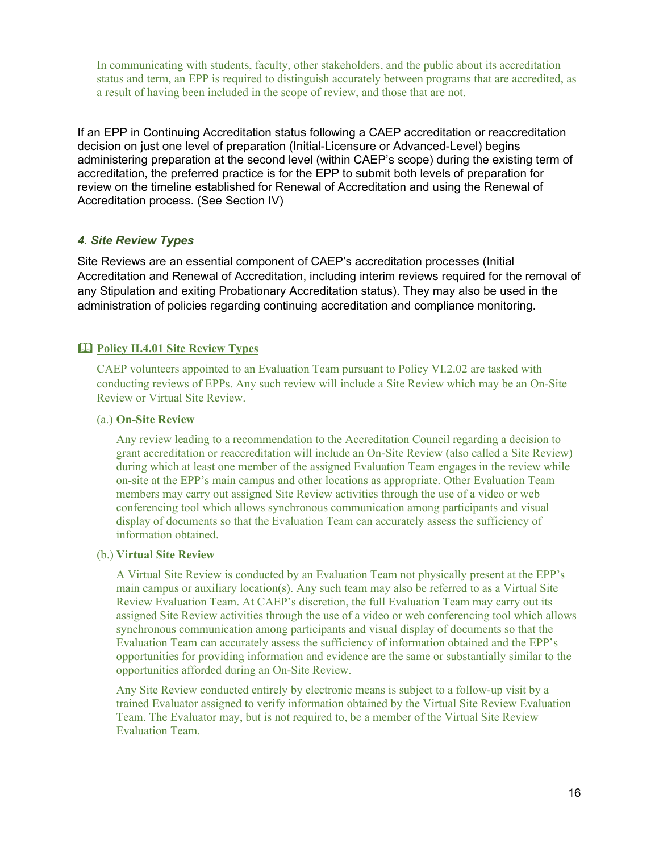In communicating with students, faculty, other stakeholders, and the public about its accreditation status and term, an EPP is required to distinguish accurately between programs that are accredited, as a result of having been included in the scope of review, and those that are not.

If an EPP in Continuing Accreditation status following a CAEP accreditation or reaccreditation decision on just one level of preparation (Initial-Licensure or Advanced-Level) begins administering preparation at the second level (within CAEP's scope) during the existing term of accreditation, the preferred practice is for the EPP to submit both levels of preparation for review on the timeline established for Renewal of Accreditation and using the Renewal of Accreditation process. (See Section IV)

## <span id="page-15-0"></span>*4. Site Review Types*

Site Reviews are an essential component of CAEP's accreditation processes (Initial Accreditation and Renewal of Accreditation, including interim reviews required for the removal of any Stipulation and exiting Probationary Accreditation status). They may also be used in the administration of policies regarding continuing accreditation and compliance monitoring.

## <span id="page-15-1"></span>**Policy II.4.01 Site Review Types**

CAEP volunteers appointed to an Evaluation Team pursuant to Policy VI.2.02 are tasked with conducting reviews of EPPs. Any such review will include a Site Review which may be an On-Site Review or Virtual Site Review.

## (a.) **On-Site Review**

Any review leading to a recommendation to the Accreditation Council regarding a decision to grant accreditation or reaccreditation will include an On-Site Review (also called a Site Review) during which at least one member of the assigned Evaluation Team engages in the review while on-site at the EPP's main campus and other locations as appropriate. Other Evaluation Team members may carry out assigned Site Review activities through the use of a video or web conferencing tool which allows synchronous communication among participants and visual display of documents so that the Evaluation Team can accurately assess the sufficiency of information obtained.

#### (b.) **Virtual Site Review**

A Virtual Site Review is conducted by an Evaluation Team not physically present at the EPP's main campus or auxiliary location(s). Any such team may also be referred to as a Virtual Site Review Evaluation Team. At CAEP's discretion, the full Evaluation Team may carry out its assigned Site Review activities through the use of a video or web conferencing tool which allows synchronous communication among participants and visual display of documents so that the Evaluation Team can accurately assess the sufficiency of information obtained and the EPP's opportunities for providing information and evidence are the same or substantially similar to the opportunities afforded during an On-Site Review.

Any Site Review conducted entirely by electronic means is subject to a follow-up visit by a trained Evaluator assigned to verify information obtained by the Virtual Site Review Evaluation Team. The Evaluator may, but is not required to, be a member of the Virtual Site Review Evaluation Team.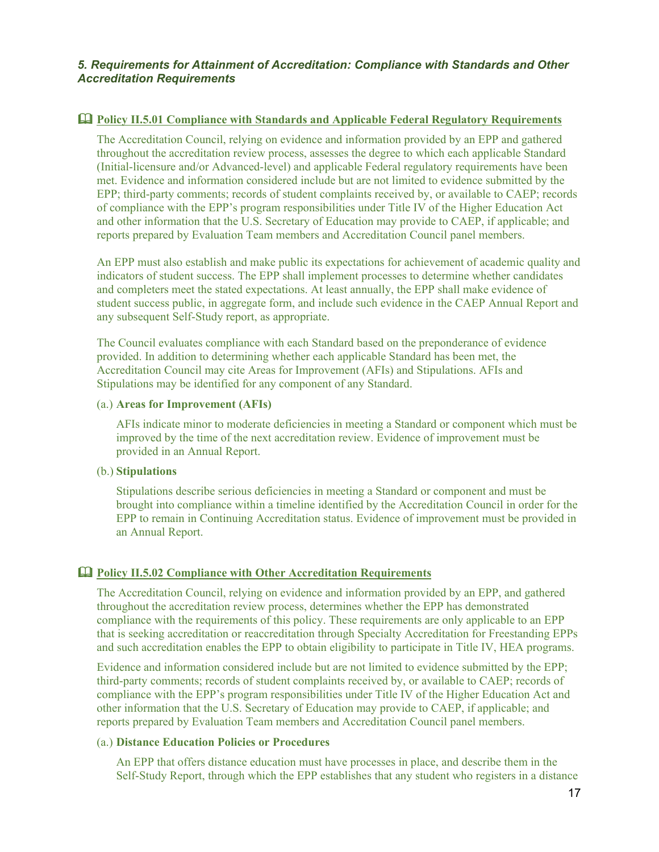#### <span id="page-16-1"></span><span id="page-16-0"></span>**Policy II.5.01 Compliance with Standards and Applicable Federal Regulatory Requirements**

The Accreditation Council, relying on evidence and information provided by an EPP and gathered throughout the accreditation review process, assesses the degree to which each applicable Standard (Initial-licensure and/or Advanced-level) and applicable Federal regulatory requirements have been met. Evidence and information considered include but are not limited to evidence submitted by the EPP; third-party comments; records of student complaints received by, or available to CAEP; records of compliance with the EPP's program responsibilities under Title IV of the Higher Education Act and other information that the U.S. Secretary of Education may provide to CAEP, if applicable; and reports prepared by Evaluation Team members and Accreditation Council panel members.

An EPP must also establish and make public its expectations for achievement of academic quality and indicators of student success. The EPP shall implement processes to determine whether candidates and completers meet the stated expectations. At least annually, the EPP shall make evidence of student success public, in aggregate form, and include such evidence in the CAEP Annual Report and any subsequent Self-Study report, as appropriate.

The Council evaluates compliance with each Standard based on the preponderance of evidence provided. In addition to determining whether each applicable Standard has been met, the Accreditation Council may cite Areas for Improvement (AFIs) and Stipulations. AFIs and Stipulations may be identified for any component of any Standard.

#### (a.) **Areas for Improvement (AFIs)**

AFIs indicate minor to moderate deficiencies in meeting a Standard or component which must be improved by the time of the next accreditation review. Evidence of improvement must be provided in an Annual Report.

#### (b.) **Stipulations**

Stipulations describe serious deficiencies in meeting a Standard or component and must be brought into compliance within a timeline identified by the Accreditation Council in order for the EPP to remain in Continuing Accreditation status. Evidence of improvement must be provided in an Annual Report.

#### <span id="page-16-2"></span>**Policy II.5.02 Compliance with Other Accreditation Requirements**

The Accreditation Council, relying on evidence and information provided by an EPP, and gathered throughout the accreditation review process, determines whether the EPP has demonstrated compliance with the requirements of this policy. These requirements are only applicable to an EPP that is seeking accreditation or reaccreditation through Specialty Accreditation for Freestanding EPPs and such accreditation enables the EPP to obtain eligibility to participate in Title IV, HEA programs.

Evidence and information considered include but are not limited to evidence submitted by the EPP; third-party comments; records of student complaints received by, or available to CAEP; records of compliance with the EPP's program responsibilities under Title IV of the Higher Education Act and other information that the U.S. Secretary of Education may provide to CAEP, if applicable; and reports prepared by Evaluation Team members and Accreditation Council panel members.

#### (a.) **Distance Education Policies or Procedures**

An EPP that offers distance education must have processes in place, and describe them in the Self-Study Report, through which the EPP establishes that any student who registers in a distance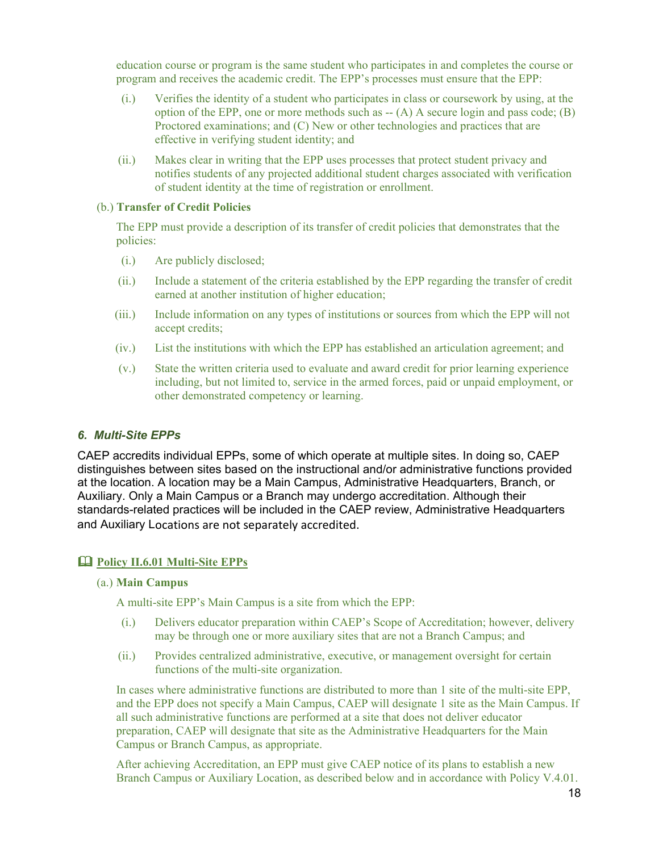education course or program is the same student who participates in and completes the course or program and receives the academic credit. The EPP's processes must ensure that the EPP:

- (i.) Verifies the identity of a student who participates in class or coursework by using, at the option of the EPP, one or more methods such as -- (A) A secure login and pass code; (B) Proctored examinations; and (C) New or other technologies and practices that are effective in verifying student identity; and
- (ii.) Makes clear in writing that the EPP uses processes that protect student privacy and notifies students of any projected additional student charges associated with verification of student identity at the time of registration or enrollment.

#### (b.) **Transfer of Credit Policies**

The EPP must provide a description of its transfer of credit policies that demonstrates that the policies:

- (i.) Are publicly disclosed;
- (ii.) Include a statement of the criteria established by the EPP regarding the transfer of credit earned at another institution of higher education;
- (iii.) Include information on any types of institutions or sources from which the EPP will not accept credits;
- (iv.) List the institutions with which the EPP has established an articulation agreement; and
- (v.) State the written criteria used to evaluate and award credit for prior learning experience including, but not limited to, service in the armed forces, paid or unpaid employment, or other demonstrated competency or learning.

#### <span id="page-17-0"></span>*6. Multi-Site EPPs*

CAEP accredits individual EPPs, some of which operate at multiple sites. In doing so, CAEP distinguishes between sites based on the instructional and/or administrative functions provided at the location. A location may be a Main Campus, Administrative Headquarters, Branch, or Auxiliary. Only a Main Campus or a Branch may undergo accreditation. Although their standards-related practices will be included in the CAEP review, Administrative Headquarters and Auxiliary Locations are not separately accredited.

#### <span id="page-17-1"></span>**Policy II.6.01 Multi-Site EPPs**

#### (a.) **Main Campus**

A multi-site EPP's Main Campus is a site from which the EPP:

- (i.) Delivers educator preparation within CAEP's Scope of Accreditation; however, delivery may be through one or more auxiliary sites that are not a Branch Campus; and
- (ii.) Provides centralized administrative, executive, or management oversight for certain functions of the multi-site organization.

In cases where administrative functions are distributed to more than 1 site of the multi-site EPP, and the EPP does not specify a Main Campus, CAEP will designate 1 site as the Main Campus. If all such administrative functions are performed at a site that does not deliver educator preparation, CAEP will designate that site as the Administrative Headquarters for the Main Campus or Branch Campus, as appropriate.

After achieving Accreditation, an EPP must give CAEP notice of its plans to establish a new Branch Campus or Auxiliary Location, as described below and in accordance with Policy V.4.01.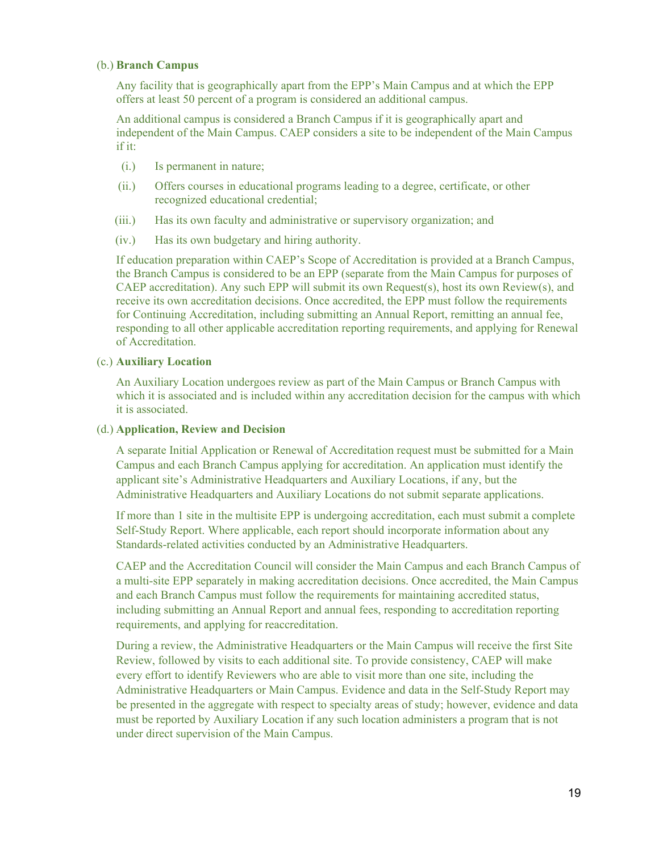#### (b.) **Branch Campus**

Any facility that is geographically apart from the EPP's Main Campus and at which the EPP offers at least 50 percent of a program is considered an additional campus.

An additional campus is considered a Branch Campus if it is geographically apart and independent of the Main Campus. CAEP considers a site to be independent of the Main Campus if it:

- (i.) Is permanent in nature;
- (ii.) Offers courses in educational programs leading to a degree, certificate, or other recognized educational credential;
- (iii.) Has its own faculty and administrative or supervisory organization; and
- (iv.) Has its own budgetary and hiring authority.

If education preparation within CAEP's Scope of Accreditation is provided at a Branch Campus, the Branch Campus is considered to be an EPP (separate from the Main Campus for purposes of CAEP accreditation). Any such EPP will submit its own Request(s), host its own Review(s), and receive its own accreditation decisions. Once accredited, the EPP must follow the requirements for Continuing Accreditation, including submitting an Annual Report, remitting an annual fee, responding to all other applicable accreditation reporting requirements, and applying for Renewal of Accreditation.

#### (c.) **Auxiliary Location**

An Auxiliary Location undergoes review as part of the Main Campus or Branch Campus with which it is associated and is included within any accreditation decision for the campus with which it is associated.

#### (d.) **Application, Review and Decision**

A separate Initial Application or Renewal of Accreditation request must be submitted for a Main Campus and each Branch Campus applying for accreditation. An application must identify the applicant site's Administrative Headquarters and Auxiliary Locations, if any, but the Administrative Headquarters and Auxiliary Locations do not submit separate applications.

If more than 1 site in the multisite EPP is undergoing accreditation, each must submit a complete Self-Study Report. Where applicable, each report should incorporate information about any Standards-related activities conducted by an Administrative Headquarters.

CAEP and the Accreditation Council will consider the Main Campus and each Branch Campus of a multi-site EPP separately in making accreditation decisions. Once accredited, the Main Campus and each Branch Campus must follow the requirements for maintaining accredited status, including submitting an Annual Report and annual fees, responding to accreditation reporting requirements, and applying for reaccreditation.

During a review, the Administrative Headquarters or the Main Campus will receive the first Site Review, followed by visits to each additional site. To provide consistency, CAEP will make every effort to identify Reviewers who are able to visit more than one site, including the Administrative Headquarters or Main Campus. Evidence and data in the Self-Study Report may be presented in the aggregate with respect to specialty areas of study; however, evidence and data must be reported by Auxiliary Location if any such location administers a program that is not under direct supervision of the Main Campus.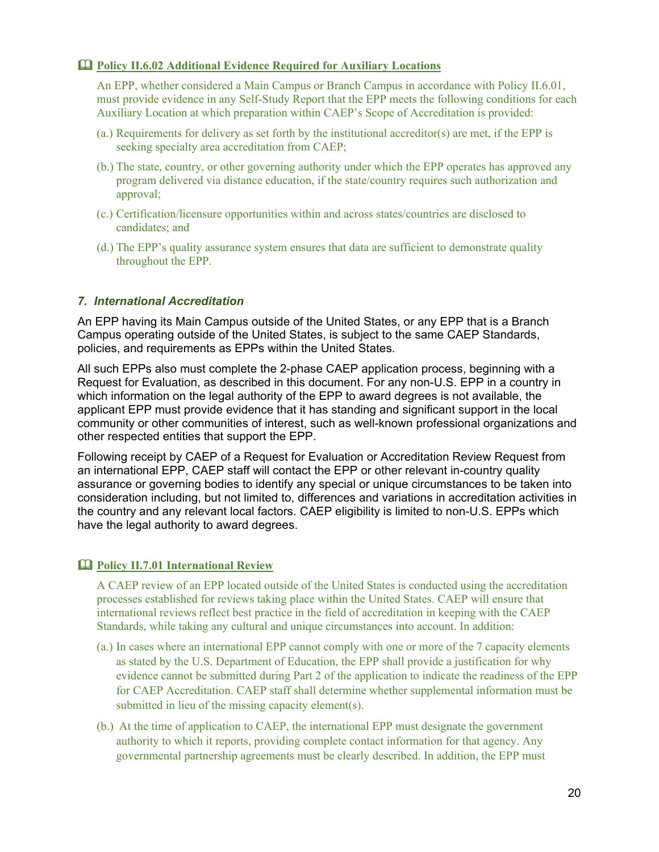## <span id="page-19-0"></span>**Policy II.6.02 Additional Evidence Required for Auxiliary Locations**

An EPP, whether considered a Main Campus or Branch Campus in accordance with Policy II.6.01, must provide evidence in any Self-Study Report that the EPP meets the following conditions for each Auxiliary Location at which preparation within CAEP's Scope of Accreditation is provided:

- (a.) Requirements for delivery as set forth by the institutional accreditor(s) are met, if the EPP is seeking specialty area accreditation from CAEP;
- (b.) The state, country, or other governing authority under which the EPP operates has approved any program delivered via distance education, if the state/country requires such authorization and approval;
- (c.) Certification/licensure opportunities within and across states/countries are disclosed to candidates; and
- (d.) The EPP's quality assurance system ensures that data are sufficient to demonstrate quality throughout the EPP.

#### <span id="page-19-1"></span>*7. International Accreditation*

An EPP having its Main Campus outside of the United States, or any EPP that is a Branch Campus operating outside of the United States, is subject to the same CAEP Standards, policies, and requirements as EPPs within the United States.

All such EPPs also must complete the 2-phase CAEP application process, beginning with a Request for Evaluation, as described in this document. For any non-U.S. EPP in a country in which information on the legal authority of the EPP to award degrees is not available, the applicant EPP must provide evidence that it has standing and significant support in the local community or other communities of interest, such as well-known professional organizations and other respected entities that support the EPP.

Following receipt by CAEP of a Request for Evaluation or Accreditation Review Request from an international EPP, CAEP staff will contact the EPP or other relevant in-country quality assurance or governing bodies to identify any special or unique circumstances to be taken into consideration including, but not limited to, differences and variations in accreditation activities in the country and any relevant local factors. CAEP eligibility is limited to non-U.S. EPPs which have the legal authority to award degrees.

## <span id="page-19-2"></span>**Policy II.7.01 International Review**

A CAEP review of an EPP located outside of the United States is conducted using the accreditation processes established for reviews taking place within the United States. CAEP will ensure that international reviews reflect best practice in the field of accreditation in keeping with the CAEP Standards, while taking any cultural and unique circumstances into account. In addition:

- (a.) In cases where an international EPP cannot comply with one or more of the 7 capacity elements as stated by the U.S. Department of Education, the EPP shall provide a justification for why evidence cannot be submitted during Part 2 of the application to indicate the readiness of the EPP for CAEP Accreditation. CAEP staff shall determine whether supplemental information must be submitted in lieu of the missing capacity element(s).
- (b.) At the time of application to CAEP, the international EPP must designate the government authority to which it reports, providing complete contact information for that agency. Any governmental partnership agreements must be clearly described. In addition, the EPP must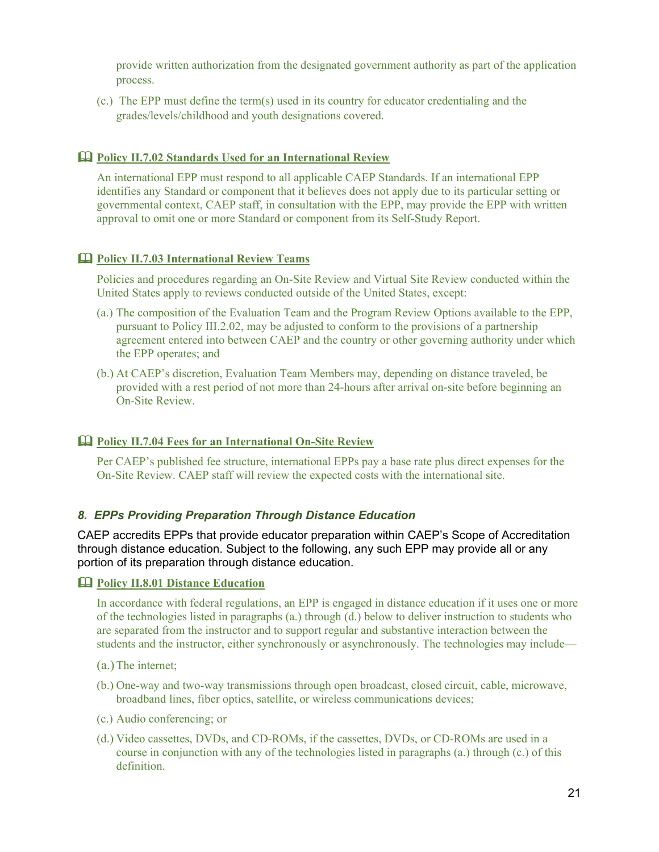provide written authorization from the designated government authority as part of the application process.

(c.) The EPP must define the term(s) used in its country for educator credentialing and the grades/levels/childhood and youth designations covered.

#### <span id="page-20-0"></span>**Policy II.7.02 Standards Used for an International Review**

An international EPP must respond to all applicable CAEP Standards. If an international EPP identifies any Standard or component that it believes does not apply due to its particular setting or governmental context, CAEP staff, in consultation with the EPP, may provide the EPP with written approval to omit one or more Standard or component from its Self-Study Report.

#### <span id="page-20-1"></span>**Policy II.7.03 International Review Teams**

Policies and procedures regarding an On-Site Review and Virtual Site Review conducted within the United States apply to reviews conducted outside of the United States, except:

- (a.) The composition of the Evaluation Team and the Program Review Options available to the EPP, pursuant to Policy III.2.02, may be adjusted to conform to the provisions of a partnership agreement entered into between CAEP and the country or other governing authority under which the EPP operates; and
- (b.) At CAEP's discretion, Evaluation Team Members may, depending on distance traveled, be provided with a rest period of not more than 24-hours after arrival on-site before beginning an On-Site Review.

#### <span id="page-20-2"></span>**Policy II.7.04 Fees for an International On-Site Review**

Per CAEP's published fee structure, international EPPs pay a base rate plus direct expenses for the On-Site Review. CAEP staff will review the expected costs with the international site.

## <span id="page-20-3"></span>*8. EPPs Providing Preparation Through Distance Education*

CAEP accredits EPPs that provide educator preparation within CAEP's Scope of Accreditation through distance education. Subject to the following, any such EPP may provide all or any portion of its preparation through distance education.

#### <span id="page-20-4"></span>**Policy II.8.01 Distance Education**

In accordance with federal regulations, an EPP is engaged in distance education if it uses one or more of the technologies listed in paragraphs (a.) through (d.) below to deliver instruction to students who are separated from the instructor and to support regular and substantive interaction between the students and the instructor, either synchronously or asynchronously. The technologies may include—

- (a.)The internet;
- (b.) One-way and two-way transmissions through open broadcast, closed circuit, cable, microwave, broadband lines, fiber optics, satellite, or wireless communications devices;
- (c.) Audio conferencing; or
- (d.) Video cassettes, DVDs, and CD-ROMs, if the cassettes, DVDs, or CD-ROMs are used in a course in conjunction with any of the technologies listed in paragraphs (a.) through (c.) of this definition.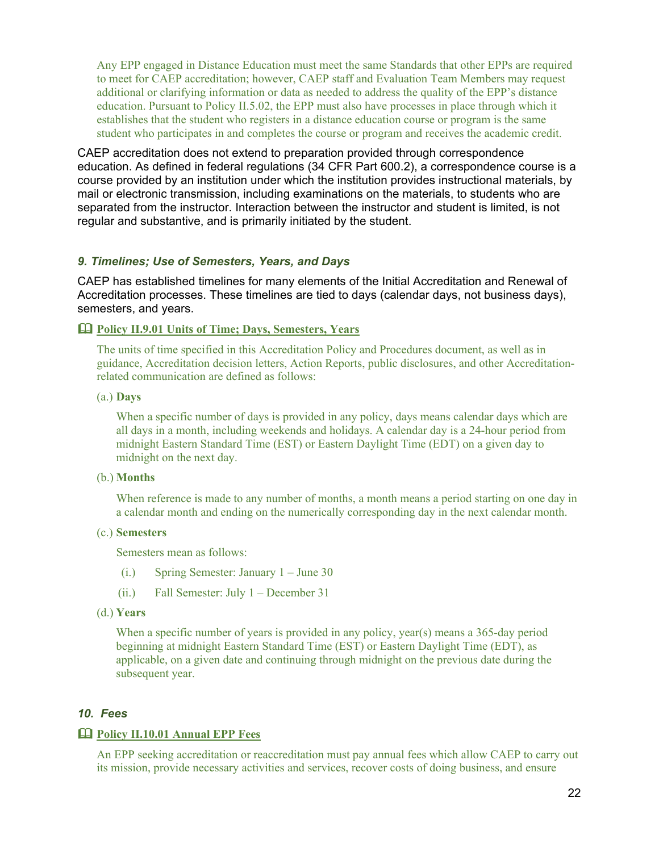Any EPP engaged in Distance Education must meet the same Standards that other EPPs are required to meet for CAEP accreditation; however, CAEP staff and Evaluation Team Members may request additional or clarifying information or data as needed to address the quality of the EPP's distance education. Pursuant to Policy II.5.02, the EPP must also have processes in place through which it establishes that the student who registers in a distance education course or program is the same student who participates in and completes the course or program and receives the academic credit.

CAEP accreditation does not extend to preparation provided through correspondence education. As defined in federal regulations (34 CFR Part 600.2), a correspondence course is a course provided by an institution under which the institution provides instructional materials, by mail or electronic transmission, including examinations on the materials, to students who are separated from the instructor. Interaction between the instructor and student is limited, is not regular and substantive, and is primarily initiated by the student.

#### <span id="page-21-0"></span>*9. Timelines; Use of Semesters, Years, and Days*

CAEP has established timelines for many elements of the Initial Accreditation and Renewal of Accreditation processes. These timelines are tied to days (calendar days, not business days), semesters, and years.

#### <span id="page-21-1"></span>**Policy II.9.01 Units of Time; Days, Semesters, Years**

The units of time specified in this Accreditation Policy and Procedures document, as well as in guidance, Accreditation decision letters, Action Reports, public disclosures, and other Accreditationrelated communication are defined as follows:

#### (a.) **Days**

When a specific number of days is provided in any policy, days means calendar days which are all days in a month, including weekends and holidays. A calendar day is a 24-hour period from midnight Eastern Standard Time (EST) or Eastern Daylight Time (EDT) on a given day to midnight on the next day.

#### (b.) **Months**

When reference is made to any number of months, a month means a period starting on one day in a calendar month and ending on the numerically corresponding day in the next calendar month.

#### (c.) **Semesters**

Semesters mean as follows:

- (i.) Spring Semester: January 1 June 30
- (ii.) Fall Semester: July 1 December 31
- (d.) **Years**

When a specific number of years is provided in any policy, year(s) means a 365-day period beginning at midnight Eastern Standard Time (EST) or Eastern Daylight Time (EDT), as applicable, on a given date and continuing through midnight on the previous date during the subsequent year.

#### <span id="page-21-2"></span>*10. Fees*

#### <span id="page-21-3"></span>**Policy II.10.01 Annual EPP Fees**

An EPP seeking accreditation or reaccreditation must pay annual fees which allow CAEP to carry out its mission, provide necessary activities and services, recover costs of doing business, and ensure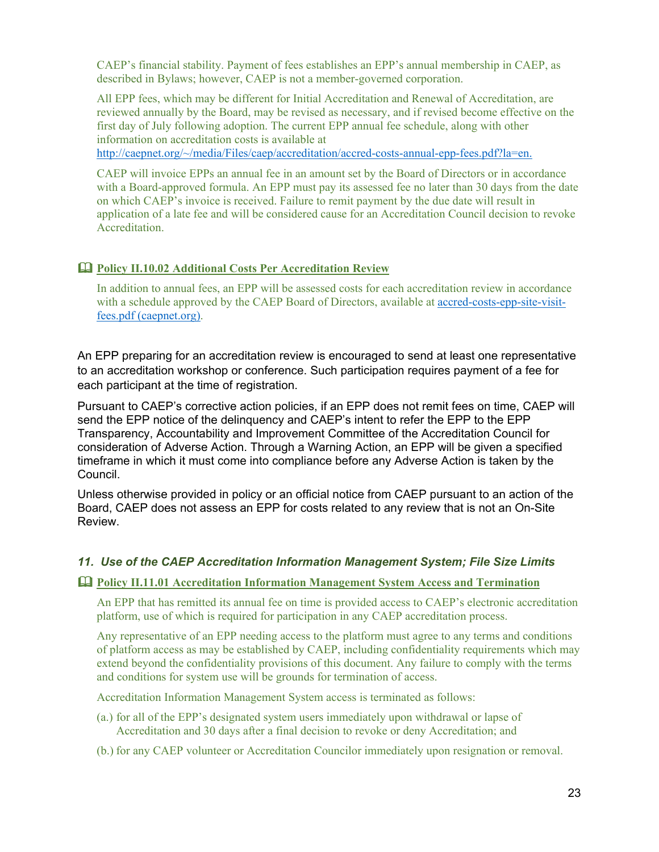CAEP's financial stability. Payment of fees establishes an EPP's annual membership in CAEP, as described in Bylaws; however, CAEP is not a member-governed corporation.

All EPP fees, which may be different for Initial Accreditation and Renewal of Accreditation, are reviewed annually by the Board, may be revised as necessary, and if revised become effective on the first day of July following adoption. The current EPP annual fee schedule, along with other information on accreditation costs is available at

[http://caepnet.org/~/media/Files/caep/accreditation/accred-costs-annual-epp-fees.pdf?la=en.](http://caepnet.org/%7E/media/Files/caep/accreditation/accred-costs-annual-epp-fees.pdf?la=en)

CAEP will invoice EPPs an annual fee in an amount set by the Board of Directors or in accordance with a Board-approved formula. An EPP must pay its assessed fee no later than 30 days from the date on which CAEP's invoice is received. Failure to remit payment by the due date will result in application of a late fee and will be considered cause for an Accreditation Council decision to revoke Accreditation.

## <span id="page-22-0"></span>**Policy II.10.02 Additional Costs Per Accreditation Review**

In addition to annual fees, an EPP will be assessed costs for each accreditation review in accordance with a schedule approved by the CAEP Board of Directors, available at [accred-costs-epp-site-visit](http://caepnet.org/%7E/media/Files/caep/accreditation/accred-costs-epp-site-visit-fees.pdf?la=en)[fees.pdf \(caepnet.org\).](http://caepnet.org/%7E/media/Files/caep/accreditation/accred-costs-epp-site-visit-fees.pdf?la=en)

An EPP preparing for an accreditation review is encouraged to send at least one representative to an accreditation workshop or conference. Such participation requires payment of a fee for each participant at the time of registration.

Pursuant to CAEP's corrective action policies, if an EPP does not remit fees on time, CAEP will send the EPP notice of the delinquency and CAEP's intent to refer the EPP to the EPP Transparency, Accountability and Improvement Committee of the Accreditation Council for consideration of Adverse Action. Through a Warning Action, an EPP will be given a specified timeframe in which it must come into compliance before any Adverse Action is taken by the Council.

Unless otherwise provided in policy or an official notice from CAEP pursuant to an action of the Board, CAEP does not assess an EPP for costs related to any review that is not an On-Site Review.

## <span id="page-22-1"></span>*11. Use of the CAEP Accreditation Information Management System; File Size Limits*

#### <span id="page-22-2"></span>**Policy II.11.01 Accreditation Information Management System Access and Termination**

An EPP that has remitted its annual fee on time is provided access to CAEP's electronic accreditation platform, use of which is required for participation in any CAEP accreditation process.

Any representative of an EPP needing access to the platform must agree to any terms and conditions of platform access as may be established by CAEP, including confidentiality requirements which may extend beyond the confidentiality provisions of this document. Any failure to comply with the terms and conditions for system use will be grounds for termination of access.

Accreditation Information Management System access is terminated as follows:

- (a.) for all of the EPP's designated system users immediately upon withdrawal or lapse of Accreditation and 30 days after a final decision to revoke or deny Accreditation; and
- (b.) for any CAEP volunteer or Accreditation Councilor immediately upon resignation or removal.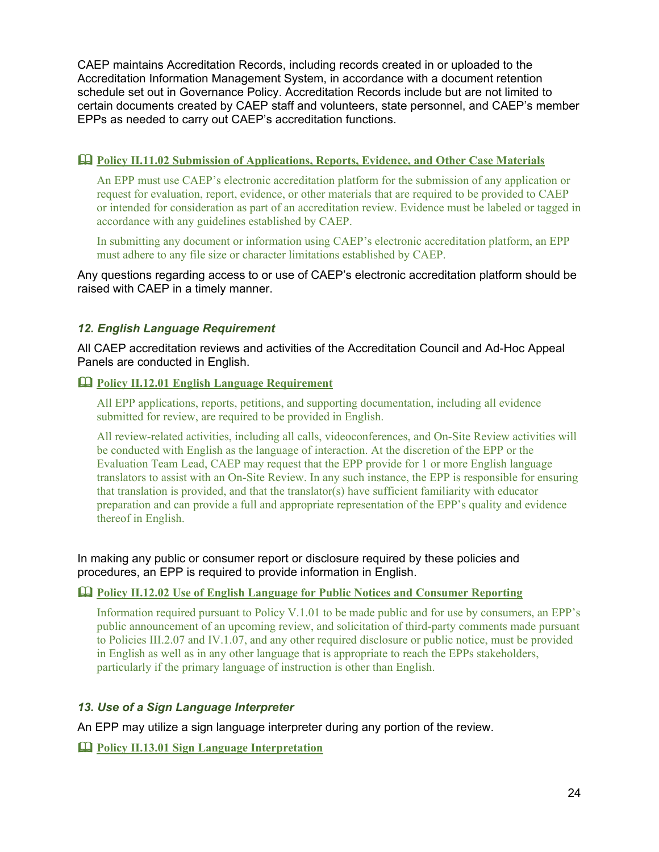CAEP maintains Accreditation Records, including records created in or uploaded to the Accreditation Information Management System, in accordance with a document retention schedule set out in Governance Policy. Accreditation Records include but are not limited to certain documents created by CAEP staff and volunteers, state personnel, and CAEP's member EPPs as needed to carry out CAEP's accreditation functions.

## <span id="page-23-0"></span>**Policy II.11.02 Submission of Applications, Reports, Evidence, and Other Case Materials**

An EPP must use CAEP's electronic accreditation platform for the submission of any application or request for evaluation, report, evidence, or other materials that are required to be provided to CAEP or intended for consideration as part of an accreditation review. Evidence must be labeled or tagged in accordance with any guidelines established by CAEP.

In submitting any document or information using CAEP's electronic accreditation platform, an EPP must adhere to any file size or character limitations established by CAEP.

Any questions regarding access to or use of CAEP's electronic accreditation platform should be raised with CAEP in a timely manner.

## <span id="page-23-1"></span>*12. English Language Requirement*

All CAEP accreditation reviews and activities of the Accreditation Council and Ad-Hoc Appeal Panels are conducted in English.

## <span id="page-23-2"></span>**Policy II.12.01 English Language Requirement**

All EPP applications, reports, petitions, and supporting documentation, including all evidence submitted for review, are required to be provided in English.

All review-related activities, including all calls, videoconferences, and On-Site Review activities will be conducted with English as the language of interaction. At the discretion of the EPP or the Evaluation Team Lead, CAEP may request that the EPP provide for 1 or more English language translators to assist with an On-Site Review. In any such instance, the EPP is responsible for ensuring that translation is provided, and that the translator(s) have sufficient familiarity with educator preparation and can provide a full and appropriate representation of the EPP's quality and evidence thereof in English.

In making any public or consumer report or disclosure required by these policies and procedures, an EPP is required to provide information in English.

#### <span id="page-23-3"></span>**Policy II.12.02 Use of English Language for Public Notices and Consumer Reporting**

Information required pursuant to Policy V.1.01 to be made public and for use by consumers, an EPP's public announcement of an upcoming review, and solicitation of third-party comments made pursuant to Policies III.2.07 and IV.1.07, and any other required disclosure or public notice, must be provided in English as well as in any other language that is appropriate to reach the EPPs stakeholders, particularly if the primary language of instruction is other than English.

## <span id="page-23-4"></span>*13. Use of a Sign Language Interpreter*

An EPP may utilize a sign language interpreter during any portion of the review.

<span id="page-23-5"></span>**Policy II.13.01 Sign Language Interpretation**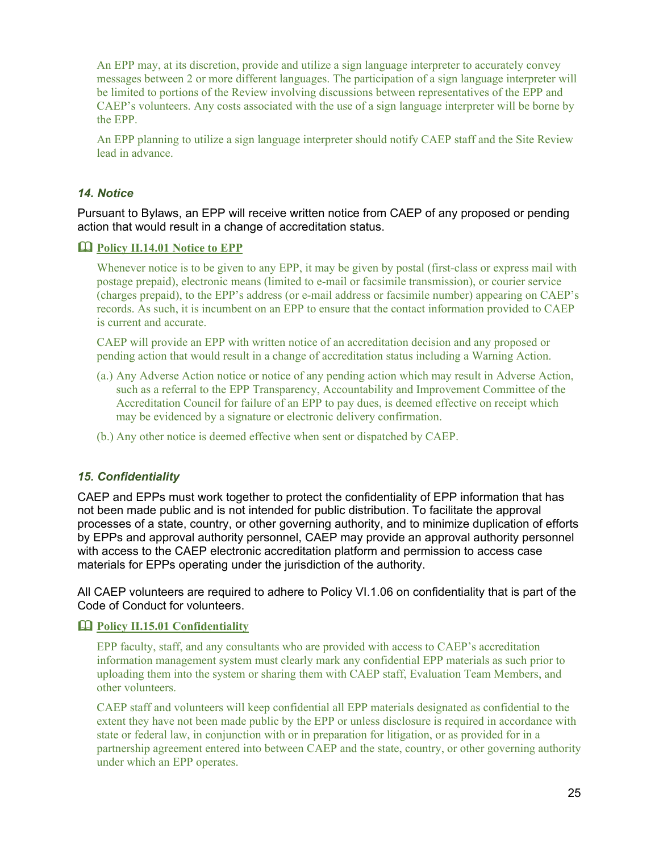An EPP may, at its discretion, provide and utilize a sign language interpreter to accurately convey messages between 2 or more different languages. The participation of a sign language interpreter will be limited to portions of the Review involving discussions between representatives of the EPP and CAEP's volunteers. Any costs associated with the use of a sign language interpreter will be borne by the EPP.

An EPP planning to utilize a sign language interpreter should notify CAEP staff and the Site Review lead in advance.

## <span id="page-24-0"></span>*14. Notice*

Pursuant to Bylaws, an EPP will receive written notice from CAEP of any proposed or pending action that would result in a change of accreditation status.

#### <span id="page-24-1"></span>**Policy II.14.01 Notice to EPP**

Whenever notice is to be given to any EPP, it may be given by postal (first-class or express mail with postage prepaid), electronic means (limited to e-mail or facsimile transmission), or courier service (charges prepaid), to the EPP's address (or e-mail address or facsimile number) appearing on CAEP's records. As such, it is incumbent on an EPP to ensure that the contact information provided to CAEP is current and accurate.

CAEP will provide an EPP with written notice of an accreditation decision and any proposed or pending action that would result in a change of accreditation status including a Warning Action.

- (a.) Any Adverse Action notice or notice of any pending action which may result in Adverse Action, such as a referral to the EPP Transparency, Accountability and Improvement Committee of the Accreditation Council for failure of an EPP to pay dues, is deemed effective on receipt which may be evidenced by a signature or electronic delivery confirmation.
- (b.) Any other notice is deemed effective when sent or dispatched by CAEP.

#### <span id="page-24-2"></span>*15. Confidentiality*

CAEP and EPPs must work together to protect the confidentiality of EPP information that has not been made public and is not intended for public distribution. To facilitate the approval processes of a state, country, or other governing authority, and to minimize duplication of efforts by EPPs and approval authority personnel, CAEP may provide an approval authority personnel with access to the CAEP electronic accreditation platform and permission to access case materials for EPPs operating under the jurisdiction of the authority.

All CAEP volunteers are required to adhere to Policy VI.1.06 on confidentiality that is part of the Code of Conduct for volunteers.

#### <span id="page-24-3"></span>**Policy II.15.01 Confidentiality**

EPP faculty, staff, and any consultants who are provided with access to CAEP's accreditation information management system must clearly mark any confidential EPP materials as such prior to uploading them into the system or sharing them with CAEP staff, Evaluation Team Members, and other volunteers.

CAEP staff and volunteers will keep confidential all EPP materials designated as confidential to the extent they have not been made public by the EPP or unless disclosure is required in accordance with state or federal law, in conjunction with or in preparation for litigation, or as provided for in a partnership agreement entered into between CAEP and the state, country, or other governing authority under which an EPP operates.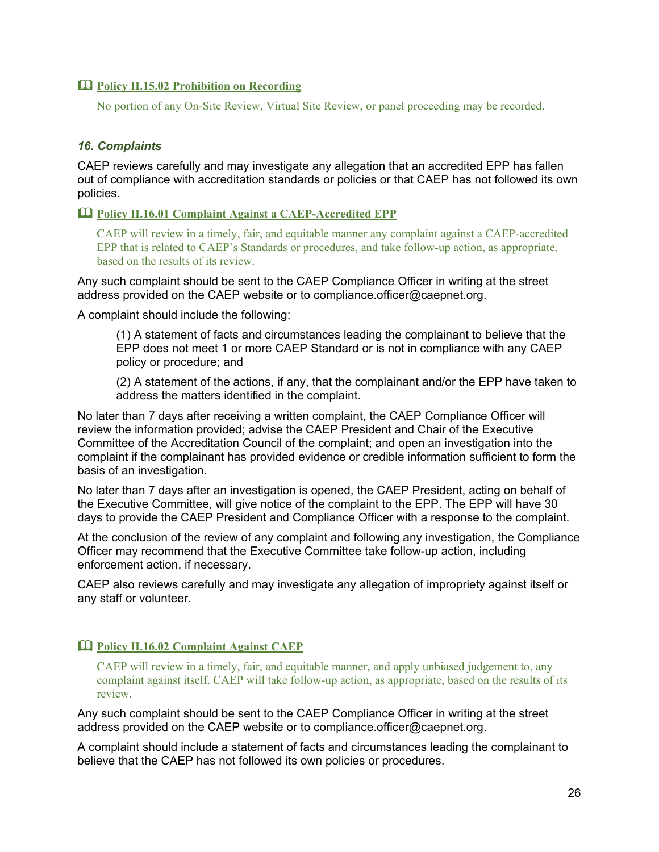## <span id="page-25-0"></span>**Policy II.15.02 Prohibition on Recording**

No portion of any On-Site Review, Virtual Site Review, or panel proceeding may be recorded.

## <span id="page-25-1"></span>*16. Complaints*

CAEP reviews carefully and may investigate any allegation that an accredited EPP has fallen out of compliance with accreditation standards or policies or that CAEP has not followed its own policies.

#### <span id="page-25-2"></span>**Policy II.16.01 Complaint Against a CAEP-Accredited EPP**

CAEP will review in a timely, fair, and equitable manner any complaint against a CAEP-accredited EPP that is related to CAEP's Standards or procedures, and take follow-up action, as appropriate, based on the results of its review.

Any such complaint should be sent to the CAEP Compliance Officer in writing at the street address provided on the CAEP website or to [compliance.officer@caepnet.org.](mailto:compliance.officer@caepnet.org)

A complaint should include the following:

(1) A statement of facts and circumstances leading the complainant to believe that the EPP does not meet 1 or more CAEP Standard or is not in compliance with any CAEP policy or procedure; and

(2) A statement of the actions, if any, that the complainant and/or the EPP have taken to address the matters identified in the complaint.

No later than 7 days after receiving a written complaint, the CAEP Compliance Officer will review the information provided; advise the CAEP President and Chair of the Executive Committee of the Accreditation Council of the complaint; and open an investigation into the complaint if the complainant has provided evidence or credible information sufficient to form the basis of an investigation.

No later than 7 days after an investigation is opened, the CAEP President, acting on behalf of the Executive Committee, will give notice of the complaint to the EPP. The EPP will have 30 days to provide the CAEP President and Compliance Officer with a response to the complaint.

At the conclusion of the review of any complaint and following any investigation, the Compliance Officer may recommend that the Executive Committee take follow-up action, including enforcement action, if necessary.

CAEP also reviews carefully and may investigate any allegation of impropriety against itself or any staff or volunteer.

## <span id="page-25-3"></span>**Policy II.16.02 Complaint Against CAEP**

CAEP will review in a timely, fair, and equitable manner, and apply unbiased judgement to, any complaint against itself. CAEP will take follow-up action, as appropriate, based on the results of its review.

Any such complaint should be sent to the CAEP Compliance Officer in writing at the street address provided on the CAEP website or to [compliance.officer@caepnet.org.](mailto:compliance.officer@caepnet.org)

A complaint should include a statement of facts and circumstances leading the complainant to believe that the CAEP has not followed its own policies or procedures.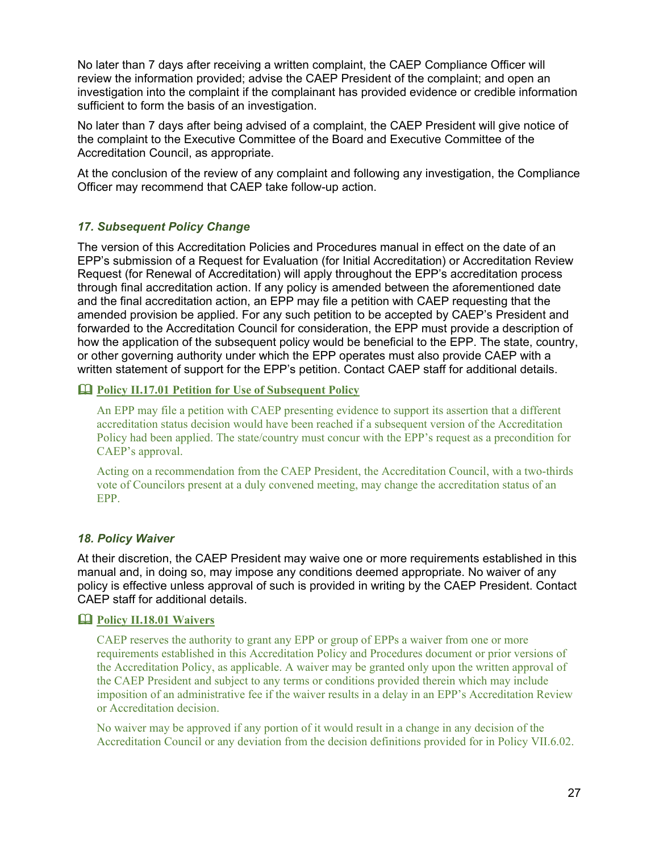No later than 7 days after receiving a written complaint, the CAEP Compliance Officer will review the information provided; advise the CAEP President of the complaint; and open an investigation into the complaint if the complainant has provided evidence or credible information sufficient to form the basis of an investigation.

No later than 7 days after being advised of a complaint, the CAEP President will give notice of the complaint to the Executive Committee of the Board and Executive Committee of the Accreditation Council, as appropriate.

At the conclusion of the review of any complaint and following any investigation, the Compliance Officer may recommend that CAEP take follow-up action.

## <span id="page-26-0"></span>*17. Subsequent Policy Change*

The version of this Accreditation Policies and Procedures manual in effect on the date of an EPP's submission of a Request for Evaluation (for Initial Accreditation) or Accreditation Review Request (for Renewal of Accreditation) will apply throughout the EPP's accreditation process through final accreditation action. If any policy is amended between the aforementioned date and the final accreditation action, an EPP may file a petition with CAEP requesting that the amended provision be applied. For any such petition to be accepted by CAEP's President and forwarded to the Accreditation Council for consideration, the EPP must provide a description of how the application of the subsequent policy would be beneficial to the EPP. The state, country, or other governing authority under which the EPP operates must also provide CAEP with a written statement of support for the EPP's petition. Contact CAEP staff for additional details.

## <span id="page-26-1"></span>**Policy II.17.01 Petition for Use of Subsequent Policy**

An EPP may file a petition with CAEP presenting evidence to support its assertion that a different accreditation status decision would have been reached if a subsequent version of the Accreditation Policy had been applied. The state/country must concur with the EPP's request as a precondition for CAEP's approval.

Acting on a recommendation from the CAEP President, the Accreditation Council, with a two-thirds vote of Councilors present at a duly convened meeting, may change the accreditation status of an EPP.

## <span id="page-26-2"></span>*18. Policy Waiver*

At their discretion, the CAEP President may waive one or more requirements established in this manual and, in doing so, may impose any conditions deemed appropriate. No waiver of any policy is effective unless approval of such is provided in writing by the CAEP President. Contact CAEP staff for additional details.

## <span id="page-26-3"></span>**Policy II.18.01 Waivers**

CAEP reserves the authority to grant any EPP or group of EPPs a waiver from one or more requirements established in this Accreditation Policy and Procedures document or prior versions of the Accreditation Policy, as applicable. A waiver may be granted only upon the written approval of the CAEP President and subject to any terms or conditions provided therein which may include imposition of an administrative fee if the waiver results in a delay in an EPP's Accreditation Review or Accreditation decision.

No waiver may be approved if any portion of it would result in a change in any decision of the Accreditation Council or any deviation from the decision definitions provided for in Policy VII.6.02.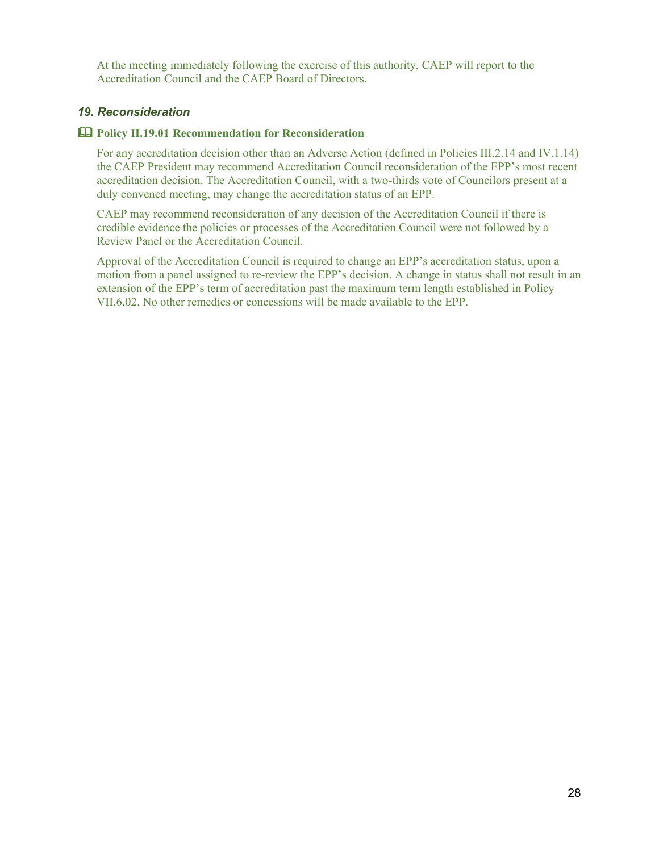At the meeting immediately following the exercise of this authority, CAEP will report to the Accreditation Council and the CAEP Board of Directors.

#### <span id="page-27-0"></span>*19. Reconsideration*

#### <span id="page-27-1"></span>**Policy II.19.01 Recommendation for Reconsideration**

For any accreditation decision other than an Adverse Action (defined in Policies III.2.14 and IV.1.14) the CAEP President may recommend Accreditation Council reconsideration of the EPP's most recent accreditation decision. The Accreditation Council, with a two-thirds vote of Councilors present at a duly convened meeting, may change the accreditation status of an EPP.

CAEP may recommend reconsideration of any decision of the Accreditation Council if there is credible evidence the policies or processes of the Accreditation Council were not followed by a Review Panel or the Accreditation Council.

Approval of the Accreditation Council is required to change an EPP's accreditation status, upon a motion from a panel assigned to re-review the EPP's decision. A change in status shall not result in an extension of the EPP's term of accreditation past the maximum term length established in Policy VII.6.02. No other remedies or concessions will be made available to the EPP.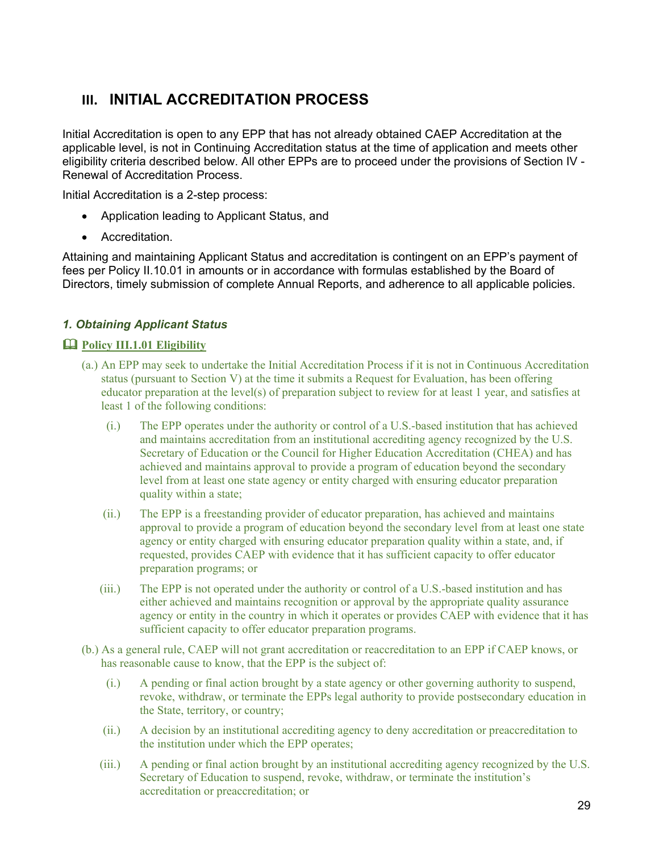## <span id="page-28-0"></span>**III. INITIAL ACCREDITATION PROCESS**

Initial Accreditation is open to any EPP that has not already obtained CAEP Accreditation at the applicable level, is not in Continuing Accreditation status at the time of application and meets other eligibility criteria described below. All other EPPs are to proceed under the provisions of Section IV - Renewal of Accreditation Process.

Initial Accreditation is a 2-step process:

- Application leading to Applicant Status, and
- Accreditation.

Attaining and maintaining Applicant Status and accreditation is contingent on an EPP's payment of fees per Policy II.10.01 in amounts or in accordance with formulas established by the Board of Directors, timely submission of complete Annual Reports, and adherence to all applicable policies.

## <span id="page-28-1"></span>*1. Obtaining Applicant Status*

## <span id="page-28-2"></span>**Policy III.1.01 Eligibility**

- (a.) An EPP may seek to undertake the Initial Accreditation Process if it is not in Continuous Accreditation status (pursuant to Section V) at the time it submits a Request for Evaluation, has been offering educator preparation at the level(s) of preparation subject to review for at least 1 year, and satisfies at least 1 of the following conditions:
	- (i.) The EPP operates under the authority or control of a U.S.-based institution that has achieved and maintains accreditation from an institutional accrediting agency recognized by the U.S. Secretary of Education or the Council for Higher Education Accreditation (CHEA) and has achieved and maintains approval to provide a program of education beyond the secondary level from at least one state agency or entity charged with ensuring educator preparation quality within a state;
	- (ii.) The EPP is a freestanding provider of educator preparation, has achieved and maintains approval to provide a program of education beyond the secondary level from at least one state agency or entity charged with ensuring educator preparation quality within a state, and, if requested, provides CAEP with evidence that it has sufficient capacity to offer educator preparation programs; or
	- (iii.) The EPP is not operated under the authority or control of a U.S.-based institution and has either achieved and maintains recognition or approval by the appropriate quality assurance agency or entity in the country in which it operates or provides CAEP with evidence that it has sufficient capacity to offer educator preparation programs.
- (b.) As a general rule, CAEP will not grant accreditation or reaccreditation to an EPP if CAEP knows, or has reasonable cause to know, that the EPP is the subject of:
	- (i.) A pending or final action brought by a state agency or other governing authority to suspend, revoke, withdraw, or terminate the EPPs legal authority to provide postsecondary education in the State, territory, or country;
	- (ii.) A decision by an institutional accrediting agency to deny accreditation or preaccreditation to the institution under which the EPP operates;
	- (iii.) A pending or final action brought by an institutional accrediting agency recognized by the U.S. Secretary of Education to suspend, revoke, withdraw, or terminate the institution's accreditation or preaccreditation; or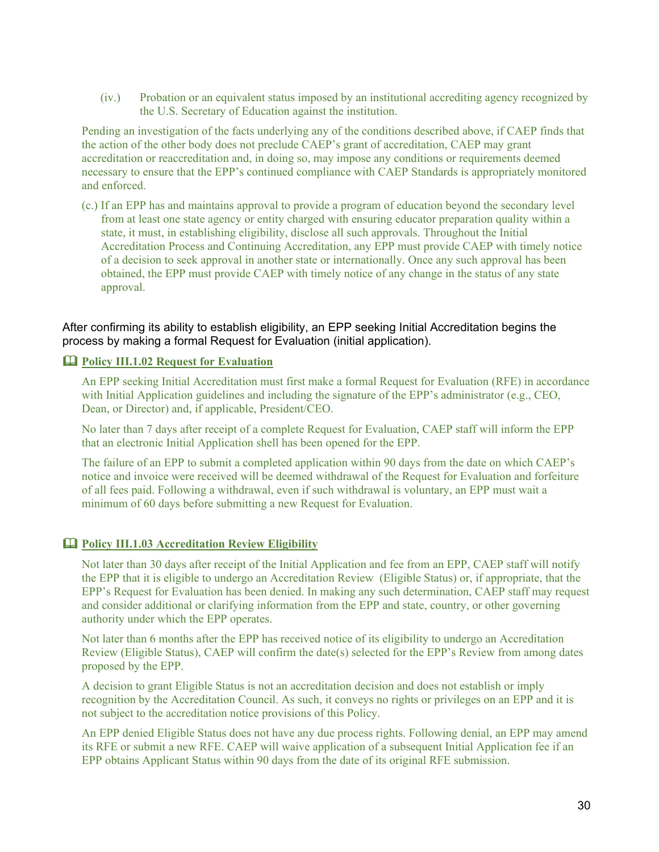(iv.) Probation or an equivalent status imposed by an institutional accrediting agency recognized by the U.S. Secretary of Education against the institution.

Pending an investigation of the facts underlying any of the conditions described above, if CAEP finds that the action of the other body does not preclude CAEP's grant of accreditation, CAEP may grant accreditation or reaccreditation and, in doing so, may impose any conditions or requirements deemed necessary to ensure that the EPP's continued compliance with CAEP Standards is appropriately monitored and enforced.

(c.) If an EPP has and maintains approval to provide a program of education beyond the secondary level from at least one state agency or entity charged with ensuring educator preparation quality within a state, it must, in establishing eligibility, disclose all such approvals. Throughout the Initial Accreditation Process and Continuing Accreditation, any EPP must provide CAEP with timely notice of a decision to seek approval in another state or internationally. Once any such approval has been obtained, the EPP must provide CAEP with timely notice of any change in the status of any state approval.

After confirming its ability to establish eligibility, an EPP seeking Initial Accreditation begins the process by making a formal Request for Evaluation (initial application).

#### <span id="page-29-0"></span>**Policy III.1.02 Request for Evaluation**

An EPP seeking Initial Accreditation must first make a formal Request for Evaluation (RFE) in accordance with Initial Application guidelines and including the signature of the EPP's administrator (e.g., CEO, Dean, or Director) and, if applicable, President/CEO.

No later than 7 days after receipt of a complete Request for Evaluation, CAEP staff will inform the EPP that an electronic Initial Application shell has been opened for the EPP.

The failure of an EPP to submit a completed application within 90 days from the date on which CAEP's notice and invoice were received will be deemed withdrawal of the Request for Evaluation and forfeiture of all fees paid. Following a withdrawal, even if such withdrawal is voluntary, an EPP must wait a minimum of 60 days before submitting a new Request for Evaluation.

#### <span id="page-29-1"></span>**Policy III.1.03 Accreditation Review Eligibility**

Not later than 30 days after receipt of the Initial Application and fee from an EPP, CAEP staff will notify the EPP that it is eligible to undergo an Accreditation Review (Eligible Status) or, if appropriate, that the EPP's Request for Evaluation has been denied. In making any such determination, CAEP staff may request and consider additional or clarifying information from the EPP and state, country, or other governing authority under which the EPP operates.

Not later than 6 months after the EPP has received notice of its eligibility to undergo an Accreditation Review (Eligible Status), CAEP will confirm the date(s) selected for the EPP's Review from among dates proposed by the EPP.

A decision to grant Eligible Status is not an accreditation decision and does not establish or imply recognition by the Accreditation Council. As such, it conveys no rights or privileges on an EPP and it is not subject to the accreditation notice provisions of this Policy.

An EPP denied Eligible Status does not have any due process rights. Following denial, an EPP may amend its RFE or submit a new RFE. CAEP will waive application of a subsequent Initial Application fee if an EPP obtains Applicant Status within 90 days from the date of its original RFE submission.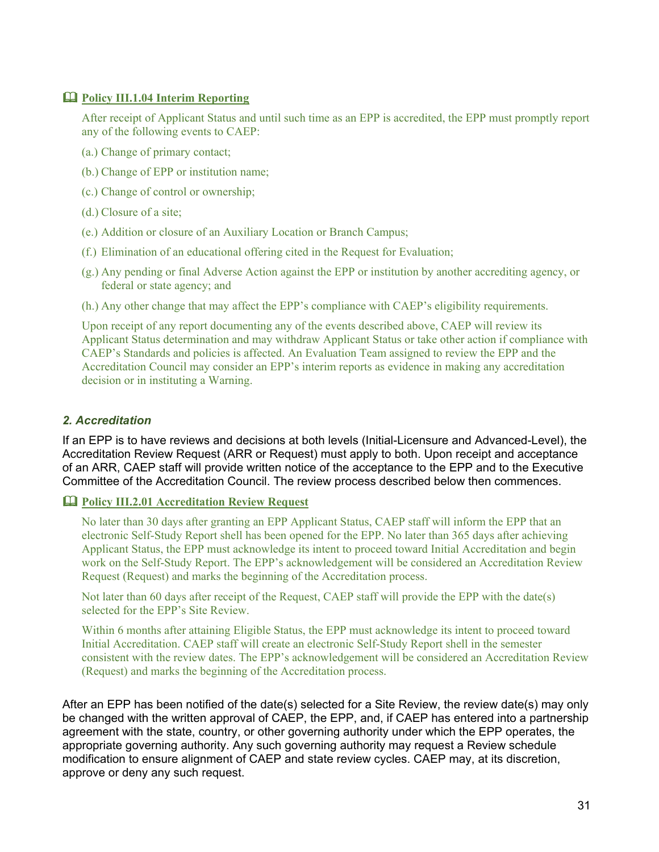## <span id="page-30-0"></span>**Policy III.1.04 Interim Reporting**

After receipt of Applicant Status and until such time as an EPP is accredited, the EPP must promptly report any of the following events to CAEP:

- (a.) Change of primary contact;
- (b.) Change of EPP or institution name;
- (c.) Change of control or ownership;
- (d.) Closure of a site;
- (e.) Addition or closure of an Auxiliary Location or Branch Campus;
- (f.) Elimination of an educational offering cited in the Request for Evaluation;
- (g.) Any pending or final Adverse Action against the EPP or institution by another accrediting agency, or federal or state agency; and
- (h.) Any other change that may affect the EPP's compliance with CAEP's eligibility requirements.

Upon receipt of any report documenting any of the events described above, CAEP will review its Applicant Status determination and may withdraw Applicant Status or take other action if compliance with CAEP's Standards and policies is affected. An Evaluation Team assigned to review the EPP and the Accreditation Council may consider an EPP's interim reports as evidence in making any accreditation decision or in instituting a Warning.

## <span id="page-30-1"></span>*2. Accreditation*

If an EPP is to have reviews and decisions at both levels (Initial-Licensure and Advanced-Level), the Accreditation Review Request (ARR or Request) must apply to both. Upon receipt and acceptance of an ARR, CAEP staff will provide written notice of the acceptance to the EPP and to the Executive Committee of the Accreditation Council. The review process described below then commences.

#### <span id="page-30-2"></span>**Policy III.2.01 Accreditation Review Request**

No later than 30 days after granting an EPP Applicant Status, CAEP staff will inform the EPP that an electronic Self-Study Report shell has been opened for the EPP. No later than 365 days after achieving Applicant Status, the EPP must acknowledge its intent to proceed toward Initial Accreditation and begin work on the Self-Study Report. The EPP's acknowledgement will be considered an Accreditation Review Request (Request) and marks the beginning of the Accreditation process.

Not later than 60 days after receipt of the Request, CAEP staff will provide the EPP with the date(s) selected for the EPP's Site Review.

Within 6 months after attaining Eligible Status, the EPP must acknowledge its intent to proceed toward Initial Accreditation. CAEP staff will create an electronic Self-Study Report shell in the semester consistent with the review dates. The EPP's acknowledgement will be considered an Accreditation Review (Request) and marks the beginning of the Accreditation process.

After an EPP has been notified of the date(s) selected for a Site Review, the review date(s) may only be changed with the written approval of CAEP, the EPP, and, if CAEP has entered into a partnership agreement with the state, country, or other governing authority under which the EPP operates, the appropriate governing authority. Any such governing authority may request a Review schedule modification to ensure alignment of CAEP and state review cycles. CAEP may, at its discretion, approve or deny any such request.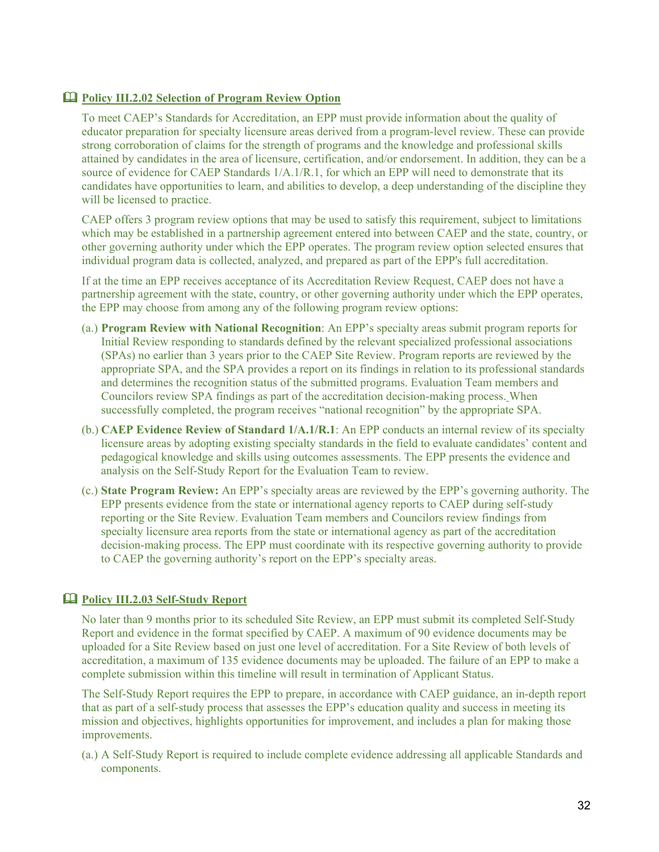## **Policy III.2.02 Selection of Program Review Option**

To meet CAEP's Standards for Accreditation, an EPP must provide information about the quality of educator preparation for specialty licensure areas derived from a program-level review. These can provide strong corroboration of claims for the strength of programs and the knowledge and professional skills attained by candidates in the area of licensure, certification, and/or endorsement. In addition, they can be a source of evidence for CAEP Standards 1/A.1/R.1, for which an EPP will need to demonstrate that its candidates have opportunities to learn, and abilities to develop, a deep understanding of the discipline they will be licensed to practice.

CAEP offers 3 program review options that may be used to satisfy this requirement, subject to limitations which may be established in a partnership agreement entered into between CAEP and the state, country, or other governing authority under which the EPP operates. The program review option selected ensures that individual program data is collected, analyzed, and prepared as part of the EPP's full accreditation.

If at the time an EPP receives acceptance of its Accreditation Review Request, CAEP does not have a partnership agreement with the state, country, or other governing authority under which the EPP operates, the EPP may choose from among any of the following program review options:

- (a.) **Program Review with National Recognition**: An EPP's specialty areas submit program reports for Initial Review responding to standards defined by the relevant specialized professional associations (SPAs) no earlier than 3 years prior to the CAEP Site Review. Program reports are reviewed by the appropriate SPA, and the SPA provides a report on its findings in relation to its professional standards and determines the recognition status of the submitted programs. Evaluation Team members and Councilors review SPA findings as part of the accreditation decision-making process. When successfully completed, the program receives "national recognition" by the appropriate SPA.
- (b.) **CAEP Evidence Review of Standard 1/A.1/R.1**: An EPP conducts an internal review of its specialty licensure areas by adopting existing specialty standards in the field to evaluate candidates' content and pedagogical knowledge and skills using outcomes assessments. The EPP presents the evidence and analysis on the Self-Study Report for the Evaluation Team to review.
- (c.) **State Program Review:** An EPP's specialty areas are reviewed by the EPP's governing authority. The EPP presents evidence from the state or international agency reports to CAEP during self-study reporting or the Site Review. Evaluation Team members and Councilors review findings from specialty licensure area reports from the state or international agency as part of the accreditation decision-making process. The EPP must coordinate with its respective governing authority to provide to CAEP the governing authority's report on the EPP's specialty areas.

## **Policy III.2.03 Self-Study Report**

No later than 9 months prior to its scheduled Site Review, an EPP must submit its completed Self-Study Report and evidence in the format specified by CAEP. A maximum of 90 evidence documents may be uploaded for a Site Review based on just one level of accreditation. For a Site Review of both levels of accreditation, a maximum of 135 evidence documents may be uploaded. The failure of an EPP to make a complete submission within this timeline will result in termination of Applicant Status.

The Self-Study Report requires the EPP to prepare, in accordance with CAEP guidance, an in-depth report that as part of a self-study process that assesses the EPP's education quality and success in meeting its mission and objectives, highlights opportunities for improvement, and includes a plan for making those improvements.

(a.) A Self-Study Report is required to include complete evidence addressing all applicable Standards and components.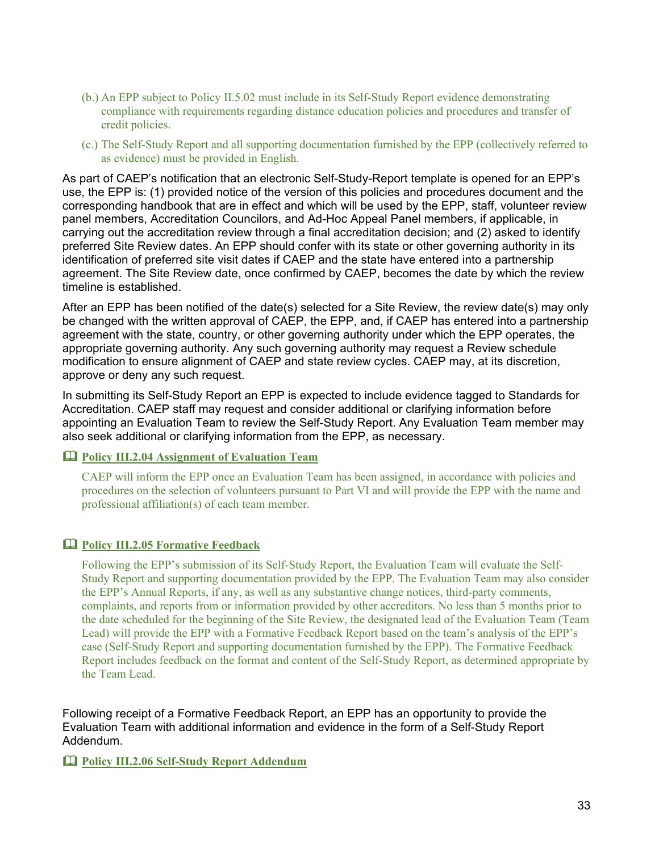- (b.) An EPP subject to Policy II.5.02 must include in its Self-Study Report evidence demonstrating compliance with requirements regarding distance education policies and procedures and transfer of credit policies.
- (c.) The Self-Study Report and all supporting documentation furnished by the EPP (collectively referred to as evidence) must be provided in English.

As part of CAEP's notification that an electronic Self-Study-Report template is opened for an EPP's use, the EPP is: (1) provided notice of the version of this policies and procedures document and the corresponding handbook that are in effect and which will be used by the EPP, staff, volunteer review panel members, Accreditation Councilors, and Ad-Hoc Appeal Panel members, if applicable, in carrying out the accreditation review through a final accreditation decision; and (2) asked to identify preferred Site Review dates. An EPP should confer with its state or other governing authority in its identification of preferred site visit dates if CAEP and the state have entered into a partnership agreement. The Site Review date, once confirmed by CAEP, becomes the date by which the review timeline is established.

After an EPP has been notified of the date(s) selected for a Site Review, the review date(s) may only be changed with the written approval of CAEP, the EPP, and, if CAEP has entered into a partnership agreement with the state, country, or other governing authority under which the EPP operates, the appropriate governing authority. Any such governing authority may request a Review schedule modification to ensure alignment of CAEP and state review cycles. CAEP may, at its discretion, approve or deny any such request.

In submitting its Self-Study Report an EPP is expected to include evidence tagged to Standards for Accreditation. CAEP staff may request and consider additional or clarifying information before appointing an Evaluation Team to review the Self-Study Report. Any Evaluation Team member may also seek additional or clarifying information from the EPP, as necessary.

<span id="page-32-0"></span>**Policy III.2.04 Assignment of Evaluation Team**

CAEP will inform the EPP once an Evaluation Team has been assigned, in accordance with policies and procedures on the selection of volunteers pursuant to Part VI and will provide the EPP with the name and professional affiliation(s) of each team member.

## <span id="page-32-1"></span>**Policy III.2.05 Formative Feedback**

Following the EPP's submission of its Self-Study Report, the Evaluation Team will evaluate the Self-Study Report and supporting documentation provided by the EPP. The Evaluation Team may also consider the EPP's Annual Reports, if any, as well as any substantive change notices, third-party comments, complaints, and reports from or information provided by other accreditors. No less than 5 months prior to the date scheduled for the beginning of the Site Review, the designated lead of the Evaluation Team (Team Lead) will provide the EPP with a Formative Feedback Report based on the team's analysis of the EPP's case (Self-Study Report and supporting documentation furnished by the EPP). The Formative Feedback Report includes feedback on the format and content of the Self-Study Report, as determined appropriate by the Team Lead.

Following receipt of a Formative Feedback Report, an EPP has an opportunity to provide the Evaluation Team with additional information and evidence in the form of a Self-Study Report Addendum.

<span id="page-32-2"></span>**Policy III.2.06 Self-Study Report Addendum**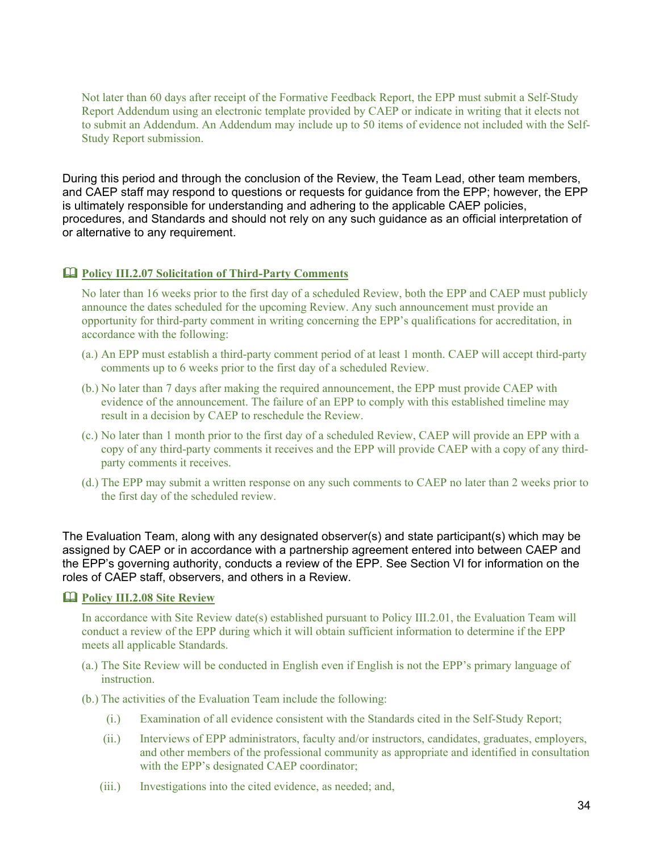Not later than 60 days after receipt of the Formative Feedback Report, the EPP must submit a Self-Study Report Addendum using an electronic template provided by CAEP or indicate in writing that it elects not to submit an Addendum. An Addendum may include up to 50 items of evidence not included with the Self-Study Report submission.

During this period and through the conclusion of the Review, the Team Lead, other team members, and CAEP staff may respond to questions or requests for guidance from the EPP; however, the EPP is ultimately responsible for understanding and adhering to the applicable CAEP policies, procedures, and Standards and should not rely on any such guidance as an official interpretation of or alternative to any requirement.

## <span id="page-33-0"></span>**Policy III.2.07 Solicitation of Third-Party Comments**

No later than 16 weeks prior to the first day of a scheduled Review, both the EPP and CAEP must publicly announce the dates scheduled for the upcoming Review. Any such announcement must provide an opportunity for third-party comment in writing concerning the EPP's qualifications for accreditation, in accordance with the following:

- (a.) An EPP must establish a third-party comment period of at least 1 month. CAEP will accept third-party comments up to 6 weeks prior to the first day of a scheduled Review.
- (b.) No later than 7 days after making the required announcement, the EPP must provide CAEP with evidence of the announcement. The failure of an EPP to comply with this established timeline may result in a decision by CAEP to reschedule the Review.
- (c.) No later than 1 month prior to the first day of a scheduled Review, CAEP will provide an EPP with a copy of any third-party comments it receives and the EPP will provide CAEP with a copy of any thirdparty comments it receives.
- (d.) The EPP may submit a written response on any such comments to CAEP no later than 2 weeks prior to the first day of the scheduled review.

The Evaluation Team, along with any designated observer(s) and state participant(s) which may be assigned by CAEP or in accordance with a partnership agreement entered into between CAEP and the EPP's governing authority, conducts a review of the EPP. See Section VI for information on the roles of CAEP staff, observers, and others in a Review.

## <span id="page-33-1"></span>**Policy III.2.08 Site Review**

In accordance with Site Review date(s) established pursuant to Policy III.2.01, the Evaluation Team will conduct a review of the EPP during which it will obtain sufficient information to determine if the EPP meets all applicable Standards.

- (a.) The Site Review will be conducted in English even if English is not the EPP's primary language of instruction.
- (b.) The activities of the Evaluation Team include the following:
	- (i.) Examination of all evidence consistent with the Standards cited in the Self-Study Report;
	- (ii.) Interviews of EPP administrators, faculty and/or instructors, candidates, graduates, employers, and other members of the professional community as appropriate and identified in consultation with the EPP's designated CAEP coordinator;
	- (iii.) Investigations into the cited evidence, as needed; and,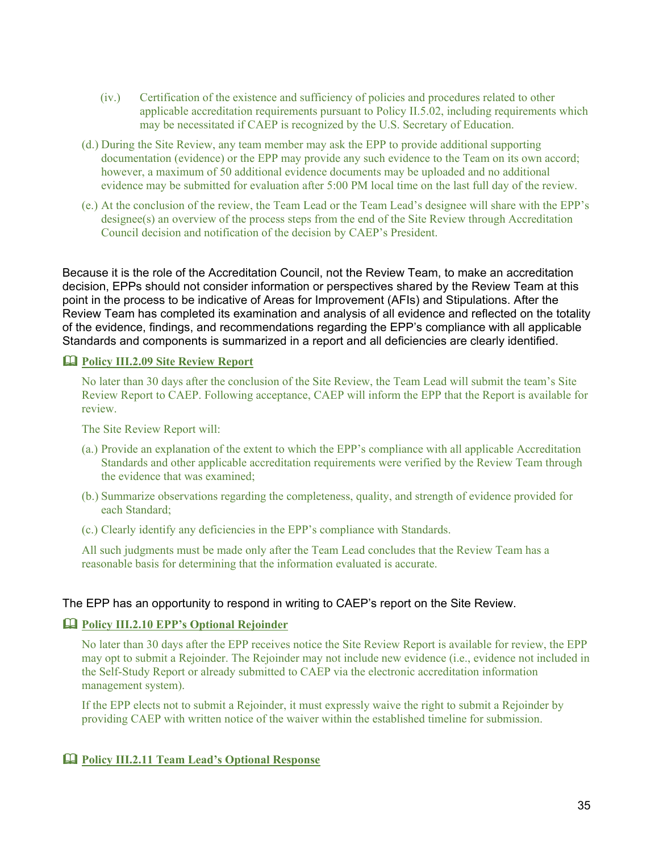- (iv.) Certification of the existence and sufficiency of policies and procedures related to other applicable accreditation requirements pursuant to Policy II.5.02, including requirements which may be necessitated if CAEP is recognized by the U.S. Secretary of Education.
- (d.) During the Site Review, any team member may ask the EPP to provide additional supporting documentation (evidence) or the EPP may provide any such evidence to the Team on its own accord; however, a maximum of 50 additional evidence documents may be uploaded and no additional evidence may be submitted for evaluation after 5:00 PM local time on the last full day of the review.
- (e.) At the conclusion of the review, the Team Lead or the Team Lead's designee will share with the EPP's designee(s) an overview of the process steps from the end of the Site Review through Accreditation Council decision and notification of the decision by CAEP's President.

Because it is the role of the Accreditation Council, not the Review Team, to make an accreditation decision, EPPs should not consider information or perspectives shared by the Review Team at this point in the process to be indicative of Areas for Improvement (AFIs) and Stipulations. After the Review Team has completed its examination and analysis of all evidence and reflected on the totality of the evidence, findings, and recommendations regarding the EPP's compliance with all applicable Standards and components is summarized in a report and all deficiencies are clearly identified.

#### <span id="page-34-0"></span>**Policy III.2.09 Site Review Report**

No later than 30 days after the conclusion of the Site Review, the Team Lead will submit the team's Site Review Report to CAEP. Following acceptance, CAEP will inform the EPP that the Report is available for review.

The Site Review Report will:

- (a.) Provide an explanation of the extent to which the EPP's compliance with all applicable Accreditation Standards and other applicable accreditation requirements were verified by the Review Team through the evidence that was examined;
- (b.) Summarize observations regarding the completeness, quality, and strength of evidence provided for each Standard;
- (c.) Clearly identify any deficiencies in the EPP's compliance with Standards.

All such judgments must be made only after the Team Lead concludes that the Review Team has a reasonable basis for determining that the information evaluated is accurate.

#### The EPP has an opportunity to respond in writing to CAEP's report on the Site Review.

## <span id="page-34-1"></span>**Policy III.2.10 EPP's Optional Rejoinder**

No later than 30 days after the EPP receives notice the Site Review Report is available for review, the EPP may opt to submit a Rejoinder. The Rejoinder may not include new evidence (i.e., evidence not included in the Self-Study Report or already submitted to CAEP via the electronic accreditation information management system).

If the EPP elects not to submit a Rejoinder, it must expressly waive the right to submit a Rejoinder by providing CAEP with written notice of the waiver within the established timeline for submission.

## <span id="page-34-2"></span>**Policy III.2.11 Team Lead's Optional Response**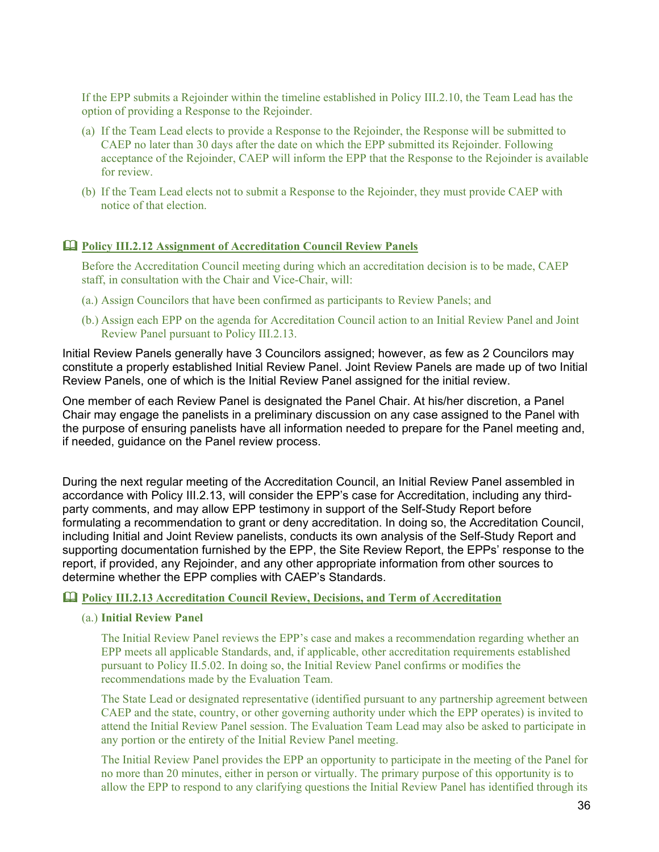If the EPP submits a Rejoinder within the timeline established in Policy III.2.10, the Team Lead has the option of providing a Response to the Rejoinder.

- (a) If the Team Lead elects to provide a Response to the Rejoinder, the Response will be submitted to CAEP no later than 30 days after the date on which the EPP submitted its Rejoinder. Following acceptance of the Rejoinder, CAEP will inform the EPP that the Response to the Rejoinder is available for review.
- (b) If the Team Lead elects not to submit a Response to the Rejoinder, they must provide CAEP with notice of that election.

#### <span id="page-35-0"></span>**Policy III.2.12 Assignment of Accreditation Council Review Panels**

Before the Accreditation Council meeting during which an accreditation decision is to be made, CAEP staff, in consultation with the Chair and Vice-Chair, will:

- (a.) Assign Councilors that have been confirmed as participants to Review Panels; and
- (b.) Assign each EPP on the agenda for Accreditation Council action to an Initial Review Panel and Joint Review Panel pursuant to Policy III.2.13.

Initial Review Panels generally have 3 Councilors assigned; however, as few as 2 Councilors may constitute a properly established Initial Review Panel. Joint Review Panels are made up of two Initial Review Panels, one of which is the Initial Review Panel assigned for the initial review.

One member of each Review Panel is designated the Panel Chair. At his/her discretion, a Panel Chair may engage the panelists in a preliminary discussion on any case assigned to the Panel with the purpose of ensuring panelists have all information needed to prepare for the Panel meeting and, if needed, guidance on the Panel review process.

During the next regular meeting of the Accreditation Council, an Initial Review Panel assembled in accordance with Policy III.2.13, will consider the EPP's case for Accreditation, including any thirdparty comments, and may allow EPP testimony in support of the Self-Study Report before formulating a recommendation to grant or deny accreditation. In doing so, the Accreditation Council, including Initial and Joint Review panelists, conducts its own analysis of the Self-Study Report and supporting documentation furnished by the EPP, the Site Review Report, the EPPs' response to the report, if provided, any Rejoinder, and any other appropriate information from other sources to determine whether the EPP complies with CAEP's Standards.

#### <span id="page-35-1"></span>**Policy III.2.13 Accreditation Council Review, Decisions, and Term of Accreditation**

#### (a.) **Initial Review Panel**

The Initial Review Panel reviews the EPP's case and makes a recommendation regarding whether an EPP meets all applicable Standards, and, if applicable, other accreditation requirements established pursuant to Policy II.5.02. In doing so, the Initial Review Panel confirms or modifies the recommendations made by the Evaluation Team.

The State Lead or designated representative (identified pursuant to any partnership agreement between CAEP and the state, country, or other governing authority under which the EPP operates) is invited to attend the Initial Review Panel session. The Evaluation Team Lead may also be asked to participate in any portion or the entirety of the Initial Review Panel meeting.

The Initial Review Panel provides the EPP an opportunity to participate in the meeting of the Panel for no more than 20 minutes, either in person or virtually. The primary purpose of this opportunity is to allow the EPP to respond to any clarifying questions the Initial Review Panel has identified through its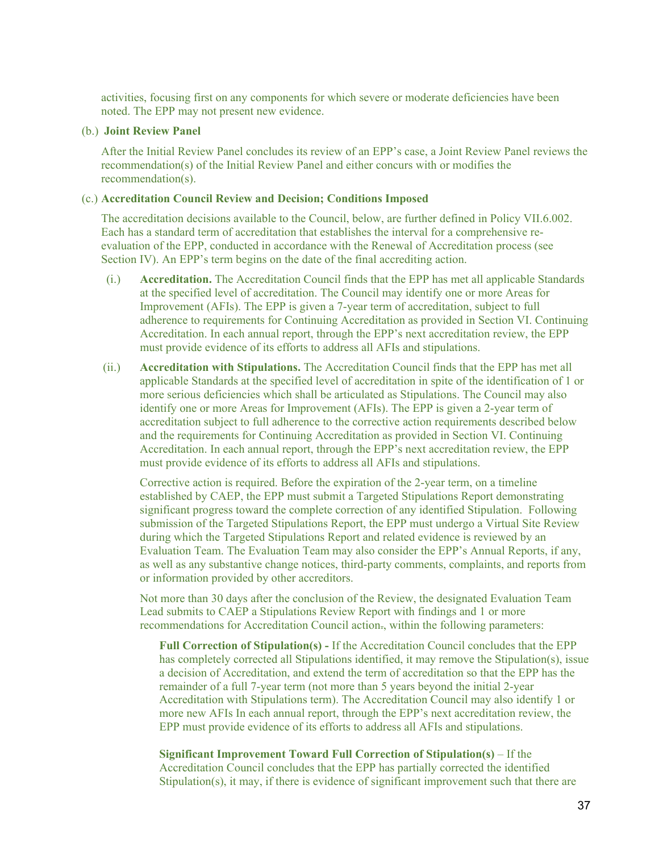activities, focusing first on any components for which severe or moderate deficiencies have been noted. The EPP may not present new evidence.

#### (b.) **Joint Review Panel**

After the Initial Review Panel concludes its review of an EPP's case, a Joint Review Panel reviews the recommendation(s) of the Initial Review Panel and either concurs with or modifies the recommendation(s).

#### (c.) **Accreditation Council Review and Decision; Conditions Imposed**

The accreditation decisions available to the Council, below, are further defined in Policy VII.6.002. Each has a standard term of accreditation that establishes the interval for a comprehensive reevaluation of the EPP, conducted in accordance with the Renewal of Accreditation process (see Section IV). An EPP's term begins on the date of the final accrediting action.

- (i.) **Accreditation.** The Accreditation Council finds that the EPP has met all applicable Standards at the specified level of accreditation. The Council may identify one or more Areas for Improvement (AFIs). The EPP is given a 7-year term of accreditation, subject to full adherence to requirements for Continuing Accreditation as provided in Section VI. Continuing Accreditation. In each annual report, through the EPP's next accreditation review, the EPP must provide evidence of its efforts to address all AFIs and stipulations.
- (ii.) **Accreditation with Stipulations.** The Accreditation Council finds that the EPP has met all applicable Standards at the specified level of accreditation in spite of the identification of 1 or more serious deficiencies which shall be articulated as Stipulations. The Council may also identify one or more Areas for Improvement (AFIs). The EPP is given a 2-year term of accreditation subject to full adherence to the corrective action requirements described below and the requirements for Continuing Accreditation as provided in Section VI. Continuing Accreditation. In each annual report, through the EPP's next accreditation review, the EPP must provide evidence of its efforts to address all AFIs and stipulations.

Corrective action is required. Before the expiration of the 2-year term, on a timeline established by CAEP, the EPP must submit a Targeted Stipulations Report demonstrating significant progress toward the complete correction of any identified Stipulation. Following submission of the Targeted Stipulations Report, the EPP must undergo a Virtual Site Review during which the Targeted Stipulations Report and related evidence is reviewed by an Evaluation Team. The Evaluation Team may also consider the EPP's Annual Reports, if any, as well as any substantive change notices, third-party comments, complaints, and reports from or information provided by other accreditors.

Not more than 30 days after the conclusion of the Review, the designated Evaluation Team Lead submits to CAEP a Stipulations Review Report with findings and 1 or more recommendations for Accreditation Council action., within the following parameters:

**Full Correction of Stipulation(s) -** If the Accreditation Council concludes that the EPP has completely corrected all Stipulations identified, it may remove the Stipulation(s), issue a decision of Accreditation, and extend the term of accreditation so that the EPP has the remainder of a full 7-year term (not more than 5 years beyond the initial 2-year Accreditation with Stipulations term). The Accreditation Council may also identify 1 or more new AFIs In each annual report, through the EPP's next accreditation review, the EPP must provide evidence of its efforts to address all AFIs and stipulations.

**Significant Improvement Toward Full Correction of Stipulation(s)** – If the Accreditation Council concludes that the EPP has partially corrected the identified Stipulation(s), it may, if there is evidence of significant improvement such that there are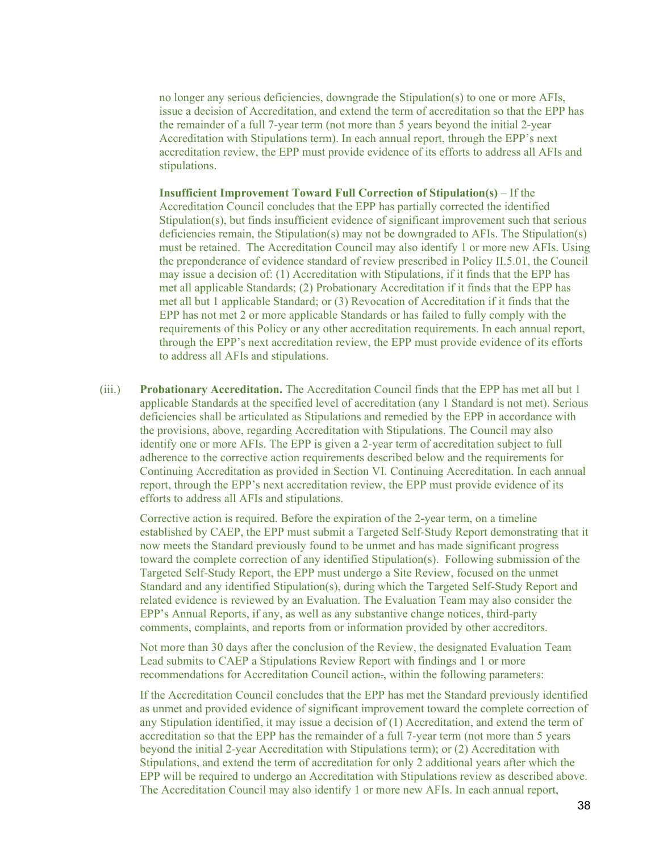no longer any serious deficiencies, downgrade the Stipulation(s) to one or more AFIs, issue a decision of Accreditation, and extend the term of accreditation so that the EPP has the remainder of a full 7-year term (not more than 5 years beyond the initial 2-year Accreditation with Stipulations term). In each annual report, through the EPP's next accreditation review, the EPP must provide evidence of its efforts to address all AFIs and stipulations.

**Insufficient Improvement Toward Full Correction of Stipulation(s)** – If the Accreditation Council concludes that the EPP has partially corrected the identified Stipulation(s), but finds insufficient evidence of significant improvement such that serious deficiencies remain, the Stipulation(s) may not be downgraded to AFIs. The Stipulation(s) must be retained. The Accreditation Council may also identify 1 or more new AFIs. Using the preponderance of evidence standard of review prescribed in Policy II.5.01, the Council may issue a decision of: (1) Accreditation with Stipulations, if it finds that the EPP has met all applicable Standards; (2) Probationary Accreditation if it finds that the EPP has met all but 1 applicable Standard; or (3) Revocation of Accreditation if it finds that the EPP has not met 2 or more applicable Standards or has failed to fully comply with the requirements of this Policy or any other accreditation requirements. In each annual report, through the EPP's next accreditation review, the EPP must provide evidence of its efforts to address all AFIs and stipulations.

(iii.) **Probationary Accreditation.** The Accreditation Council finds that the EPP has met all but 1 applicable Standards at the specified level of accreditation (any 1 Standard is not met). Serious deficiencies shall be articulated as Stipulations and remedied by the EPP in accordance with the provisions, above, regarding Accreditation with Stipulations. The Council may also identify one or more AFIs. The EPP is given a 2-year term of accreditation subject to full adherence to the corrective action requirements described below and the requirements for Continuing Accreditation as provided in Section VI. Continuing Accreditation. In each annual report, through the EPP's next accreditation review, the EPP must provide evidence of its efforts to address all AFIs and stipulations.

Corrective action is required. Before the expiration of the 2-year term, on a timeline established by CAEP, the EPP must submit a Targeted Self-Study Report demonstrating that it now meets the Standard previously found to be unmet and has made significant progress toward the complete correction of any identified Stipulation(s). Following submission of the Targeted Self-Study Report, the EPP must undergo a Site Review, focused on the unmet Standard and any identified Stipulation(s), during which the Targeted Self-Study Report and related evidence is reviewed by an Evaluation. The Evaluation Team may also consider the EPP's Annual Reports, if any, as well as any substantive change notices, third-party comments, complaints, and reports from or information provided by other accreditors.

Not more than 30 days after the conclusion of the Review, the designated Evaluation Team Lead submits to CAEP a Stipulations Review Report with findings and 1 or more recommendations for Accreditation Council action-, within the following parameters:

If the Accreditation Council concludes that the EPP has met the Standard previously identified as unmet and provided evidence of significant improvement toward the complete correction of any Stipulation identified, it may issue a decision of (1) Accreditation, and extend the term of accreditation so that the EPP has the remainder of a full 7-year term (not more than 5 years beyond the initial 2-year Accreditation with Stipulations term); or (2) Accreditation with Stipulations, and extend the term of accreditation for only 2 additional years after which the EPP will be required to undergo an Accreditation with Stipulations review as described above. The Accreditation Council may also identify 1 or more new AFIs. In each annual report,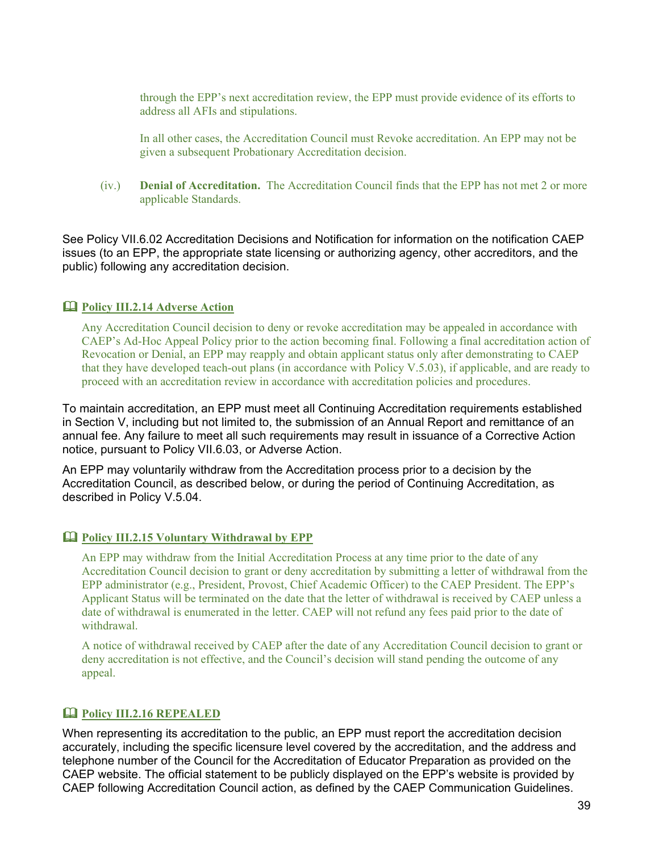through the EPP's next accreditation review, the EPP must provide evidence of its efforts to address all AFIs and stipulations.

In all other cases, the Accreditation Council must Revoke accreditation. An EPP may not be given a subsequent Probationary Accreditation decision.

(iv.) **Denial of Accreditation.** The Accreditation Council finds that the EPP has not met 2 or more applicable Standards.

See Policy VII.6.02 Accreditation Decisions and Notification for information on the notification CAEP issues (to an EPP, the appropriate state licensing or authorizing agency, other accreditors, and the public) following any accreditation decision.

#### **Policy III.2.14 Adverse Action**

Any Accreditation Council decision to deny or revoke accreditation may be appealed in accordance with CAEP's Ad-Hoc Appeal Policy prior to the action becoming final. Following a final accreditation action of Revocation or Denial, an EPP may reapply and obtain applicant status only after demonstrating to CAEP that they have developed teach-out plans (in accordance with Policy V.5.03), if applicable, and are ready to proceed with an accreditation review in accordance with accreditation policies and procedures.

To maintain accreditation, an EPP must meet all Continuing Accreditation requirements established in Section V, including but not limited to, the submission of an Annual Report and remittance of an annual fee. Any failure to meet all such requirements may result in issuance of a Corrective Action notice, pursuant to Policy VII.6.03, or Adverse Action.

An EPP may voluntarily withdraw from the Accreditation process prior to a decision by the Accreditation Council, as described below, or during the period of Continuing Accreditation, as described in Policy V.5.04.

#### **Policy III.2.15 Voluntary Withdrawal by EPP**

An EPP may withdraw from the Initial Accreditation Process at any time prior to the date of any Accreditation Council decision to grant or deny accreditation by submitting a letter of withdrawal from the EPP administrator (e.g., President, Provost, Chief Academic Officer) to the CAEP President. The EPP's Applicant Status will be terminated on the date that the letter of withdrawal is received by CAEP unless a date of withdrawal is enumerated in the letter. CAEP will not refund any fees paid prior to the date of withdrawal.

A notice of withdrawal received by CAEP after the date of any Accreditation Council decision to grant or deny accreditation is not effective, and the Council's decision will stand pending the outcome of any appeal.

# **Policy III.2.16 REPEALED**

When representing its accreditation to the public, an EPP must report the accreditation decision accurately, including the specific licensure level covered by the accreditation, and the address and telephone number of the Council for the Accreditation of Educator Preparation as provided on the CAEP website. The official statement to be publicly displayed on the EPP's website is provided by CAEP following Accreditation Council action, as defined by the CAEP Communication Guidelines.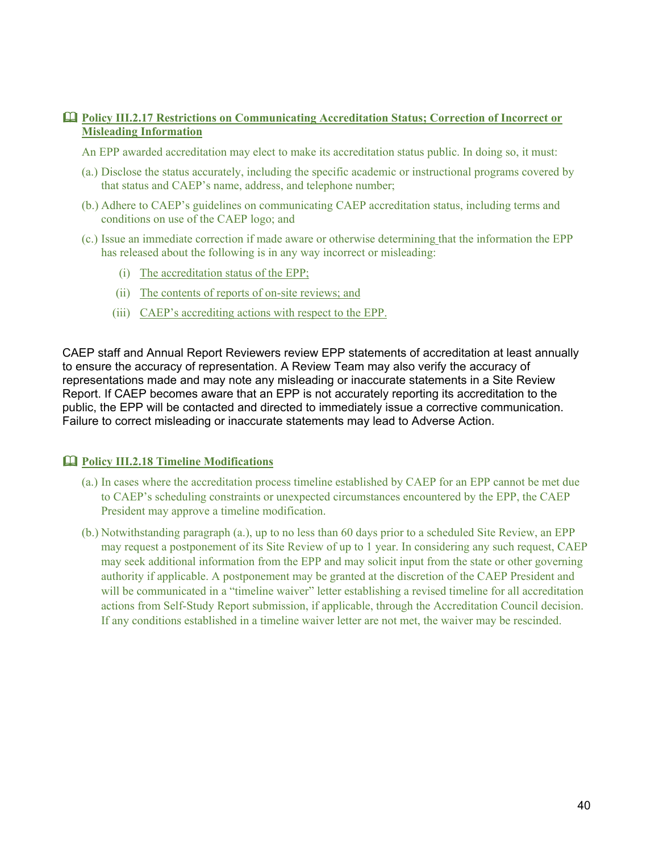# **Policy III.2.17 Restrictions on Communicating Accreditation Status; Correction of Incorrect or Misleading Information**

An EPP awarded accreditation may elect to make its accreditation status public. In doing so, it must:

- (a.) Disclose the status accurately, including the specific academic or instructional programs covered by that status and CAEP's name, address, and telephone number;
- (b.) Adhere to CAEP's guidelines on communicating CAEP accreditation status, including terms and conditions on use of the CAEP logo; and
- (c.) Issue an immediate correction if made aware or otherwise determining that the information the EPP has released about the following is in any way incorrect or misleading:
	- (i) The accreditation status of the EPP;
	- (ii) The contents of reports of on-site reviews; and
	- (iii) CAEP's accrediting actions with respect to the EPP.

CAEP staff and Annual Report Reviewers review EPP statements of accreditation at least annually to ensure the accuracy of representation. A Review Team may also verify the accuracy of representations made and may note any misleading or inaccurate statements in a Site Review Report. If CAEP becomes aware that an EPP is not accurately reporting its accreditation to the public, the EPP will be contacted and directed to immediately issue a corrective communication. Failure to correct misleading or inaccurate statements may lead to Adverse Action.

# **Policy III.2.18 Timeline Modifications**

- (a.) In cases where the accreditation process timeline established by CAEP for an EPP cannot be met due to CAEP's scheduling constraints or unexpected circumstances encountered by the EPP, the CAEP President may approve a timeline modification.
- (b.) Notwithstanding paragraph (a.), up to no less than 60 days prior to a scheduled Site Review, an EPP may request a postponement of its Site Review of up to 1 year. In considering any such request, CAEP may seek additional information from the EPP and may solicit input from the state or other governing authority if applicable. A postponement may be granted at the discretion of the CAEP President and will be communicated in a "timeline waiver" letter establishing a revised timeline for all accreditation actions from Self-Study Report submission, if applicable, through the Accreditation Council decision. If any conditions established in a timeline waiver letter are not met, the waiver may be rescinded.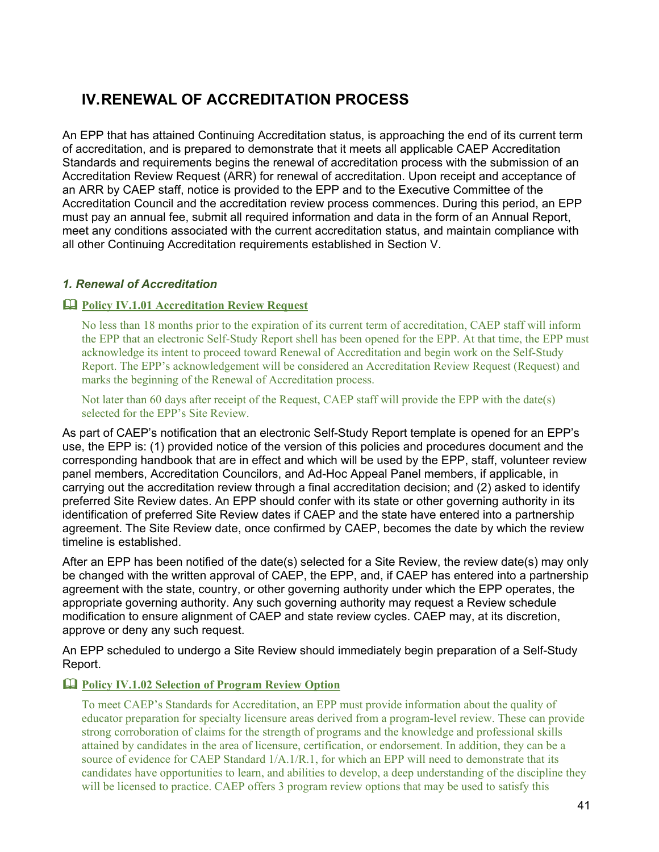# **IV.RENEWAL OF ACCREDITATION PROCESS**

An EPP that has attained Continuing Accreditation status, is approaching the end of its current term of accreditation, and is prepared to demonstrate that it meets all applicable CAEP Accreditation Standards and requirements begins the renewal of accreditation process with the submission of an Accreditation Review Request (ARR) for renewal of accreditation. Upon receipt and acceptance of an ARR by CAEP staff, notice is provided to the EPP and to the Executive Committee of the Accreditation Council and the accreditation review process commences. During this period, an EPP must pay an annual fee, submit all required information and data in the form of an Annual Report, meet any conditions associated with the current accreditation status, and maintain compliance with all other Continuing Accreditation requirements established in Section V.

# *1. Renewal of Accreditation*

# **Policy IV.1.01 Accreditation Review Request**

No less than 18 months prior to the expiration of its current term of accreditation, CAEP staff will inform the EPP that an electronic Self-Study Report shell has been opened for the EPP. At that time, the EPP must acknowledge its intent to proceed toward Renewal of Accreditation and begin work on the Self-Study Report. The EPP's acknowledgement will be considered an Accreditation Review Request (Request) and marks the beginning of the Renewal of Accreditation process.

Not later than 60 days after receipt of the Request, CAEP staff will provide the EPP with the date(s) selected for the EPP's Site Review.

As part of CAEP's notification that an electronic Self-Study Report template is opened for an EPP's use, the EPP is: (1) provided notice of the version of this policies and procedures document and the corresponding handbook that are in effect and which will be used by the EPP, staff, volunteer review panel members, Accreditation Councilors, and Ad-Hoc Appeal Panel members, if applicable, in carrying out the accreditation review through a final accreditation decision; and (2) asked to identify preferred Site Review dates. An EPP should confer with its state or other governing authority in its identification of preferred Site Review dates if CAEP and the state have entered into a partnership agreement. The Site Review date, once confirmed by CAEP, becomes the date by which the review timeline is established.

After an EPP has been notified of the date(s) selected for a Site Review, the review date(s) may only be changed with the written approval of CAEP, the EPP, and, if CAEP has entered into a partnership agreement with the state, country, or other governing authority under which the EPP operates, the appropriate governing authority. Any such governing authority may request a Review schedule modification to ensure alignment of CAEP and state review cycles. CAEP may, at its discretion, approve or deny any such request.

An EPP scheduled to undergo a Site Review should immediately begin preparation of a Self-Study Report.

# **Policy IV.1.02 Selection of Program Review Option**

To meet CAEP's Standards for Accreditation, an EPP must provide information about the quality of educator preparation for specialty licensure areas derived from a program-level review. These can provide strong corroboration of claims for the strength of programs and the knowledge and professional skills attained by candidates in the area of licensure, certification, or endorsement. In addition, they can be a source of evidence for CAEP Standard  $1/A.1/R.1$ , for which an EPP will need to demonstrate that its candidates have opportunities to learn, and abilities to develop, a deep understanding of the discipline they will be licensed to practice. CAEP offers 3 program review options that may be used to satisfy this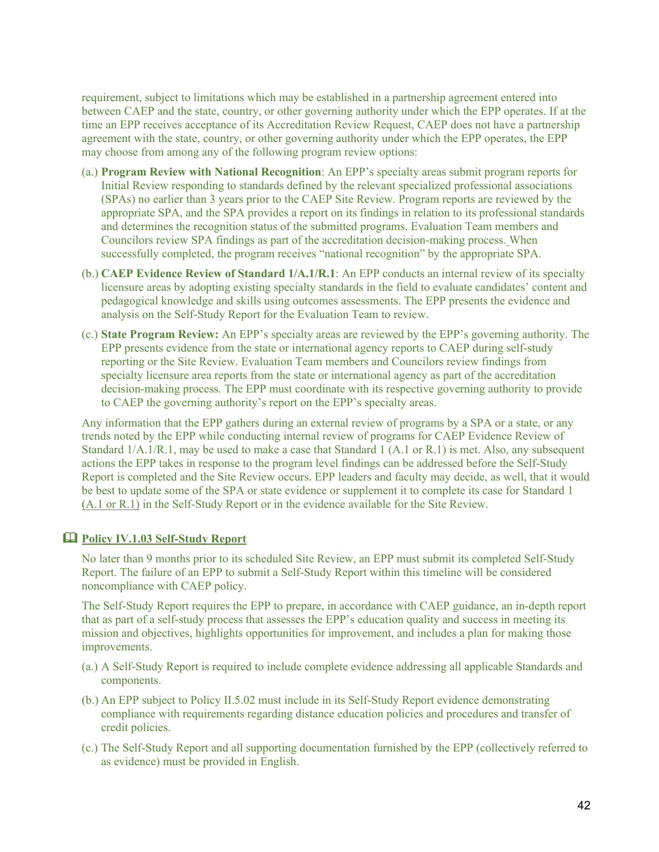requirement, subject to limitations which may be established in a partnership agreement entered into between CAEP and the state, country, or other governing authority under which the EPP operates. If at the time an EPP receives acceptance of its Accreditation Review Request, CAEP does not have a partnership agreement with the state, country, or other governing authority under which the EPP operates, the EPP may choose from among any of the following program review options:

- (a.) **Program Review with National Recognition**: An EPP's specialty areas submit program reports for Initial Review responding to standards defined by the relevant specialized professional associations (SPAs) no earlier than 3 years prior to the CAEP Site Review. Program reports are reviewed by the appropriate SPA, and the SPA provides a report on its findings in relation to its professional standards and determines the recognition status of the submitted programs. Evaluation Team members and Councilors review SPA findings as part of the accreditation decision-making process. When successfully completed, the program receives "national recognition" by the appropriate SPA.
- (b.) **CAEP Evidence Review of Standard 1/A.1/R.1**: An EPP conducts an internal review of its specialty licensure areas by adopting existing specialty standards in the field to evaluate candidates' content and pedagogical knowledge and skills using outcomes assessments. The EPP presents the evidence and analysis on the Self-Study Report for the Evaluation Team to review.
- (c.) **State Program Review:** An EPP's specialty areas are reviewed by the EPP's governing authority. The EPP presents evidence from the state or international agency reports to CAEP during self-study reporting or the Site Review. Evaluation Team members and Councilors review findings from specialty licensure area reports from the state or international agency as part of the accreditation decision-making process. The EPP must coordinate with its respective governing authority to provide to CAEP the governing authority's report on the EPP's specialty areas.

Any information that the EPP gathers during an external review of programs by a SPA or a state, or any trends noted by the EPP while conducting internal review of programs for CAEP Evidence Review of Standard 1/A.1/R.1, may be used to make a case that Standard 1 (A.1 or R.1) is met. Also, any subsequent actions the EPP takes in response to the program level findings can be addressed before the Self-Study Report is completed and the Site Review occurs. EPP leaders and faculty may decide, as well, that it would be best to update some of the SPA or state evidence or supplement it to complete its case for Standard 1 (A.1 or R.1) in the Self-Study Report or in the evidence available for the Site Review.

#### **Policy IV.1.03 Self-Study Report**

No later than 9 months prior to its scheduled Site Review, an EPP must submit its completed Self-Study Report. The failure of an EPP to submit a Self-Study Report within this timeline will be considered noncompliance with CAEP policy.

The Self-Study Report requires the EPP to prepare, in accordance with CAEP guidance, an in-depth report that as part of a self-study process that assesses the EPP's education quality and success in meeting its mission and objectives, highlights opportunities for improvement, and includes a plan for making those improvements.

- (a.) A Self-Study Report is required to include complete evidence addressing all applicable Standards and components.
- (b.) An EPP subject to Policy II.5.02 must include in its Self-Study Report evidence demonstrating compliance with requirements regarding distance education policies and procedures and transfer of credit policies.
- (c.) The Self-Study Report and all supporting documentation furnished by the EPP (collectively referred to as evidence) must be provided in English.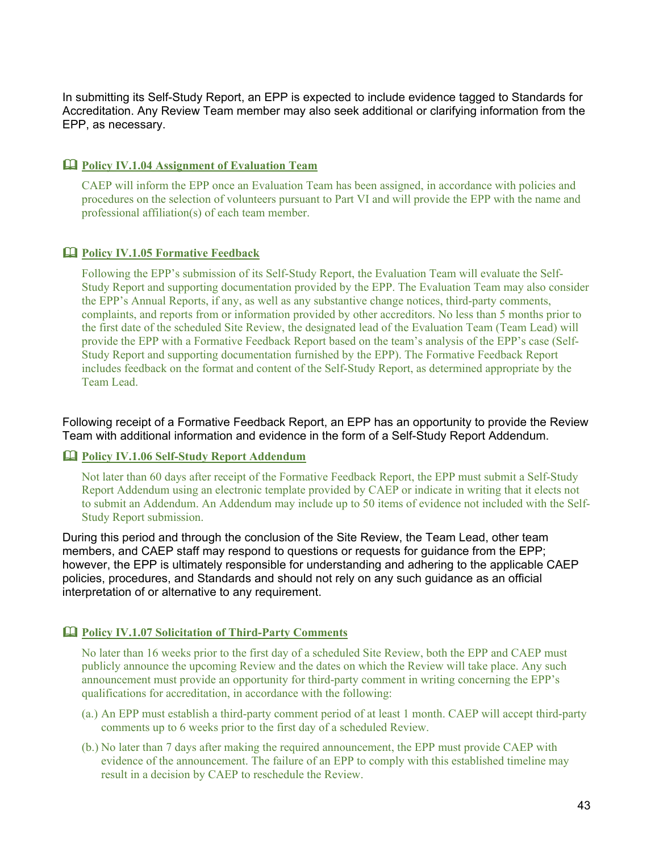In submitting its Self-Study Report, an EPP is expected to include evidence tagged to Standards for Accreditation. Any Review Team member may also seek additional or clarifying information from the EPP, as necessary.

# **Policy IV.1.04 Assignment of Evaluation Team**

CAEP will inform the EPP once an Evaluation Team has been assigned, in accordance with policies and procedures on the selection of volunteers pursuant to Part VI and will provide the EPP with the name and professional affiliation(s) of each team member.

# **Policy IV.1.05 Formative Feedback**

Following the EPP's submission of its Self-Study Report, the Evaluation Team will evaluate the Self-Study Report and supporting documentation provided by the EPP. The Evaluation Team may also consider the EPP's Annual Reports, if any, as well as any substantive change notices, third-party comments, complaints, and reports from or information provided by other accreditors. No less than 5 months prior to the first date of the scheduled Site Review, the designated lead of the Evaluation Team (Team Lead) will provide the EPP with a Formative Feedback Report based on the team's analysis of the EPP's case (Self-Study Report and supporting documentation furnished by the EPP). The Formative Feedback Report includes feedback on the format and content of the Self-Study Report, as determined appropriate by the Team Lead.

Following receipt of a Formative Feedback Report, an EPP has an opportunity to provide the Review Team with additional information and evidence in the form of a Self-Study Report Addendum.

## **Policy IV.1.06 Self-Study Report Addendum**

Not later than 60 days after receipt of the Formative Feedback Report, the EPP must submit a Self-Study Report Addendum using an electronic template provided by CAEP or indicate in writing that it elects not to submit an Addendum. An Addendum may include up to 50 items of evidence not included with the Self-Study Report submission.

During this period and through the conclusion of the Site Review, the Team Lead, other team members, and CAEP staff may respond to questions or requests for guidance from the EPP; however, the EPP is ultimately responsible for understanding and adhering to the applicable CAEP policies, procedures, and Standards and should not rely on any such guidance as an official interpretation of or alternative to any requirement.

# **Policy IV.1.07 Solicitation of Third-Party Comments**

No later than 16 weeks prior to the first day of a scheduled Site Review, both the EPP and CAEP must publicly announce the upcoming Review and the dates on which the Review will take place. Any such announcement must provide an opportunity for third-party comment in writing concerning the EPP's qualifications for accreditation, in accordance with the following:

- (a.) An EPP must establish a third-party comment period of at least 1 month. CAEP will accept third-party comments up to 6 weeks prior to the first day of a scheduled Review.
- (b.) No later than 7 days after making the required announcement, the EPP must provide CAEP with evidence of the announcement. The failure of an EPP to comply with this established timeline may result in a decision by CAEP to reschedule the Review.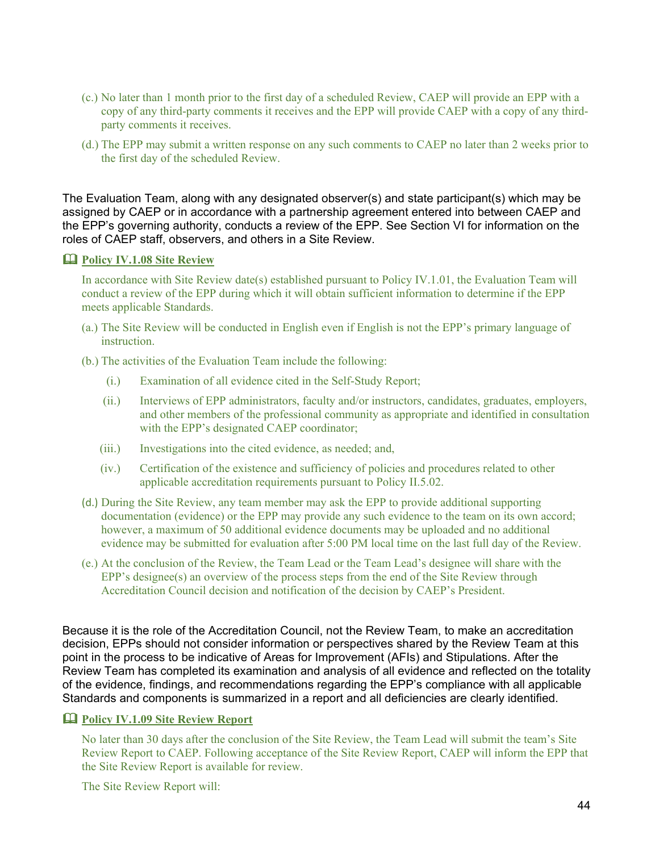- (c.) No later than 1 month prior to the first day of a scheduled Review, CAEP will provide an EPP with a copy of any third-party comments it receives and the EPP will provide CAEP with a copy of any thirdparty comments it receives.
- (d.) The EPP may submit a written response on any such comments to CAEP no later than 2 weeks prior to the first day of the scheduled Review.

The Evaluation Team, along with any designated observer(s) and state participant(s) which may be assigned by CAEP or in accordance with a partnership agreement entered into between CAEP and the EPP's governing authority, conducts a review of the EPP. See Section VI for information on the roles of CAEP staff, observers, and others in a Site Review.

#### **Policy IV.1.08 Site Review**

In accordance with Site Review date(s) established pursuant to Policy IV.1.01, the Evaluation Team will conduct a review of the EPP during which it will obtain sufficient information to determine if the EPP meets applicable Standards.

(a.) The Site Review will be conducted in English even if English is not the EPP's primary language of instruction.

(b.) The activities of the Evaluation Team include the following:

- (i.) Examination of all evidence cited in the Self-Study Report;
- (ii.) Interviews of EPP administrators, faculty and/or instructors, candidates, graduates, employers, and other members of the professional community as appropriate and identified in consultation with the EPP's designated CAEP coordinator;
- (iii.) Investigations into the cited evidence, as needed; and,
- (iv.) Certification of the existence and sufficiency of policies and procedures related to other applicable accreditation requirements pursuant to Policy II.5.02.
- (d.) During the Site Review, any team member may ask the EPP to provide additional supporting documentation (evidence) or the EPP may provide any such evidence to the team on its own accord; however, a maximum of 50 additional evidence documents may be uploaded and no additional evidence may be submitted for evaluation after 5:00 PM local time on the last full day of the Review.
- (e.) At the conclusion of the Review, the Team Lead or the Team Lead's designee will share with the EPP's designee(s) an overview of the process steps from the end of the Site Review through Accreditation Council decision and notification of the decision by CAEP's President.

Because it is the role of the Accreditation Council, not the Review Team, to make an accreditation decision, EPPs should not consider information or perspectives shared by the Review Team at this point in the process to be indicative of Areas for Improvement (AFIs) and Stipulations. After the Review Team has completed its examination and analysis of all evidence and reflected on the totality of the evidence, findings, and recommendations regarding the EPP's compliance with all applicable Standards and components is summarized in a report and all deficiencies are clearly identified.

#### **Policy IV.1.09 Site Review Report**

No later than 30 days after the conclusion of the Site Review, the Team Lead will submit the team's Site Review Report to CAEP. Following acceptance of the Site Review Report, CAEP will inform the EPP that the Site Review Report is available for review.

The Site Review Report will: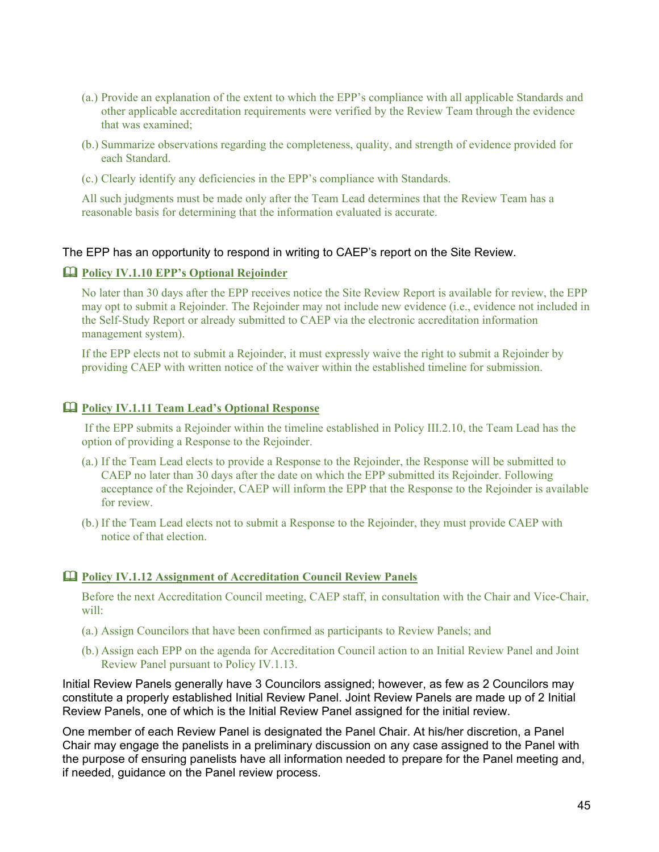- (a.) Provide an explanation of the extent to which the EPP's compliance with all applicable Standards and other applicable accreditation requirements were verified by the Review Team through the evidence that was examined;
- (b.) Summarize observations regarding the completeness, quality, and strength of evidence provided for each Standard.
- (c.) Clearly identify any deficiencies in the EPP's compliance with Standards.

All such judgments must be made only after the Team Lead determines that the Review Team has a reasonable basis for determining that the information evaluated is accurate.

#### The EPP has an opportunity to respond in writing to CAEP's report on the Site Review.

#### **Policy IV.1.10 EPP's Optional Rejoinder**

No later than 30 days after the EPP receives notice the Site Review Report is available for review, the EPP may opt to submit a Rejoinder. The Rejoinder may not include new evidence (i.e., evidence not included in the Self-Study Report or already submitted to CAEP via the electronic accreditation information management system).

If the EPP elects not to submit a Rejoinder, it must expressly waive the right to submit a Rejoinder by providing CAEP with written notice of the waiver within the established timeline for submission.

# **Policy IV.1.11 Team Lead's Optional Response**

If the EPP submits a Rejoinder within the timeline established in Policy III.2.10, the Team Lead has the option of providing a Response to the Rejoinder.

- (a.) If the Team Lead elects to provide a Response to the Rejoinder, the Response will be submitted to CAEP no later than 30 days after the date on which the EPP submitted its Rejoinder. Following acceptance of the Rejoinder, CAEP will inform the EPP that the Response to the Rejoinder is available for review.
- (b.) If the Team Lead elects not to submit a Response to the Rejoinder, they must provide CAEP with notice of that election.

#### **Policy IV.1.12 Assignment of Accreditation Council Review Panels**

Before the next Accreditation Council meeting, CAEP staff, in consultation with the Chair and Vice-Chair, will:

- (a.) Assign Councilors that have been confirmed as participants to Review Panels; and
- (b.) Assign each EPP on the agenda for Accreditation Council action to an Initial Review Panel and Joint Review Panel pursuant to Policy IV.1.13.

Initial Review Panels generally have 3 Councilors assigned; however, as few as 2 Councilors may constitute a properly established Initial Review Panel. Joint Review Panels are made up of 2 Initial Review Panels, one of which is the Initial Review Panel assigned for the initial review.

One member of each Review Panel is designated the Panel Chair. At his/her discretion, a Panel Chair may engage the panelists in a preliminary discussion on any case assigned to the Panel with the purpose of ensuring panelists have all information needed to prepare for the Panel meeting and, if needed, guidance on the Panel review process.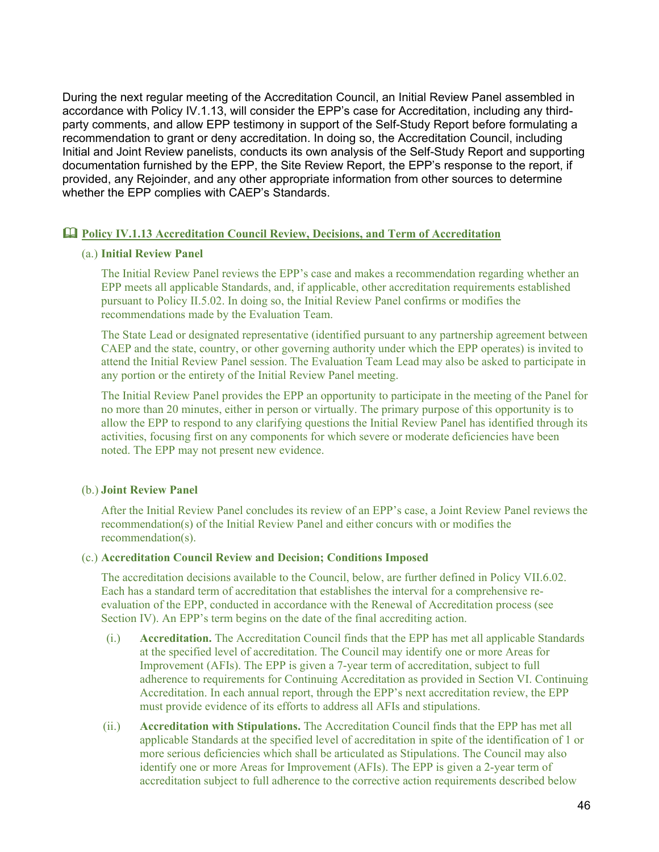During the next regular meeting of the Accreditation Council, an Initial Review Panel assembled in accordance with Policy IV.1.13, will consider the EPP's case for Accreditation, including any thirdparty comments, and allow EPP testimony in support of the Self-Study Report before formulating a recommendation to grant or deny accreditation. In doing so, the Accreditation Council, including Initial and Joint Review panelists, conducts its own analysis of the Self-Study Report and supporting documentation furnished by the EPP, the Site Review Report, the EPP's response to the report, if provided, any Rejoinder, and any other appropriate information from other sources to determine whether the EPP complies with CAEP's Standards.

#### **Policy IV.1.13 Accreditation Council Review, Decisions, and Term of Accreditation**

#### (a.) **Initial Review Panel**

The Initial Review Panel reviews the EPP's case and makes a recommendation regarding whether an EPP meets all applicable Standards, and, if applicable, other accreditation requirements established pursuant to Policy II.5.02. In doing so, the Initial Review Panel confirms or modifies the recommendations made by the Evaluation Team.

The State Lead or designated representative (identified pursuant to any partnership agreement between CAEP and the state, country, or other governing authority under which the EPP operates) is invited to attend the Initial Review Panel session. The Evaluation Team Lead may also be asked to participate in any portion or the entirety of the Initial Review Panel meeting.

The Initial Review Panel provides the EPP an opportunity to participate in the meeting of the Panel for no more than 20 minutes, either in person or virtually. The primary purpose of this opportunity is to allow the EPP to respond to any clarifying questions the Initial Review Panel has identified through its activities, focusing first on any components for which severe or moderate deficiencies have been noted. The EPP may not present new evidence.

#### (b.) **Joint Review Panel**

After the Initial Review Panel concludes its review of an EPP's case, a Joint Review Panel reviews the recommendation(s) of the Initial Review Panel and either concurs with or modifies the recommendation(s).

#### (c.) **Accreditation Council Review and Decision; Conditions Imposed**

The accreditation decisions available to the Council, below, are further defined in Policy VII.6.02. Each has a standard term of accreditation that establishes the interval for a comprehensive reevaluation of the EPP, conducted in accordance with the Renewal of Accreditation process (see Section IV). An EPP's term begins on the date of the final accrediting action.

- (i.) **Accreditation.** The Accreditation Council finds that the EPP has met all applicable Standards at the specified level of accreditation. The Council may identify one or more Areas for Improvement (AFIs). The EPP is given a 7-year term of accreditation, subject to full adherence to requirements for Continuing Accreditation as provided in Section VI. Continuing Accreditation. In each annual report, through the EPP's next accreditation review, the EPP must provide evidence of its efforts to address all AFIs and stipulations.
- (ii.) **Accreditation with Stipulations.** The Accreditation Council finds that the EPP has met all applicable Standards at the specified level of accreditation in spite of the identification of 1 or more serious deficiencies which shall be articulated as Stipulations. The Council may also identify one or more Areas for Improvement (AFIs). The EPP is given a 2-year term of accreditation subject to full adherence to the corrective action requirements described below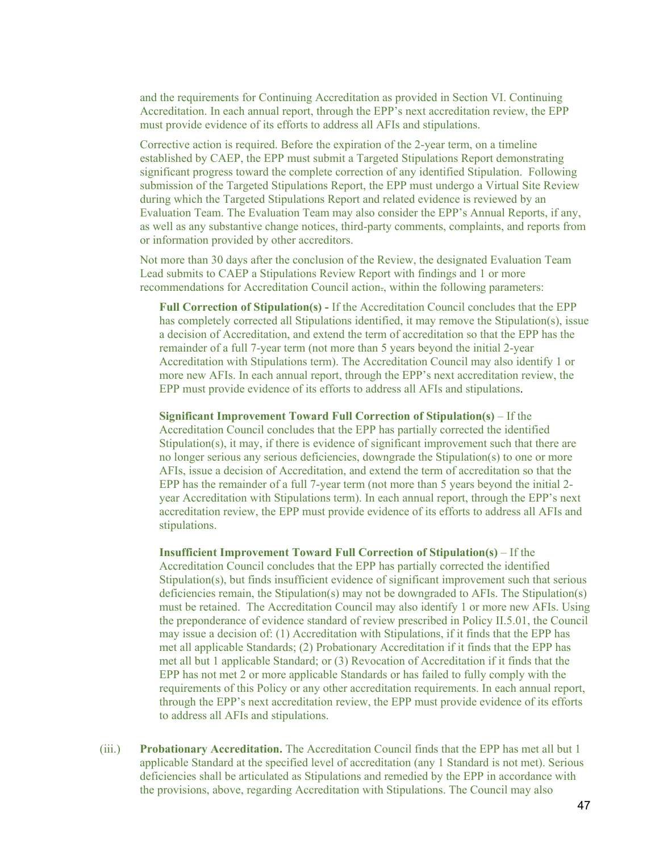and the requirements for Continuing Accreditation as provided in Section VI. Continuing Accreditation. In each annual report, through the EPP's next accreditation review, the EPP must provide evidence of its efforts to address all AFIs and stipulations.

Corrective action is required. Before the expiration of the 2-year term, on a timeline established by CAEP, the EPP must submit a Targeted Stipulations Report demonstrating significant progress toward the complete correction of any identified Stipulation. Following submission of the Targeted Stipulations Report, the EPP must undergo a Virtual Site Review during which the Targeted Stipulations Report and related evidence is reviewed by an Evaluation Team. The Evaluation Team may also consider the EPP's Annual Reports, if any, as well as any substantive change notices, third-party comments, complaints, and reports from or information provided by other accreditors.

Not more than 30 days after the conclusion of the Review, the designated Evaluation Team Lead submits to CAEP a Stipulations Review Report with findings and 1 or more recommendations for Accreditation Council action., within the following parameters:

**Full Correction of Stipulation(s) -** If the Accreditation Council concludes that the EPP has completely corrected all Stipulations identified, it may remove the Stipulation(s), issue a decision of Accreditation, and extend the term of accreditation so that the EPP has the remainder of a full 7-year term (not more than 5 years beyond the initial 2-year Accreditation with Stipulations term). The Accreditation Council may also identify 1 or more new AFIs. In each annual report, through the EPP's next accreditation review, the EPP must provide evidence of its efforts to address all AFIs and stipulations.

**Significant Improvement Toward Full Correction of Stipulation(s)** – If the Accreditation Council concludes that the EPP has partially corrected the identified Stipulation(s), it may, if there is evidence of significant improvement such that there are no longer serious any serious deficiencies, downgrade the Stipulation(s) to one or more AFIs, issue a decision of Accreditation, and extend the term of accreditation so that the EPP has the remainder of a full 7-year term (not more than 5 years beyond the initial 2 year Accreditation with Stipulations term). In each annual report, through the EPP's next accreditation review, the EPP must provide evidence of its efforts to address all AFIs and stipulations.

**Insufficient Improvement Toward Full Correction of Stipulation(s)** – If the Accreditation Council concludes that the EPP has partially corrected the identified Stipulation(s), but finds insufficient evidence of significant improvement such that serious deficiencies remain, the Stipulation(s) may not be downgraded to AFIs. The Stipulation(s) must be retained. The Accreditation Council may also identify 1 or more new AFIs. Using the preponderance of evidence standard of review prescribed in Policy II.5.01, the Council may issue a decision of: (1) Accreditation with Stipulations, if it finds that the EPP has met all applicable Standards; (2) Probationary Accreditation if it finds that the EPP has met all but 1 applicable Standard; or (3) Revocation of Accreditation if it finds that the EPP has not met 2 or more applicable Standards or has failed to fully comply with the requirements of this Policy or any other accreditation requirements. In each annual report, through the EPP's next accreditation review, the EPP must provide evidence of its efforts to address all AFIs and stipulations.

(iii.) **Probationary Accreditation.** The Accreditation Council finds that the EPP has met all but 1 applicable Standard at the specified level of accreditation (any 1 Standard is not met). Serious deficiencies shall be articulated as Stipulations and remedied by the EPP in accordance with the provisions, above, regarding Accreditation with Stipulations. The Council may also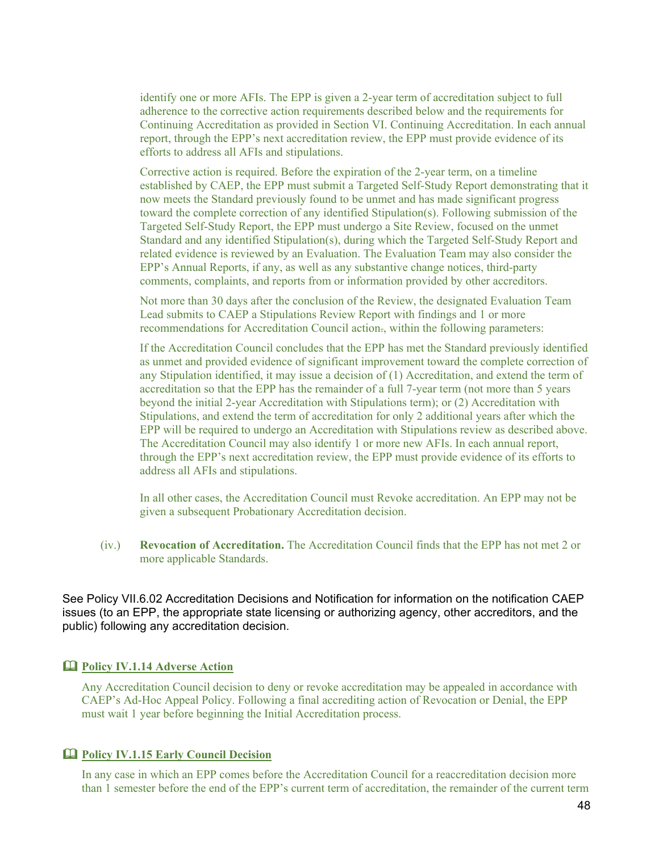identify one or more AFIs. The EPP is given a 2-year term of accreditation subject to full adherence to the corrective action requirements described below and the requirements for Continuing Accreditation as provided in Section VI. Continuing Accreditation. In each annual report, through the EPP's next accreditation review, the EPP must provide evidence of its efforts to address all AFIs and stipulations.

Corrective action is required. Before the expiration of the 2-year term, on a timeline established by CAEP, the EPP must submit a Targeted Self-Study Report demonstrating that it now meets the Standard previously found to be unmet and has made significant progress toward the complete correction of any identified Stipulation(s). Following submission of the Targeted Self-Study Report, the EPP must undergo a Site Review, focused on the unmet Standard and any identified Stipulation(s), during which the Targeted Self-Study Report and related evidence is reviewed by an Evaluation. The Evaluation Team may also consider the EPP's Annual Reports, if any, as well as any substantive change notices, third-party comments, complaints, and reports from or information provided by other accreditors.

Not more than 30 days after the conclusion of the Review, the designated Evaluation Team Lead submits to CAEP a Stipulations Review Report with findings and 1 or more recommendations for Accreditation Council action., within the following parameters:

If the Accreditation Council concludes that the EPP has met the Standard previously identified as unmet and provided evidence of significant improvement toward the complete correction of any Stipulation identified, it may issue a decision of (1) Accreditation, and extend the term of accreditation so that the EPP has the remainder of a full 7-year term (not more than 5 years beyond the initial 2-year Accreditation with Stipulations term); or (2) Accreditation with Stipulations, and extend the term of accreditation for only 2 additional years after which the EPP will be required to undergo an Accreditation with Stipulations review as described above. The Accreditation Council may also identify 1 or more new AFIs. In each annual report, through the EPP's next accreditation review, the EPP must provide evidence of its efforts to address all AFIs and stipulations.

In all other cases, the Accreditation Council must Revoke accreditation. An EPP may not be given a subsequent Probationary Accreditation decision.

(iv.) **Revocation of Accreditation.** The Accreditation Council finds that the EPP has not met 2 or more applicable Standards.

See Policy VII.6.02 Accreditation Decisions and Notification for information on the notification CAEP issues (to an EPP, the appropriate state licensing or authorizing agency, other accreditors, and the public) following any accreditation decision.

#### **Policy IV.1.14 Adverse Action**

Any Accreditation Council decision to deny or revoke accreditation may be appealed in accordance with CAEP's Ad-Hoc Appeal Policy. Following a final accrediting action of Revocation or Denial, the EPP must wait 1 year before beginning the Initial Accreditation process.

#### **Policy IV.1.15 Early Council Decision**

In any case in which an EPP comes before the Accreditation Council for a reaccreditation decision more than 1 semester before the end of the EPP's current term of accreditation, the remainder of the current term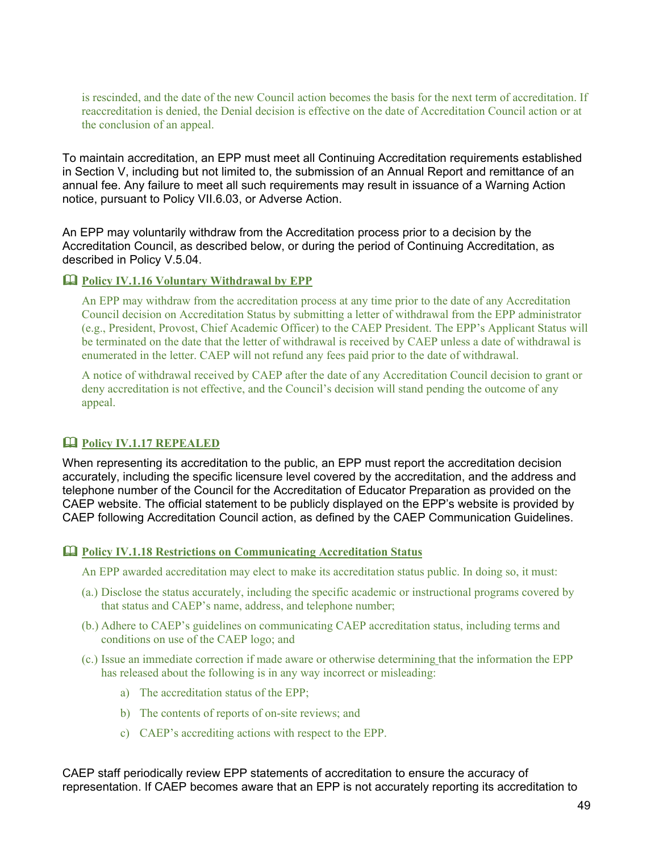is rescinded, and the date of the new Council action becomes the basis for the next term of accreditation. If reaccreditation is denied, the Denial decision is effective on the date of Accreditation Council action or at the conclusion of an appeal.

To maintain accreditation, an EPP must meet all Continuing Accreditation requirements established in Section V, including but not limited to, the submission of an Annual Report and remittance of an annual fee. Any failure to meet all such requirements may result in issuance of a Warning Action notice, pursuant to Policy VII.6.03, or Adverse Action.

An EPP may voluntarily withdraw from the Accreditation process prior to a decision by the Accreditation Council, as described below, or during the period of Continuing Accreditation, as described in Policy V.5.04.

# **Policy IV.1.16 Voluntary Withdrawal by EPP**

An EPP may withdraw from the accreditation process at any time prior to the date of any Accreditation Council decision on Accreditation Status by submitting a letter of withdrawal from the EPP administrator (e.g., President, Provost, Chief Academic Officer) to the CAEP President. The EPP's Applicant Status will be terminated on the date that the letter of withdrawal is received by CAEP unless a date of withdrawal is enumerated in the letter. CAEP will not refund any fees paid prior to the date of withdrawal.

A notice of withdrawal received by CAEP after the date of any Accreditation Council decision to grant or deny accreditation is not effective, and the Council's decision will stand pending the outcome of any appeal.

# **Policy IV.1.17 REPEALED**

When representing its accreditation to the public, an EPP must report the accreditation decision accurately, including the specific licensure level covered by the accreditation, and the address and telephone number of the Council for the Accreditation of Educator Preparation as provided on the CAEP website. The official statement to be publicly displayed on the EPP's website is provided by CAEP following Accreditation Council action, as defined by the CAEP Communication Guidelines.

#### **Policy IV.1.18 Restrictions on Communicating Accreditation Status**

An EPP awarded accreditation may elect to make its accreditation status public. In doing so, it must:

- (a.) Disclose the status accurately, including the specific academic or instructional programs covered by that status and CAEP's name, address, and telephone number;
- (b.) Adhere to CAEP's guidelines on communicating CAEP accreditation status, including terms and conditions on use of the CAEP logo; and
- (c.) Issue an immediate correction if made aware or otherwise determining that the information the EPP has released about the following is in any way incorrect or misleading:
	- a) The accreditation status of the EPP;
	- b) The contents of reports of on-site reviews; and
	- c) CAEP's accrediting actions with respect to the EPP.

CAEP staff periodically review EPP statements of accreditation to ensure the accuracy of representation. If CAEP becomes aware that an EPP is not accurately reporting its accreditation to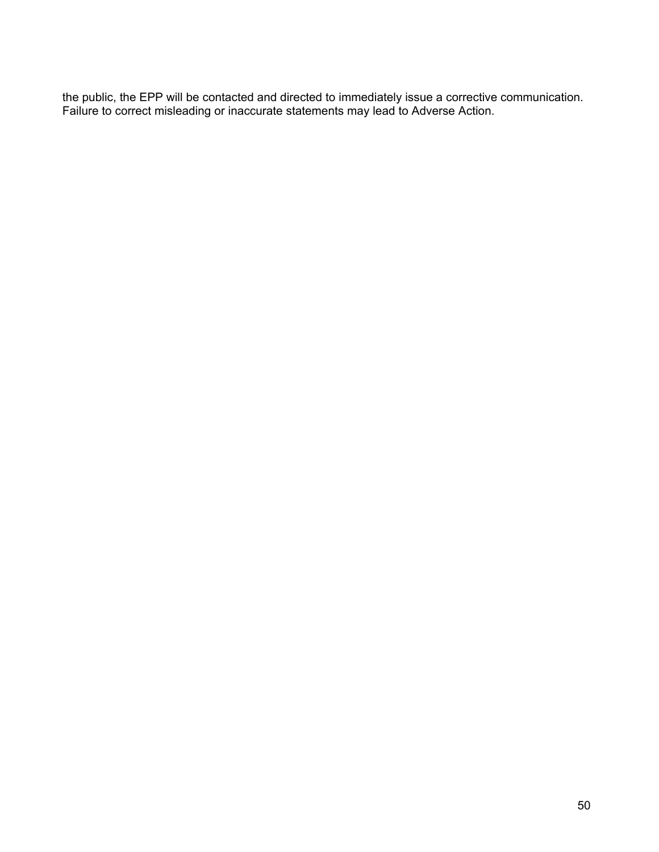the public, the EPP will be contacted and directed to immediately issue a corrective communication. Failure to correct misleading or inaccurate statements may lead to Adverse Action.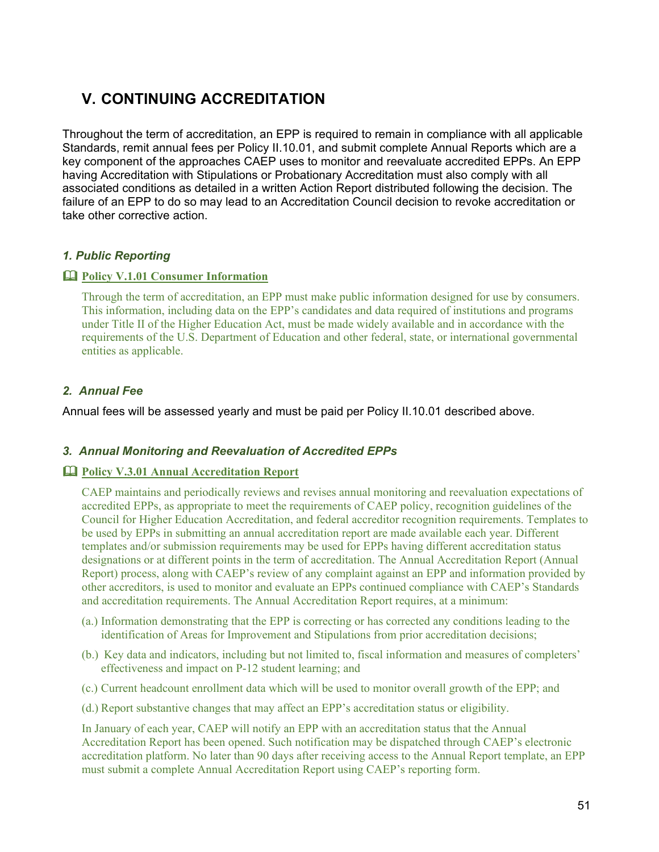# **V. CONTINUING ACCREDITATION**

Throughout the term of accreditation, an EPP is required to remain in compliance with all applicable Standards, remit annual fees per Policy II.10.01, and submit complete Annual Reports which are a key component of the approaches CAEP uses to monitor and reevaluate accredited EPPs. An EPP having Accreditation with Stipulations or Probationary Accreditation must also comply with all associated conditions as detailed in a written Action Report distributed following the decision. The failure of an EPP to do so may lead to an Accreditation Council decision to revoke accreditation or take other corrective action.

# *1. Public Reporting*

# **Policy V.1.01 Consumer Information**

Through the term of accreditation, an EPP must make public information designed for use by consumers. This information, including data on the EPP's candidates and data required of institutions and programs under Title II of the Higher Education Act, must be made widely available and in accordance with the requirements of the U.S. Department of Education and other federal, state, or international governmental entities as applicable.

# *2. Annual Fee*

Annual fees will be assessed yearly and must be paid per Policy II.10.01 described above.

# *3. Annual Monitoring and Reevaluation of Accredited EPPs*

#### **Policy V.3.01 Annual Accreditation Report**

CAEP maintains and periodically reviews and revises annual monitoring and reevaluation expectations of accredited EPPs, as appropriate to meet the requirements of CAEP policy, recognition guidelines of the Council for Higher Education Accreditation, and federal accreditor recognition requirements. Templates to be used by EPPs in submitting an annual accreditation report are made available each year. Different templates and/or submission requirements may be used for EPPs having different accreditation status designations or at different points in the term of accreditation. The Annual Accreditation Report (Annual Report) process, along with CAEP's review of any complaint against an EPP and information provided by other accreditors, is used to monitor and evaluate an EPPs continued compliance with CAEP's Standards and accreditation requirements. The Annual Accreditation Report requires, at a minimum:

- (a.) Information demonstrating that the EPP is correcting or has corrected any conditions leading to the identification of Areas for Improvement and Stipulations from prior accreditation decisions;
- (b.) Key data and indicators, including but not limited to, fiscal information and measures of completers' effectiveness and impact on P-12 student learning; and
- (c.) Current headcount enrollment data which will be used to monitor overall growth of the EPP; and
- (d.) Report substantive changes that may affect an EPP's accreditation status or eligibility.

In January of each year, CAEP will notify an EPP with an accreditation status that the Annual Accreditation Report has been opened. Such notification may be dispatched through CAEP's electronic accreditation platform. No later than 90 days after receiving access to the Annual Report template, an EPP must submit a complete Annual Accreditation Report using CAEP's reporting form.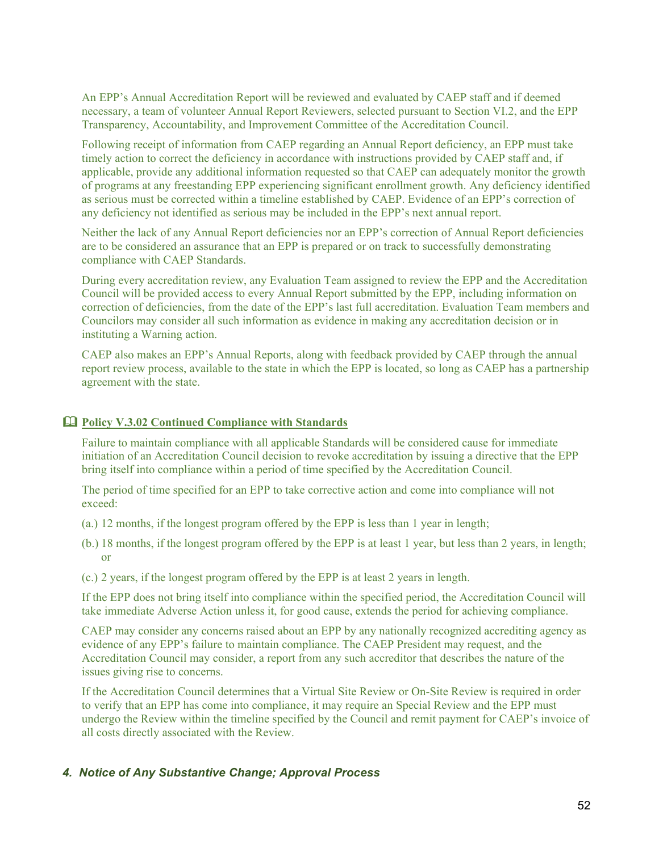An EPP's Annual Accreditation Report will be reviewed and evaluated by CAEP staff and if deemed necessary, a team of volunteer Annual Report Reviewers, selected pursuant to Section VI.2, and the EPP Transparency, Accountability, and Improvement Committee of the Accreditation Council.

Following receipt of information from CAEP regarding an Annual Report deficiency, an EPP must take timely action to correct the deficiency in accordance with instructions provided by CAEP staff and, if applicable, provide any additional information requested so that CAEP can adequately monitor the growth of programs at any freestanding EPP experiencing significant enrollment growth. Any deficiency identified as serious must be corrected within a timeline established by CAEP. Evidence of an EPP's correction of any deficiency not identified as serious may be included in the EPP's next annual report.

Neither the lack of any Annual Report deficiencies nor an EPP's correction of Annual Report deficiencies are to be considered an assurance that an EPP is prepared or on track to successfully demonstrating compliance with CAEP Standards.

During every accreditation review, any Evaluation Team assigned to review the EPP and the Accreditation Council will be provided access to every Annual Report submitted by the EPP, including information on correction of deficiencies, from the date of the EPP's last full accreditation. Evaluation Team members and Councilors may consider all such information as evidence in making any accreditation decision or in instituting a Warning action.

CAEP also makes an EPP's Annual Reports, along with feedback provided by CAEP through the annual report review process, available to the state in which the EPP is located, so long as CAEP has a partnership agreement with the state.

# **Policy V.3.02 Continued Compliance with Standards**

Failure to maintain compliance with all applicable Standards will be considered cause for immediate initiation of an Accreditation Council decision to revoke accreditation by issuing a directive that the EPP bring itself into compliance within a period of time specified by the Accreditation Council.

The period of time specified for an EPP to take corrective action and come into compliance will not exceed:

- (a.) 12 months, if the longest program offered by the EPP is less than 1 year in length;
- (b.) 18 months, if the longest program offered by the EPP is at least 1 year, but less than 2 years, in length; or
- (c.) 2 years, if the longest program offered by the EPP is at least 2 years in length.

If the EPP does not bring itself into compliance within the specified period, the Accreditation Council will take immediate Adverse Action unless it, for good cause, extends the period for achieving compliance.

CAEP may consider any concerns raised about an EPP by any nationally recognized accrediting agency as evidence of any EPP's failure to maintain compliance. The CAEP President may request, and the Accreditation Council may consider, a report from any such accreditor that describes the nature of the issues giving rise to concerns.

If the Accreditation Council determines that a Virtual Site Review or On-Site Review is required in order to verify that an EPP has come into compliance, it may require an Special Review and the EPP must undergo the Review within the timeline specified by the Council and remit payment for CAEP's invoice of all costs directly associated with the Review.

#### *4. Notice of Any Substantive Change; Approval Process*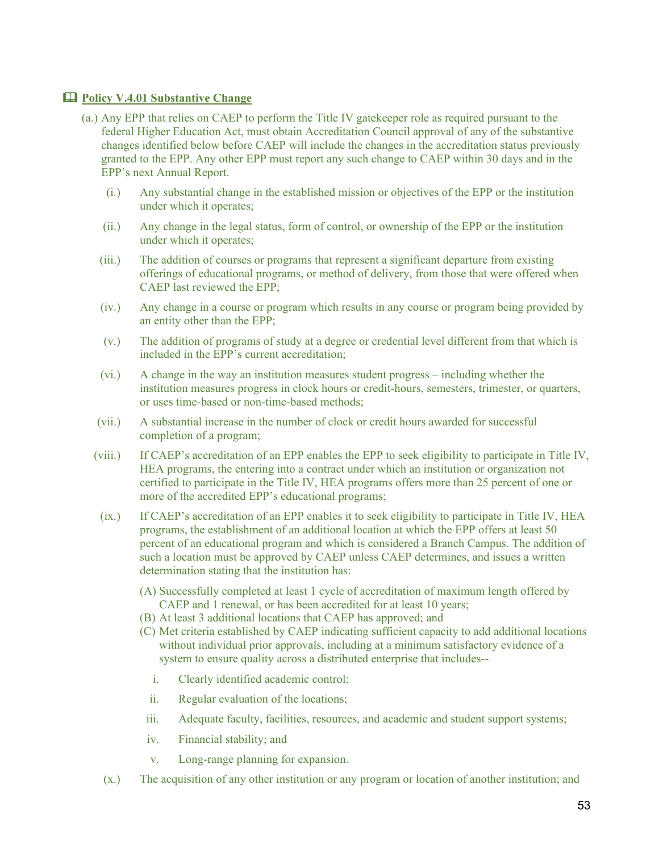### **Policy V.4.01 Substantive Change**

- (a.) Any EPP that relies on CAEP to perform the Title IV gatekeeper role as required pursuant to the federal Higher Education Act, must obtain Accreditation Council approval of any of the substantive changes identified below before CAEP will include the changes in the accreditation status previously granted to the EPP. Any other EPP must report any such change to CAEP within 30 days and in the EPP's next Annual Report.
	- (i.) Any substantial change in the established mission or objectives of the EPP or the institution under which it operates;
	- (ii.) Any change in the legal status, form of control, or ownership of the EPP or the institution under which it operates;
	- (iii.) The addition of courses or programs that represent a significant departure from existing offerings of educational programs, or method of delivery, from those that were offered when CAEP last reviewed the EPP;
	- (iv.) Any change in a course or program which results in any course or program being provided by an entity other than the EPP;
	- (v.) The addition of programs of study at a degree or credential level different from that which is included in the EPP's current accreditation;
	- (vi.) A change in the way an institution measures student progress including whether the institution measures progress in clock hours or credit-hours, semesters, trimester, or quarters, or uses time-based or non-time-based methods;
	- (vii.) A substantial increase in the number of clock or credit hours awarded for successful completion of a program;
	- (viii.) If CAEP's accreditation of an EPP enables the EPP to seek eligibility to participate in Title IV, HEA programs, the entering into a contract under which an institution or organization not certified to participate in the Title IV, HEA programs offers more than 25 percent of one or more of the accredited EPP's educational programs;
	- (ix.) If CAEP's accreditation of an EPP enables it to seek eligibility to participate in Title IV, HEA programs, the establishment of an additional location at which the EPP offers at least 50 percent of an educational program and which is considered a Branch Campus. The addition of such a location must be approved by CAEP unless CAEP determines, and issues a written determination stating that the institution has:
		- (A) Successfully completed at least 1 cycle of accreditation of maximum length offered by CAEP and 1 renewal, or has been accredited for at least 10 years;
		- (B) At least 3 additional locations that CAEP has approved; and
		- (C) Met criteria established by CAEP indicating sufficient capacity to add additional locations without individual prior approvals, including at a minimum satisfactory evidence of a system to ensure quality across a distributed enterprise that includes-
			- i. Clearly identified academic control;
			- ii. Regular evaluation of the locations;
		- iii. Adequate faculty, facilities, resources, and academic and student support systems;
		- iv. Financial stability; and
		- v. Long-range planning for expansion.
	- (x.) The acquisition of any other institution or any program or location of another institution; and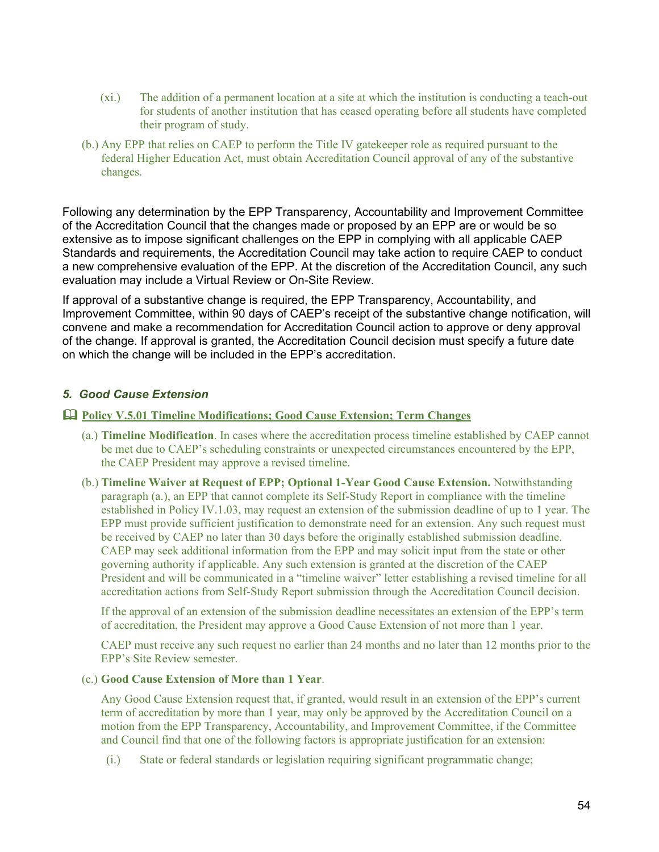- (xi.) The addition of a permanent location at a site at which the institution is conducting a teach-out for students of another institution that has ceased operating before all students have completed their program of study.
- (b.) Any EPP that relies on CAEP to perform the Title IV gatekeeper role as required pursuant to the federal Higher Education Act, must obtain Accreditation Council approval of any of the substantive changes.

Following any determination by the EPP Transparency, Accountability and Improvement Committee of the Accreditation Council that the changes made or proposed by an EPP are or would be so extensive as to impose significant challenges on the EPP in complying with all applicable CAEP Standards and requirements, the Accreditation Council may take action to require CAEP to conduct a new comprehensive evaluation of the EPP. At the discretion of the Accreditation Council, any such evaluation may include a Virtual Review or On-Site Review.

If approval of a substantive change is required, the EPP Transparency, Accountability, and Improvement Committee, within 90 days of CAEP's receipt of the substantive change notification, will convene and make a recommendation for Accreditation Council action to approve or deny approval of the change. If approval is granted, the Accreditation Council decision must specify a future date on which the change will be included in the EPP's accreditation.

# *5. Good Cause Extension*

# **Policy V.5.01 Timeline Modifications; Good Cause Extension; Term Changes**

- (a.) **Timeline Modification**. In cases where the accreditation process timeline established by CAEP cannot be met due to CAEP's scheduling constraints or unexpected circumstances encountered by the EPP, the CAEP President may approve a revised timeline.
- (b.) **Timeline Waiver at Request of EPP; Optional 1-Year Good Cause Extension.** Notwithstanding paragraph (a.), an EPP that cannot complete its Self-Study Report in compliance with the timeline established in Policy IV.1.03, may request an extension of the submission deadline of up to 1 year. The EPP must provide sufficient justification to demonstrate need for an extension. Any such request must be received by CAEP no later than 30 days before the originally established submission deadline. CAEP may seek additional information from the EPP and may solicit input from the state or other governing authority if applicable. Any such extension is granted at the discretion of the CAEP President and will be communicated in a "timeline waiver" letter establishing a revised timeline for all accreditation actions from Self-Study Report submission through the Accreditation Council decision.

If the approval of an extension of the submission deadline necessitates an extension of the EPP's term of accreditation, the President may approve a Good Cause Extension of not more than 1 year.

CAEP must receive any such request no earlier than 24 months and no later than 12 months prior to the EPP's Site Review semester.

#### (c.) **Good Cause Extension of More than 1 Year**.

Any Good Cause Extension request that, if granted, would result in an extension of the EPP's current term of accreditation by more than 1 year, may only be approved by the Accreditation Council on a motion from the EPP Transparency, Accountability, and Improvement Committee, if the Committee and Council find that one of the following factors is appropriate justification for an extension:

(i.) State or federal standards or legislation requiring significant programmatic change;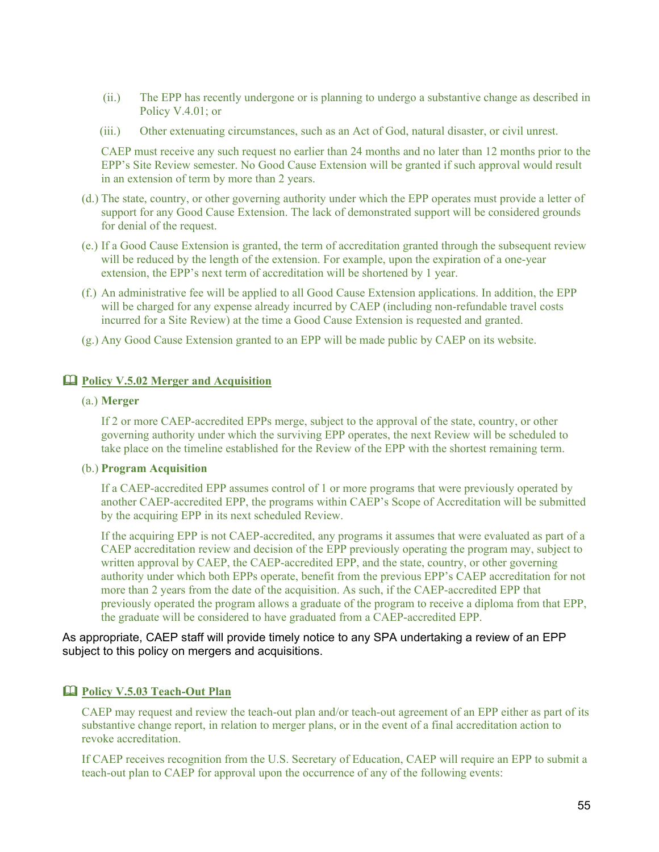- (ii.) The EPP has recently undergone or is planning to undergo a substantive change as described in Policy V.4.01; or
- (iii.) Other extenuating circumstances, such as an Act of God, natural disaster, or civil unrest.

CAEP must receive any such request no earlier than 24 months and no later than 12 months prior to the EPP's Site Review semester. No Good Cause Extension will be granted if such approval would result in an extension of term by more than 2 years.

- (d.) The state, country, or other governing authority under which the EPP operates must provide a letter of support for any Good Cause Extension. The lack of demonstrated support will be considered grounds for denial of the request.
- (e.) If a Good Cause Extension is granted, the term of accreditation granted through the subsequent review will be reduced by the length of the extension. For example, upon the expiration of a one-year extension, the EPP's next term of accreditation will be shortened by 1 year.
- (f.) An administrative fee will be applied to all Good Cause Extension applications. In addition, the EPP will be charged for any expense already incurred by CAEP (including non-refundable travel costs incurred for a Site Review) at the time a Good Cause Extension is requested and granted.
- (g.) Any Good Cause Extension granted to an EPP will be made public by CAEP on its website.

#### **Policy V.5.02 Merger and Acquisition**

#### (a.) **Merger**

If 2 or more CAEP-accredited EPPs merge, subject to the approval of the state, country, or other governing authority under which the surviving EPP operates, the next Review will be scheduled to take place on the timeline established for the Review of the EPP with the shortest remaining term.

#### (b.) **Program Acquisition**

If a CAEP-accredited EPP assumes control of 1 or more programs that were previously operated by another CAEP-accredited EPP, the programs within CAEP's Scope of Accreditation will be submitted by the acquiring EPP in its next scheduled Review.

If the acquiring EPP is not CAEP-accredited, any programs it assumes that were evaluated as part of a CAEP accreditation review and decision of the EPP previously operating the program may, subject to written approval by CAEP, the CAEP-accredited EPP, and the state, country, or other governing authority under which both EPPs operate, benefit from the previous EPP's CAEP accreditation for not more than 2 years from the date of the acquisition. As such, if the CAEP-accredited EPP that previously operated the program allows a graduate of the program to receive a diploma from that EPP, the graduate will be considered to have graduated from a CAEP-accredited EPP.

#### As appropriate, CAEP staff will provide timely notice to any SPA undertaking a review of an EPP subject to this policy on mergers and acquisitions.

## **Policy V.5.03 Teach-Out Plan**

CAEP may request and review the teach-out plan and/or teach-out agreement of an EPP either as part of its substantive change report, in relation to merger plans, or in the event of a final accreditation action to revoke accreditation.

If CAEP receives recognition from the U.S. Secretary of Education, CAEP will require an EPP to submit a teach-out plan to CAEP for approval upon the occurrence of any of the following events: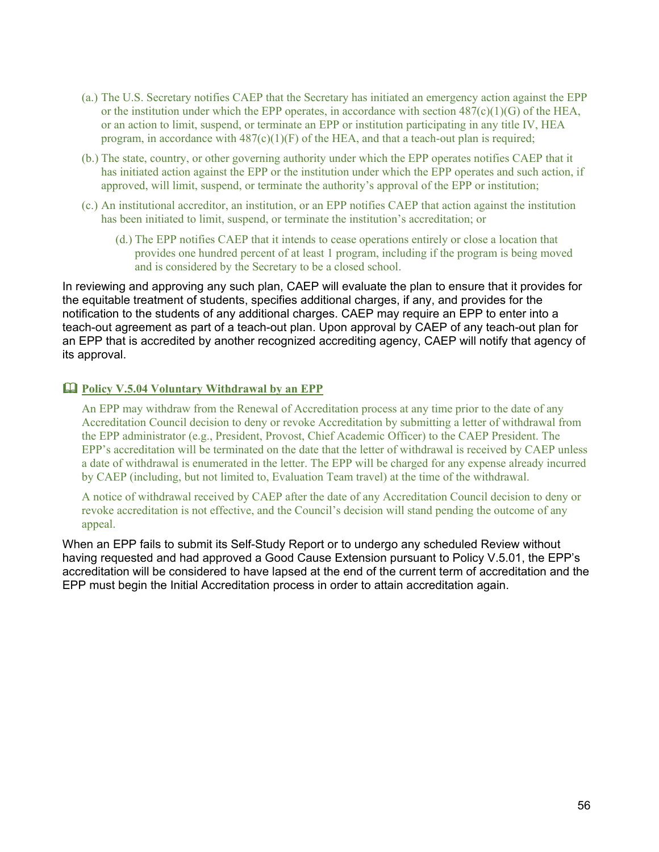- (a.) The U.S. Secretary notifies CAEP that the Secretary has initiated an emergency action against the EPP or the institution under which the EPP operates, in accordance with section  $487(c)(1)(G)$  of the HEA, or an action to limit, suspend, or terminate an EPP or institution participating in any title IV, HEA program, in accordance with  $487(c)(1)(F)$  of the HEA, and that a teach-out plan is required;
- (b.) The state, country, or other governing authority under which the EPP operates notifies CAEP that it has initiated action against the EPP or the institution under which the EPP operates and such action, if approved, will limit, suspend, or terminate the authority's approval of the EPP or institution;
- (c.) An institutional accreditor, an institution, or an EPP notifies CAEP that action against the institution has been initiated to limit, suspend, or terminate the institution's accreditation; or
	- (d.) The EPP notifies CAEP that it intends to cease operations entirely or close a location that provides one hundred percent of at least 1 program, including if the program is being moved and is considered by the Secretary to be a closed school.

In reviewing and approving any such plan, CAEP will evaluate the plan to ensure that it provides for the equitable treatment of students, specifies additional charges, if any, and provides for the notification to the students of any additional charges. CAEP may require an EPP to enter into a teach-out agreement as part of a teach-out plan. Upon approval by CAEP of any teach-out plan for an EPP that is accredited by another recognized accrediting agency, CAEP will notify that agency of its approval.

# **Policy V.5.04 Voluntary Withdrawal by an EPP**

An EPP may withdraw from the Renewal of Accreditation process at any time prior to the date of any Accreditation Council decision to deny or revoke Accreditation by submitting a letter of withdrawal from the EPP administrator (e.g., President, Provost, Chief Academic Officer) to the CAEP President. The EPP's accreditation will be terminated on the date that the letter of withdrawal is received by CAEP unless a date of withdrawal is enumerated in the letter. The EPP will be charged for any expense already incurred by CAEP (including, but not limited to, Evaluation Team travel) at the time of the withdrawal.

A notice of withdrawal received by CAEP after the date of any Accreditation Council decision to deny or revoke accreditation is not effective, and the Council's decision will stand pending the outcome of any appeal.

When an EPP fails to submit its Self-Study Report or to undergo any scheduled Review without having requested and had approved a Good Cause Extension pursuant to Policy V.5.01, the EPP's accreditation will be considered to have lapsed at the end of the current term of accreditation and the EPP must begin the Initial Accreditation process in order to attain accreditation again.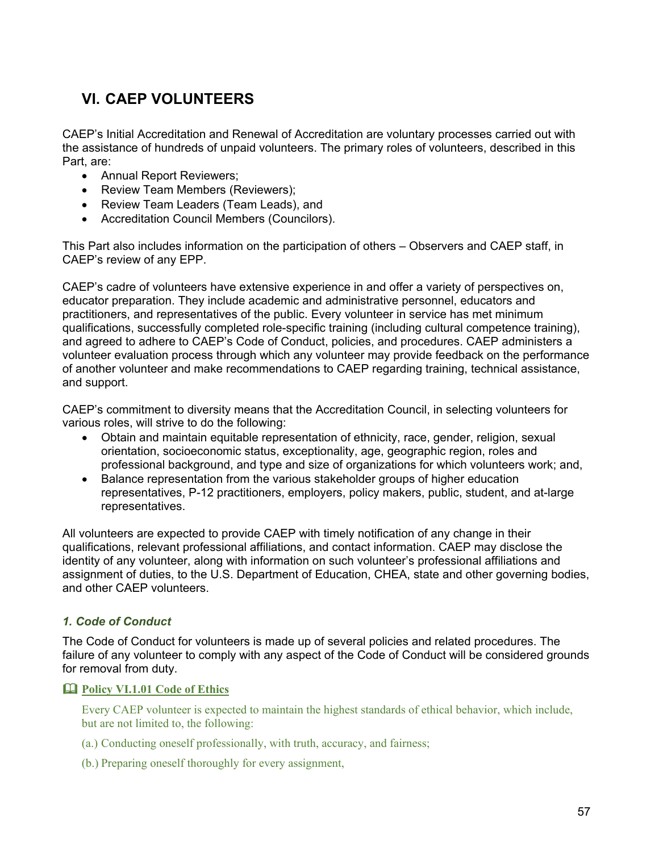# **VI. CAEP VOLUNTEERS**

CAEP's Initial Accreditation and Renewal of Accreditation are voluntary processes carried out with the assistance of hundreds of unpaid volunteers. The primary roles of volunteers, described in this Part, are:

- Annual Report Reviewers;
- Review Team Members (Reviewers);
- Review Team Leaders (Team Leads), and
- Accreditation Council Members (Councilors).

This Part also includes information on the participation of others – Observers and CAEP staff, in CAEP's review of any EPP.

CAEP's cadre of volunteers have extensive experience in and offer a variety of perspectives on, educator preparation. They include academic and administrative personnel, educators and practitioners, and representatives of the public. Every volunteer in service has met minimum qualifications, successfully completed role-specific training (including cultural competence training), and agreed to adhere to CAEP's Code of Conduct, policies, and procedures. CAEP administers a volunteer evaluation process through which any volunteer may provide feedback on the performance of another volunteer and make recommendations to CAEP regarding training, technical assistance, and support.

CAEP's commitment to diversity means that the Accreditation Council, in selecting volunteers for various roles, will strive to do the following:

- Obtain and maintain equitable representation of ethnicity, race, gender, religion, sexual orientation, socioeconomic status, exceptionality, age, geographic region, roles and professional background, and type and size of organizations for which volunteers work; and,
- Balance representation from the various stakeholder groups of higher education representatives, P-12 practitioners, employers, policy makers, public, student, and at-large representatives.

All volunteers are expected to provide CAEP with timely notification of any change in their qualifications, relevant professional affiliations, and contact information. CAEP may disclose the identity of any volunteer, along with information on such volunteer's professional affiliations and assignment of duties, to the U.S. Department of Education, CHEA, state and other governing bodies, and other CAEP volunteers.

# *1. Code of Conduct*

The Code of Conduct for volunteers is made up of several policies and related procedures. The failure of any volunteer to comply with any aspect of the Code of Conduct will be considered grounds for removal from duty.

# **Policy VI.1.01 Code of Ethics**

Every CAEP volunteer is expected to maintain the highest standards of ethical behavior, which include, but are not limited to, the following:

- (a.) Conducting oneself professionally, with truth, accuracy, and fairness;
- (b.) Preparing oneself thoroughly for every assignment,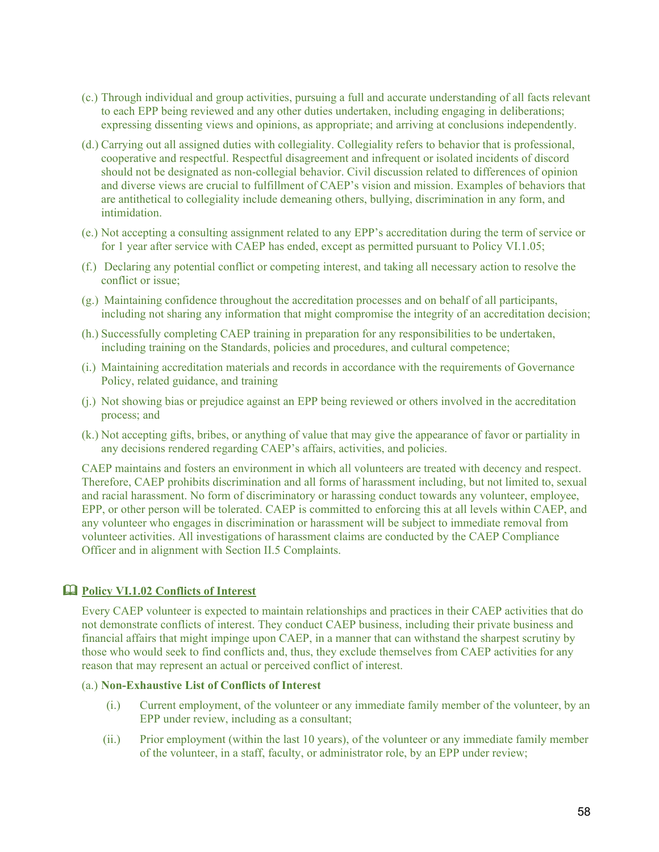- (c.) Through individual and group activities, pursuing a full and accurate understanding of all facts relevant to each EPP being reviewed and any other duties undertaken, including engaging in deliberations; expressing dissenting views and opinions, as appropriate; and arriving at conclusions independently.
- (d.) Carrying out all assigned duties with collegiality. Collegiality refers to behavior that is professional, cooperative and respectful. Respectful disagreement and infrequent or isolated incidents of discord should not be designated as non-collegial behavior. Civil discussion related to differences of opinion and diverse views are crucial to fulfillment of CAEP's vision and mission. Examples of behaviors that are antithetical to collegiality include demeaning others, bullying, discrimination in any form, and intimidation.
- (e.) Not accepting a consulting assignment related to any EPP's accreditation during the term of service or for 1 year after service with CAEP has ended, except as permitted pursuant to Policy VI.1.05;
- (f.) Declaring any potential conflict or competing interest, and taking all necessary action to resolve the conflict or issue;
- (g.) Maintaining confidence throughout the accreditation processes and on behalf of all participants, including not sharing any information that might compromise the integrity of an accreditation decision;
- (h.) Successfully completing CAEP training in preparation for any responsibilities to be undertaken, including training on the Standards, policies and procedures, and cultural competence;
- (i.) Maintaining accreditation materials and records in accordance with the requirements of Governance Policy, related guidance, and training
- (j.) Not showing bias or prejudice against an EPP being reviewed or others involved in the accreditation process; and
- (k.) Not accepting gifts, bribes, or anything of value that may give the appearance of favor or partiality in any decisions rendered regarding CAEP's affairs, activities, and policies.

CAEP maintains and fosters an environment in which all volunteers are treated with decency and respect. Therefore, CAEP prohibits discrimination and all forms of harassment including, but not limited to, sexual and racial harassment. No form of discriminatory or harassing conduct towards any volunteer, employee, EPP, or other person will be tolerated. CAEP is committed to enforcing this at all levels within CAEP, and any volunteer who engages in discrimination or harassment will be subject to immediate removal from volunteer activities. All investigations of harassment claims are conducted by the CAEP Compliance Officer and in alignment with Section II.5 Complaints.

# **Policy VI.1.02 Conflicts of Interest**

Every CAEP volunteer is expected to maintain relationships and practices in their CAEP activities that do not demonstrate conflicts of interest. They conduct CAEP business, including their private business and financial affairs that might impinge upon CAEP, in a manner that can withstand the sharpest scrutiny by those who would seek to find conflicts and, thus, they exclude themselves from CAEP activities for any reason that may represent an actual or perceived conflict of interest.

#### (a.) **Non-Exhaustive List of Conflicts of Interest**

- (i.) Current employment, of the volunteer or any immediate family member of the volunteer, by an EPP under review, including as a consultant;
- (ii.) Prior employment (within the last 10 years), of the volunteer or any immediate family member of the volunteer, in a staff, faculty, or administrator role, by an EPP under review;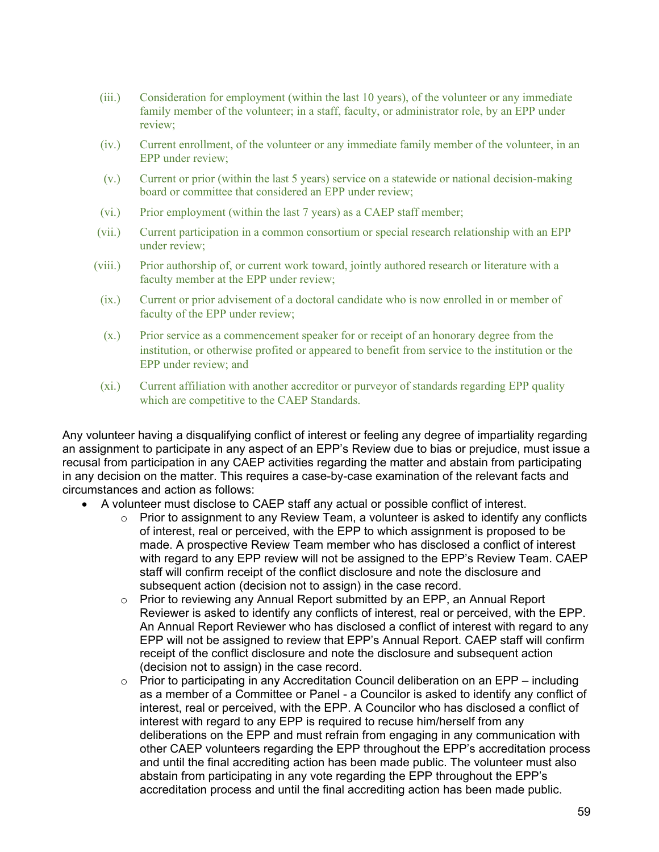- (iii.) Consideration for employment (within the last 10 years), of the volunteer or any immediate family member of the volunteer; in a staff, faculty, or administrator role, by an EPP under review;
- (iv.) Current enrollment, of the volunteer or any immediate family member of the volunteer, in an EPP under review;
- (v.) Current or prior (within the last 5 years) service on a statewide or national decision-making board or committee that considered an EPP under review;
- (vi.) Prior employment (within the last 7 years) as a CAEP staff member;
- (vii.) Current participation in a common consortium or special research relationship with an EPP under review;
- (viii.) Prior authorship of, or current work toward, jointly authored research or literature with a faculty member at the EPP under review;
- (ix.) Current or prior advisement of a doctoral candidate who is now enrolled in or member of faculty of the EPP under review;
- (x.) Prior service as a commencement speaker for or receipt of an honorary degree from the institution, or otherwise profited or appeared to benefit from service to the institution or the EPP under review; and
- (xi.) Current affiliation with another accreditor or purveyor of standards regarding EPP quality which are competitive to the CAEP Standards.

Any volunteer having a disqualifying conflict of interest or feeling any degree of impartiality regarding an assignment to participate in any aspect of an EPP's Review due to bias or prejudice, must issue a recusal from participation in any CAEP activities regarding the matter and abstain from participating in any decision on the matter. This requires a case-by-case examination of the relevant facts and circumstances and action as follows:

- A volunteer must disclose to CAEP staff any actual or possible conflict of interest.
	- $\circ$  Prior to assignment to any Review Team, a volunteer is asked to identify any conflicts of interest, real or perceived, with the EPP to which assignment is proposed to be made. A prospective Review Team member who has disclosed a conflict of interest with regard to any EPP review will not be assigned to the EPP's Review Team. CAEP staff will confirm receipt of the conflict disclosure and note the disclosure and subsequent action (decision not to assign) in the case record.
	- o Prior to reviewing any Annual Report submitted by an EPP, an Annual Report Reviewer is asked to identify any conflicts of interest, real or perceived, with the EPP. An Annual Report Reviewer who has disclosed a conflict of interest with regard to any EPP will not be assigned to review that EPP's Annual Report. CAEP staff will confirm receipt of the conflict disclosure and note the disclosure and subsequent action (decision not to assign) in the case record.
	- $\circ$  Prior to participating in any Accreditation Council deliberation on an EPP including as a member of a Committee or Panel - a Councilor is asked to identify any conflict of interest, real or perceived, with the EPP. A Councilor who has disclosed a conflict of interest with regard to any EPP is required to recuse him/herself from any deliberations on the EPP and must refrain from engaging in any communication with other CAEP volunteers regarding the EPP throughout the EPP's accreditation process and until the final accrediting action has been made public. The volunteer must also abstain from participating in any vote regarding the EPP throughout the EPP's accreditation process and until the final accrediting action has been made public.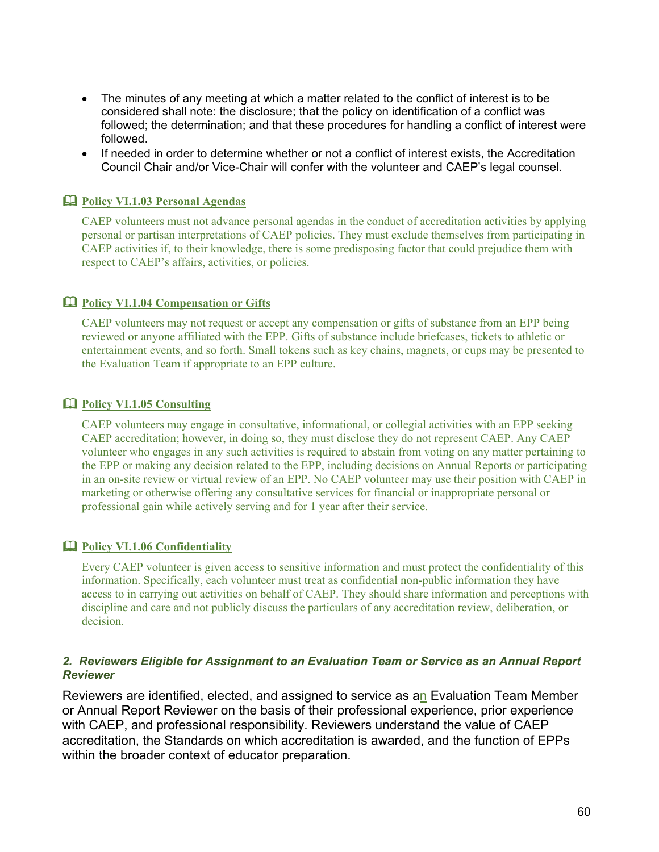- The minutes of any meeting at which a matter related to the conflict of interest is to be considered shall note: the disclosure; that the policy on identification of a conflict was followed; the determination; and that these procedures for handling a conflict of interest were followed.
- If needed in order to determine whether or not a conflict of interest exists, the Accreditation Council Chair and/or Vice-Chair will confer with the volunteer and CAEP's legal counsel.

# **Policy VI.1.03 Personal Agendas**

CAEP volunteers must not advance personal agendas in the conduct of accreditation activities by applying personal or partisan interpretations of CAEP policies. They must exclude themselves from participating in CAEP activities if, to their knowledge, there is some predisposing factor that could prejudice them with respect to CAEP's affairs, activities, or policies.

## **Policy VI.1.04 Compensation or Gifts**

CAEP volunteers may not request or accept any compensation or gifts of substance from an EPP being reviewed or anyone affiliated with the EPP. Gifts of substance include briefcases, tickets to athletic or entertainment events, and so forth. Small tokens such as key chains, magnets, or cups may be presented to the Evaluation Team if appropriate to an EPP culture.

#### **Policy VI.1.05 Consulting**

CAEP volunteers may engage in consultative, informational, or collegial activities with an EPP seeking CAEP accreditation; however, in doing so, they must disclose they do not represent CAEP. Any CAEP volunteer who engages in any such activities is required to abstain from voting on any matter pertaining to the EPP or making any decision related to the EPP, including decisions on Annual Reports or participating in an on-site review or virtual review of an EPP. No CAEP volunteer may use their position with CAEP in marketing or otherwise offering any consultative services for financial or inappropriate personal or professional gain while actively serving and for 1 year after their service.

## **Policy VI.1.06 Confidentiality**

Every CAEP volunteer is given access to sensitive information and must protect the confidentiality of this information. Specifically, each volunteer must treat as confidential non-public information they have access to in carrying out activities on behalf of CAEP. They should share information and perceptions with discipline and care and not publicly discuss the particulars of any accreditation review, deliberation, or decision.

#### *2. Reviewers Eligible for Assignment to an Evaluation Team or Service as an Annual Report Reviewer*

Reviewers are identified, elected, and assigned to service as an Evaluation Team Member or Annual Report Reviewer on the basis of their professional experience, prior experience with CAEP, and professional responsibility. Reviewers understand the value of CAEP accreditation, the Standards on which accreditation is awarded, and the function of EPPs within the broader context of educator preparation.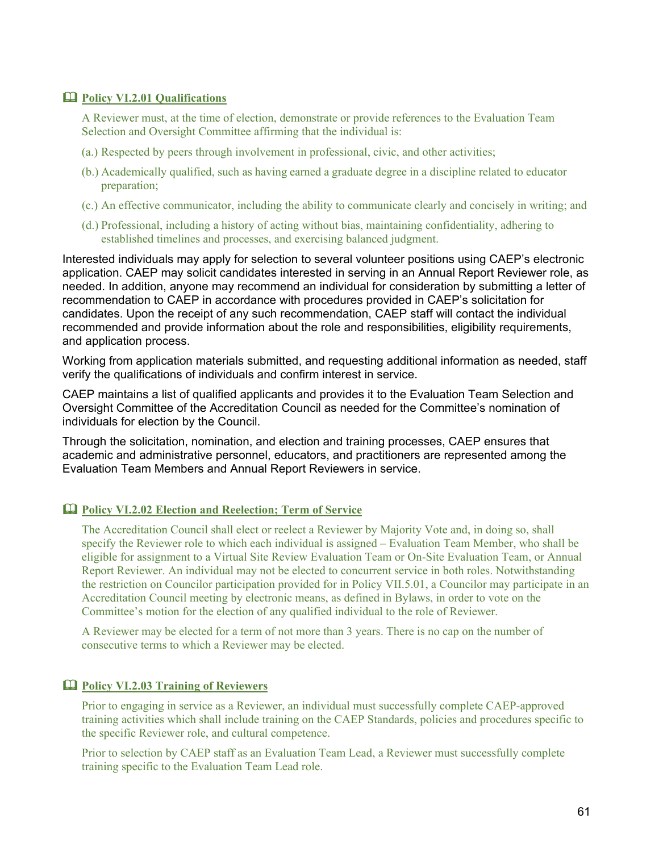### **Policy VI.2.01 Qualifications**

A Reviewer must, at the time of election, demonstrate or provide references to the Evaluation Team Selection and Oversight Committee affirming that the individual is:

- (a.) Respected by peers through involvement in professional, civic, and other activities;
- (b.) Academically qualified, such as having earned a graduate degree in a discipline related to educator preparation;
- (c.) An effective communicator, including the ability to communicate clearly and concisely in writing; and
- (d.) Professional, including a history of acting without bias, maintaining confidentiality, adhering to established timelines and processes, and exercising balanced judgment.

Interested individuals may apply for selection to several volunteer positions using CAEP's electronic application. CAEP may solicit candidates interested in serving in an Annual Report Reviewer role, as needed. In addition, anyone may recommend an individual for consideration by submitting a letter of recommendation to CAEP in accordance with procedures provided in CAEP's solicitation for candidates. Upon the receipt of any such recommendation, CAEP staff will contact the individual recommended and provide information about the role and responsibilities, eligibility requirements, and application process.

Working from application materials submitted, and requesting additional information as needed, staff verify the qualifications of individuals and confirm interest in service.

CAEP maintains a list of qualified applicants and provides it to the Evaluation Team Selection and Oversight Committee of the Accreditation Council as needed for the Committee's nomination of individuals for election by the Council.

Through the solicitation, nomination, and election and training processes, CAEP ensures that academic and administrative personnel, educators, and practitioners are represented among the Evaluation Team Members and Annual Report Reviewers in service.

#### **Policy VI.2.02 Election and Reelection; Term of Service**

The Accreditation Council shall elect or reelect a Reviewer by Majority Vote and, in doing so, shall specify the Reviewer role to which each individual is assigned – Evaluation Team Member, who shall be eligible for assignment to a Virtual Site Review Evaluation Team or On-Site Evaluation Team, or Annual Report Reviewer. An individual may not be elected to concurrent service in both roles. Notwithstanding the restriction on Councilor participation provided for in Policy VII.5.01, a Councilor may participate in an Accreditation Council meeting by electronic means, as defined in Bylaws, in order to vote on the Committee's motion for the election of any qualified individual to the role of Reviewer.

A Reviewer may be elected for a term of not more than 3 years. There is no cap on the number of consecutive terms to which a Reviewer may be elected.

# **Policy VI.2.03 Training of Reviewers**

Prior to engaging in service as a Reviewer, an individual must successfully complete CAEP-approved training activities which shall include training on the CAEP Standards, policies and procedures specific to the specific Reviewer role, and cultural competence.

Prior to selection by CAEP staff as an Evaluation Team Lead, a Reviewer must successfully complete training specific to the Evaluation Team Lead role.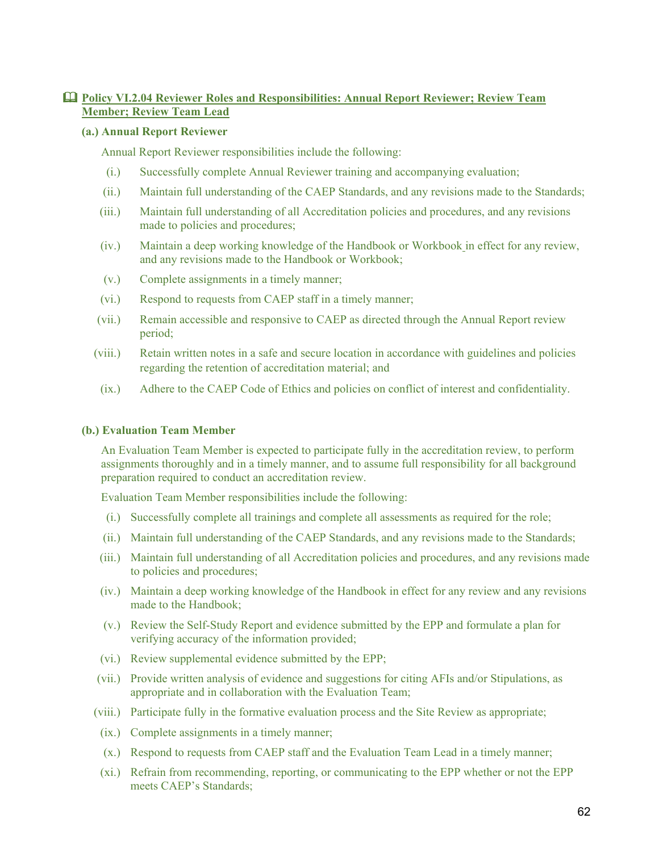# **Policy VI.2.04 Reviewer Roles and Responsibilities: Annual Report Reviewer; Review Team Member; Review Team Lead**

#### **(a.) Annual Report Reviewer**

Annual Report Reviewer responsibilities include the following:

- (i.) Successfully complete Annual Reviewer training and accompanying evaluation;
- (ii.) Maintain full understanding of the CAEP Standards, and any revisions made to the Standards;
- (iii.) Maintain full understanding of all Accreditation policies and procedures, and any revisions made to policies and procedures;
- (iv.) Maintain a deep working knowledge of the Handbook or Workbook in effect for any review, and any revisions made to the Handbook or Workbook;
- (v.) Complete assignments in a timely manner;
- (vi.) Respond to requests from CAEP staff in a timely manner;
- (vii.) Remain accessible and responsive to CAEP as directed through the Annual Report review period;
- (viii.) Retain written notes in a safe and secure location in accordance with guidelines and policies regarding the retention of accreditation material; and
- (ix.) Adhere to the CAEP Code of Ethics and policies on conflict of interest and confidentiality.

#### **(b.) Evaluation Team Member**

An Evaluation Team Member is expected to participate fully in the accreditation review, to perform assignments thoroughly and in a timely manner, and to assume full responsibility for all background preparation required to conduct an accreditation review.

Evaluation Team Member responsibilities include the following:

- (i.) Successfully complete all trainings and complete all assessments as required for the role;
- (ii.) Maintain full understanding of the CAEP Standards, and any revisions made to the Standards;
- (iii.) Maintain full understanding of all Accreditation policies and procedures, and any revisions made to policies and procedures;
- (iv.) Maintain a deep working knowledge of the Handbook in effect for any review and any revisions made to the Handbook;
- (v.) Review the Self-Study Report and evidence submitted by the EPP and formulate a plan for verifying accuracy of the information provided;
- (vi.) Review supplemental evidence submitted by the EPP;
- (vii.) Provide written analysis of evidence and suggestions for citing AFIs and/or Stipulations, as appropriate and in collaboration with the Evaluation Team;
- (viii.) Participate fully in the formative evaluation process and the Site Review as appropriate;
- (ix.) Complete assignments in a timely manner;
- (x.) Respond to requests from CAEP staff and the Evaluation Team Lead in a timely manner;
- (xi.) Refrain from recommending, reporting, or communicating to the EPP whether or not the EPP meets CAEP's Standards;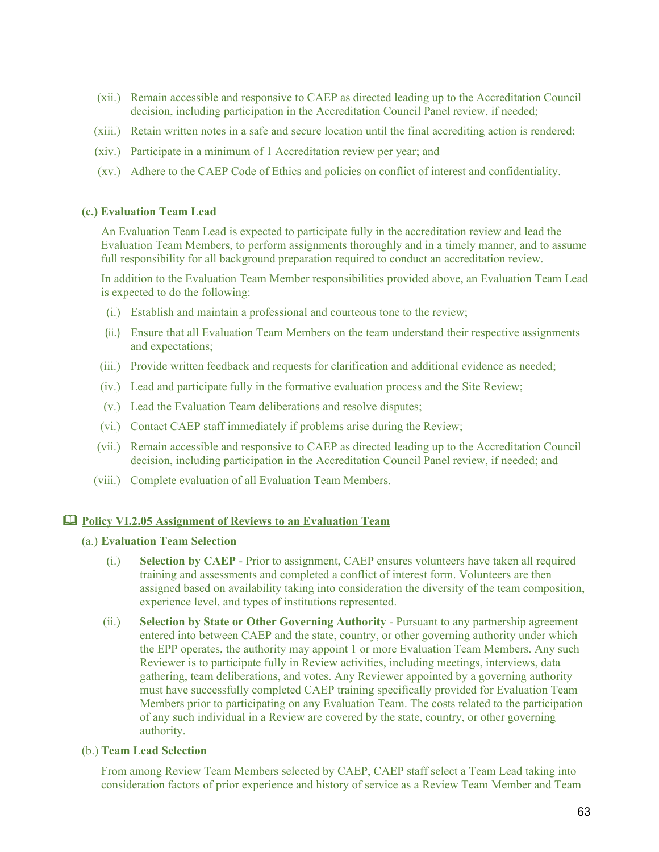- (xii.) Remain accessible and responsive to CAEP as directed leading up to the Accreditation Council decision, including participation in the Accreditation Council Panel review, if needed;
- (xiii.) Retain written notes in a safe and secure location until the final accrediting action is rendered;
- (xiv.) Participate in a minimum of 1 Accreditation review per year; and
- (xv.) Adhere to the CAEP Code of Ethics and policies on conflict of interest and confidentiality.

#### **(c.) Evaluation Team Lead**

An Evaluation Team Lead is expected to participate fully in the accreditation review and lead the Evaluation Team Members, to perform assignments thoroughly and in a timely manner, and to assume full responsibility for all background preparation required to conduct an accreditation review.

In addition to the Evaluation Team Member responsibilities provided above, an Evaluation Team Lead is expected to do the following:

- (i.) Establish and maintain a professional and courteous tone to the review;
- (ii.) Ensure that all Evaluation Team Members on the team understand their respective assignments and expectations;
- (iii.) Provide written feedback and requests for clarification and additional evidence as needed;
- (iv.) Lead and participate fully in the formative evaluation process and the Site Review;
- (v.) Lead the Evaluation Team deliberations and resolve disputes;
- (vi.) Contact CAEP staff immediately if problems arise during the Review;
- (vii.) Remain accessible and responsive to CAEP as directed leading up to the Accreditation Council decision, including participation in the Accreditation Council Panel review, if needed; and
- (viii.) Complete evaluation of all Evaluation Team Members.

## **Policy VI.2.05 Assignment of Reviews to an Evaluation Team**

#### (a.) **Evaluation Team Selection**

- (i.) **Selection by CAEP** Prior to assignment, CAEP ensures volunteers have taken all required training and assessments and completed a conflict of interest form. Volunteers are then assigned based on availability taking into consideration the diversity of the team composition, experience level, and types of institutions represented.
- (ii.) **Selection by State or Other Governing Authority** Pursuant to any partnership agreement entered into between CAEP and the state, country, or other governing authority under which the EPP operates, the authority may appoint 1 or more Evaluation Team Members. Any such Reviewer is to participate fully in Review activities, including meetings, interviews, data gathering, team deliberations, and votes. Any Reviewer appointed by a governing authority must have successfully completed CAEP training specifically provided for Evaluation Team Members prior to participating on any Evaluation Team. The costs related to the participation of any such individual in a Review are covered by the state, country, or other governing authority.

#### (b.) **Team Lead Selection**

From among Review Team Members selected by CAEP, CAEP staff select a Team Lead taking into consideration factors of prior experience and history of service as a Review Team Member and Team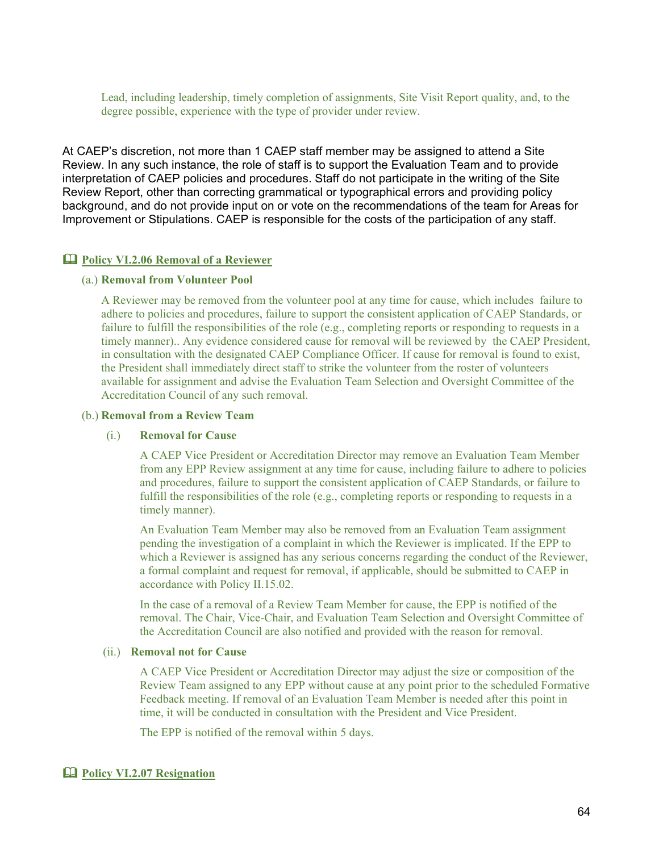Lead, including leadership, timely completion of assignments, Site Visit Report quality, and, to the degree possible, experience with the type of provider under review.

At CAEP's discretion, not more than 1 CAEP staff member may be assigned to attend a Site Review. In any such instance, the role of staff is to support the Evaluation Team and to provide interpretation of CAEP policies and procedures. Staff do not participate in the writing of the Site Review Report, other than correcting grammatical or typographical errors and providing policy background, and do not provide input on or vote on the recommendations of the team for Areas for Improvement or Stipulations. CAEP is responsible for the costs of the participation of any staff.

#### **Policy VI.2.06 Removal of a Reviewer**

#### (a.) **Removal from Volunteer Pool**

A Reviewer may be removed from the volunteer pool at any time for cause, which includes failure to adhere to policies and procedures, failure to support the consistent application of CAEP Standards, or failure to fulfill the responsibilities of the role (e.g., completing reports or responding to requests in a timely manner).. Any evidence considered cause for removal will be reviewed by the CAEP President, in consultation with the designated CAEP Compliance Officer. If cause for removal is found to exist, the President shall immediately direct staff to strike the volunteer from the roster of volunteers available for assignment and advise the Evaluation Team Selection and Oversight Committee of the Accreditation Council of any such removal.

#### (b.) **Removal from a Review Team**

#### (i.) **Removal for Cause**

A CAEP Vice President or Accreditation Director may remove an Evaluation Team Member from any EPP Review assignment at any time for cause, including failure to adhere to policies and procedures, failure to support the consistent application of CAEP Standards, or failure to fulfill the responsibilities of the role (e.g., completing reports or responding to requests in a timely manner).

An Evaluation Team Member may also be removed from an Evaluation Team assignment pending the investigation of a complaint in which the Reviewer is implicated. If the EPP to which a Reviewer is assigned has any serious concerns regarding the conduct of the Reviewer, a formal complaint and request for removal, if applicable, should be submitted to CAEP in accordance with Policy II.15.02.

In the case of a removal of a Review Team Member for cause, the EPP is notified of the removal. The Chair, Vice-Chair, and Evaluation Team Selection and Oversight Committee of the Accreditation Council are also notified and provided with the reason for removal.

#### (ii.) **Removal not for Cause**

A CAEP Vice President or Accreditation Director may adjust the size or composition of the Review Team assigned to any EPP without cause at any point prior to the scheduled Formative Feedback meeting. If removal of an Evaluation Team Member is needed after this point in time, it will be conducted in consultation with the President and Vice President.

The EPP is notified of the removal within 5 days.

#### **Policy VI.2.07 Resignation**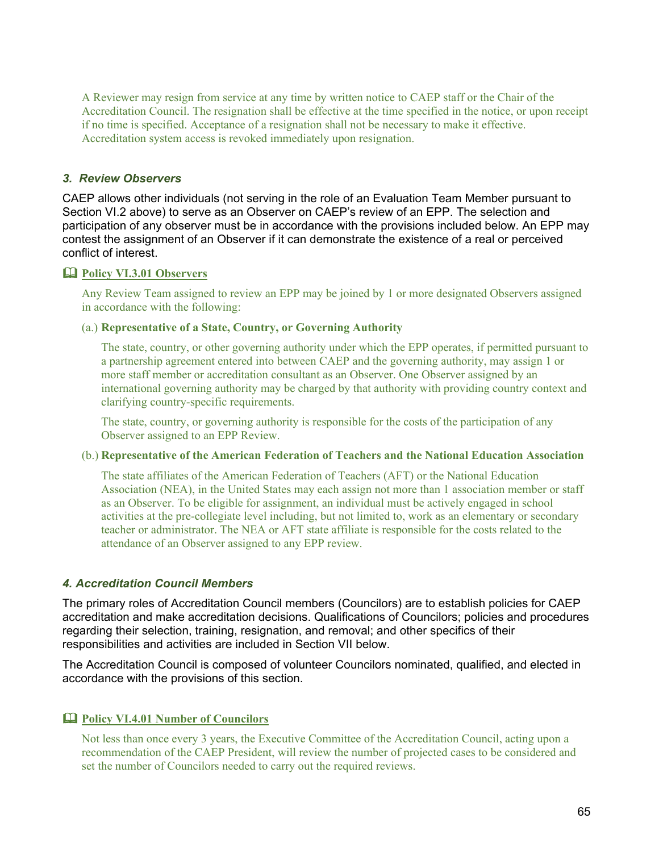A Reviewer may resign from service at any time by written notice to CAEP staff or the Chair of the Accreditation Council. The resignation shall be effective at the time specified in the notice, or upon receipt if no time is specified. Acceptance of a resignation shall not be necessary to make it effective. Accreditation system access is revoked immediately upon resignation.

# *3. Review Observers*

CAEP allows other individuals (not serving in the role of an Evaluation Team Member pursuant to Section VI.2 above) to serve as an Observer on CAEP's review of an EPP. The selection and participation of any observer must be in accordance with the provisions included below. An EPP may contest the assignment of an Observer if it can demonstrate the existence of a real or perceived conflict of interest.

#### **Policy VI.3.01 Observers**

Any Review Team assigned to review an EPP may be joined by 1 or more designated Observers assigned in accordance with the following:

## (a.) **Representative of a State, Country, or Governing Authority**

The state, country, or other governing authority under which the EPP operates, if permitted pursuant to a partnership agreement entered into between CAEP and the governing authority, may assign 1 or more staff member or accreditation consultant as an Observer. One Observer assigned by an international governing authority may be charged by that authority with providing country context and clarifying country-specific requirements.

The state, country, or governing authority is responsible for the costs of the participation of any Observer assigned to an EPP Review.

## (b.) **Representative of the American Federation of Teachers and the National Education Association**

The state affiliates of the American Federation of Teachers (AFT) or the National Education Association (NEA), in the United States may each assign not more than 1 association member or staff as an Observer. To be eligible for assignment, an individual must be actively engaged in school activities at the pre-collegiate level including, but not limited to, work as an elementary or secondary teacher or administrator. The NEA or AFT state affiliate is responsible for the costs related to the attendance of an Observer assigned to any EPP review.

#### *4. Accreditation Council Members*

The primary roles of Accreditation Council members (Councilors) are to establish policies for CAEP accreditation and make accreditation decisions. Qualifications of Councilors; policies and procedures regarding their selection, training, resignation, and removal; and other specifics of their responsibilities and activities are included in Section VII below.

The Accreditation Council is composed of volunteer Councilors nominated, qualified, and elected in accordance with the provisions of this section.

# **Policy VI.4.01 Number of Councilors**

Not less than once every 3 years, the Executive Committee of the Accreditation Council, acting upon a recommendation of the CAEP President, will review the number of projected cases to be considered and set the number of Councilors needed to carry out the required reviews.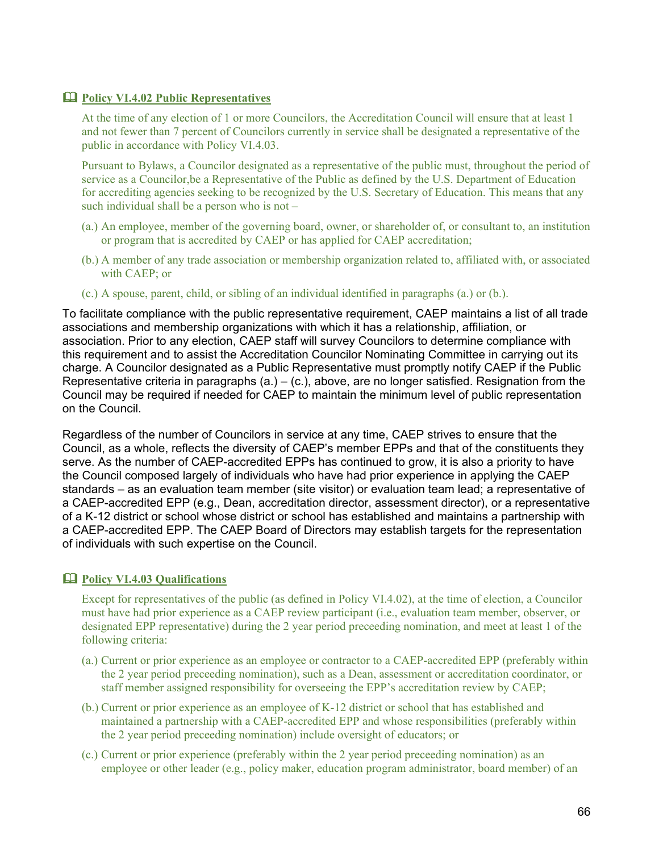# **Policy VI.4.02 Public Representatives**

At the time of any election of 1 or more Councilors, the Accreditation Council will ensure that at least 1 and not fewer than 7 percent of Councilors currently in service shall be designated a representative of the public in accordance with Policy VI.4.03.

Pursuant to Bylaws, a Councilor designated as a representative of the public must, throughout the period of service as a Councilor,be a Representative of the Public as defined by the U.S. Department of Education for accrediting agencies seeking to be recognized by the U.S. Secretary of Education. This means that any such individual shall be a person who is not –

- (a.) An employee, member of the governing board, owner, or shareholder of, or consultant to, an institution or program that is accredited by CAEP or has applied for CAEP accreditation;
- (b.) A member of any trade association or membership organization related to, affiliated with, or associated with CAEP; or
- (c.) A spouse, parent, child, or sibling of an individual identified in paragraphs (a.) or (b.).

To facilitate compliance with the public representative requirement, CAEP maintains a list of all trade associations and membership organizations with which it has a relationship, affiliation, or association. Prior to any election, CAEP staff will survey Councilors to determine compliance with this requirement and to assist the Accreditation Councilor Nominating Committee in carrying out its charge. A Councilor designated as a Public Representative must promptly notify CAEP if the Public Representative criteria in paragraphs (a.) – (c.), above, are no longer satisfied. Resignation from the Council may be required if needed for CAEP to maintain the minimum level of public representation on the Council.

Regardless of the number of Councilors in service at any time, CAEP strives to ensure that the Council, as a whole, reflects the diversity of CAEP's member EPPs and that of the constituents they serve. As the number of CAEP-accredited EPPs has continued to grow, it is also a priority to have the Council composed largely of individuals who have had prior experience in applying the CAEP standards – as an evaluation team member (site visitor) or evaluation team lead; a representative of a CAEP-accredited EPP (e.g., Dean, accreditation director, assessment director), or a representative of a K-12 district or school whose district or school has established and maintains a partnership with a CAEP-accredited EPP. The CAEP Board of Directors may establish targets for the representation of individuals with such expertise on the Council.

# **Policy VI.4.03 Qualifications**

Except for representatives of the public (as defined in Policy VI.4.02), at the time of election, a Councilor must have had prior experience as a CAEP review participant (i.e., evaluation team member, observer, or designated EPP representative) during the 2 year period preceeding nomination, and meet at least 1 of the following criteria:

- (a.) Current or prior experience as an employee or contractor to a CAEP-accredited EPP (preferably within the 2 year period preceeding nomination), such as a Dean, assessment or accreditation coordinator, or staff member assigned responsibility for overseeing the EPP's accreditation review by CAEP;
- (b.) Current or prior experience as an employee of K-12 district or school that has established and maintained a partnership with a CAEP-accredited EPP and whose responsibilities (preferably within the 2 year period preceeding nomination) include oversight of educators; or
- (c.) Current or prior experience (preferably within the 2 year period preceeding nomination) as an employee or other leader (e.g., policy maker, education program administrator, board member) of an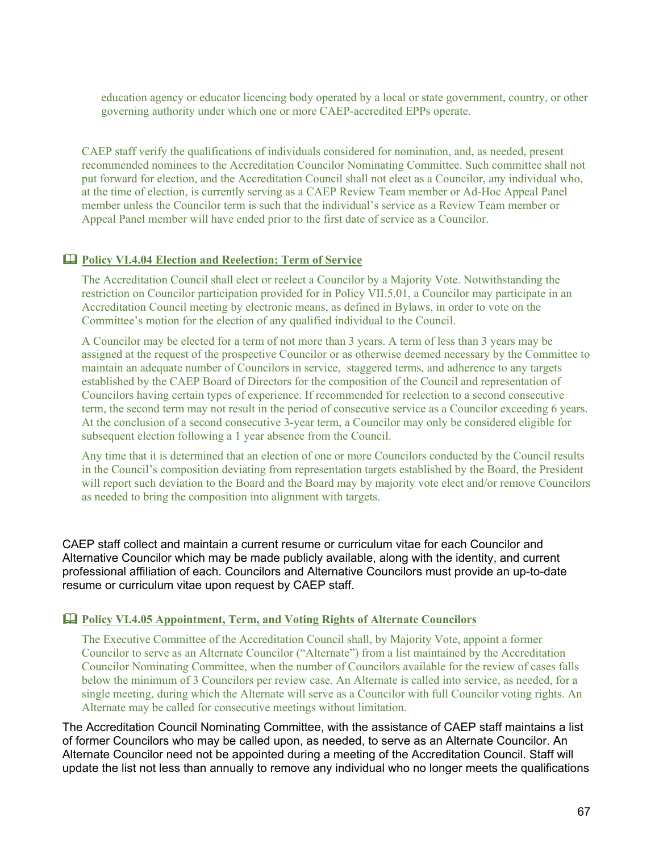education agency or educator licencing body operated by a local or state government, country, or other governing authority under which one or more CAEP-accredited EPPs operate.

CAEP staff verify the qualifications of individuals considered for nomination, and, as needed, present recommended nominees to the Accreditation Councilor Nominating Committee. Such committee shall not put forward for election, and the Accreditation Council shall not elect as a Councilor, any individual who, at the time of election, is currently serving as a CAEP Review Team member or Ad-Hoc Appeal Panel member unless the Councilor term is such that the individual's service as a Review Team member or Appeal Panel member will have ended prior to the first date of service as a Councilor.

# **Policy VI.4.04 Election and Reelection; Term of Service**

The Accreditation Council shall elect or reelect a Councilor by a Majority Vote. Notwithstanding the restriction on Councilor participation provided for in Policy VII.5.01, a Councilor may participate in an Accreditation Council meeting by electronic means, as defined in Bylaws, in order to vote on the Committee's motion for the election of any qualified individual to the Council.

A Councilor may be elected for a term of not more than 3 years. A term of less than 3 years may be assigned at the request of the prospective Councilor or as otherwise deemed necessary by the Committee to maintain an adequate number of Councilors in service, staggered terms, and adherence to any targets established by the CAEP Board of Directors for the composition of the Council and representation of Councilors having certain types of experience. If recommended for reelection to a second consecutive term, the second term may not result in the period of consecutive service as a Councilor exceeding 6 years. At the conclusion of a second consecutive 3-year term, a Councilor may only be considered eligible for subsequent election following a 1 year absence from the Council.

Any time that it is determined that an election of one or more Councilors conducted by the Council results in the Council's composition deviating from representation targets established by the Board, the President will report such deviation to the Board and the Board may by majority vote elect and/or remove Councilors as needed to bring the composition into alignment with targets.

CAEP staff collect and maintain a current resume or curriculum vitae for each Councilor and Alternative Councilor which may be made publicly available, along with the identity, and current professional affiliation of each. Councilors and Alternative Councilors must provide an up-to-date resume or curriculum vitae upon request by CAEP staff.

#### **Policy VI.4.05 Appointment, Term, and Voting Rights of Alternate Councilors**

The Executive Committee of the Accreditation Council shall, by Majority Vote, appoint a former Councilor to serve as an Alternate Councilor ("Alternate") from a list maintained by the Accreditation Councilor Nominating Committee, when the number of Councilors available for the review of cases falls below the minimum of 3 Councilors per review case. An Alternate is called into service, as needed, for a single meeting, during which the Alternate will serve as a Councilor with full Councilor voting rights. An Alternate may be called for consecutive meetings without limitation.

The Accreditation Council Nominating Committee, with the assistance of CAEP staff maintains a list of former Councilors who may be called upon, as needed, to serve as an Alternate Councilor. An Alternate Councilor need not be appointed during a meeting of the Accreditation Council. Staff will update the list not less than annually to remove any individual who no longer meets the qualifications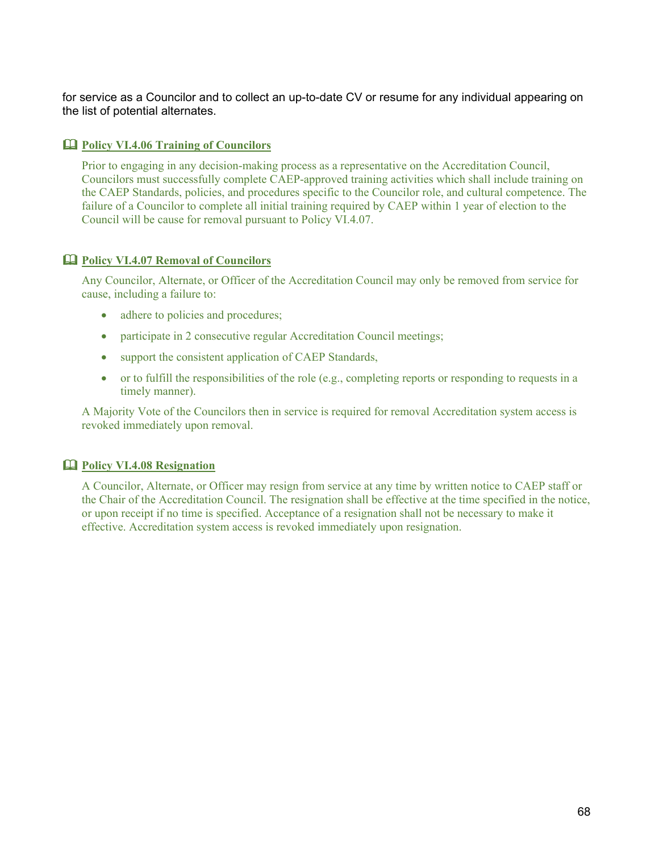for service as a Councilor and to collect an up-to-date CV or resume for any individual appearing on the list of potential alternates.

# **Policy VI.4.06 Training of Councilors**

Prior to engaging in any decision-making process as a representative on the Accreditation Council, Councilors must successfully complete CAEP-approved training activities which shall include training on the CAEP Standards, policies, and procedures specific to the Councilor role, and cultural competence. The failure of a Councilor to complete all initial training required by CAEP within 1 year of election to the Council will be cause for removal pursuant to Policy VI.4.07.

# **Policy VI.4.07 Removal of Councilors**

Any Councilor, Alternate, or Officer of the Accreditation Council may only be removed from service for cause, including a failure to:

- adhere to policies and procedures;
- participate in 2 consecutive regular Accreditation Council meetings;
- support the consistent application of CAEP Standards,
- or to fulfill the responsibilities of the role (e.g., completing reports or responding to requests in a timely manner).

A Majority Vote of the Councilors then in service is required for removal Accreditation system access is revoked immediately upon removal.

# **Policy VI.4.08 Resignation**

A Councilor, Alternate, or Officer may resign from service at any time by written notice to CAEP staff or the Chair of the Accreditation Council. The resignation shall be effective at the time specified in the notice, or upon receipt if no time is specified. Acceptance of a resignation shall not be necessary to make it effective. Accreditation system access is revoked immediately upon resignation.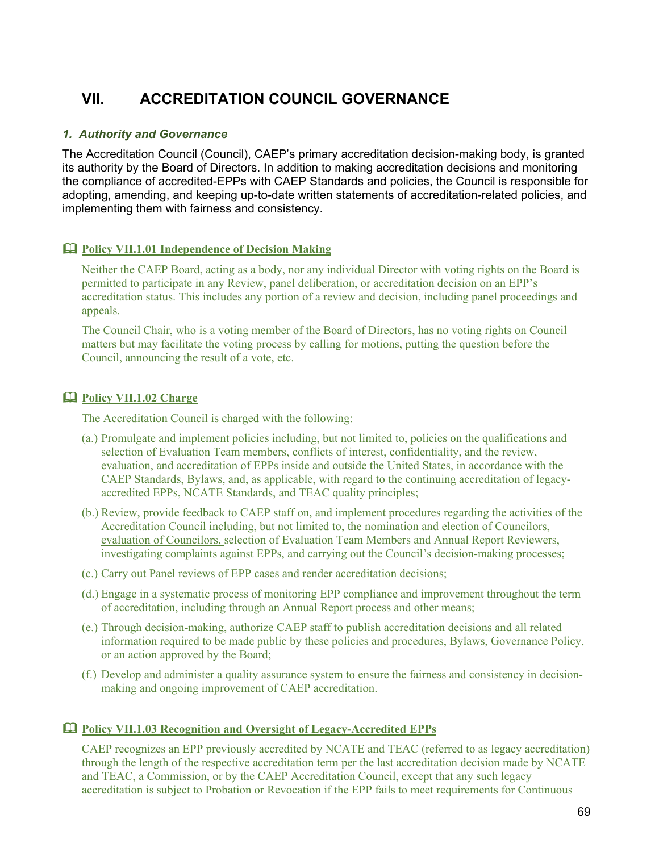# **VII. ACCREDITATION COUNCIL GOVERNANCE**

# *1. Authority and Governance*

The Accreditation Council (Council), CAEP's primary accreditation decision-making body, is granted its authority by the Board of Directors. In addition to making accreditation decisions and monitoring the compliance of accredited-EPPs with CAEP Standards and policies, the Council is responsible for adopting, amending, and keeping up-to-date written statements of accreditation-related policies, and implementing them with fairness and consistency.

# **Policy VII.1.01 Independence of Decision Making**

Neither the CAEP Board, acting as a body, nor any individual Director with voting rights on the Board is permitted to participate in any Review, panel deliberation, or accreditation decision on an EPP's accreditation status. This includes any portion of a review and decision, including panel proceedings and appeals.

The Council Chair, who is a voting member of the Board of Directors, has no voting rights on Council matters but may facilitate the voting process by calling for motions, putting the question before the Council, announcing the result of a vote, etc.

# **Policy VII.1.02 Charge**

The Accreditation Council is charged with the following:

- (a.) Promulgate and implement policies including, but not limited to, policies on the qualifications and selection of Evaluation Team members, conflicts of interest, confidentiality, and the review, evaluation, and accreditation of EPPs inside and outside the United States, in accordance with the CAEP Standards, Bylaws, and, as applicable, with regard to the continuing accreditation of legacyaccredited EPPs, NCATE Standards, and TEAC quality principles;
- (b.) Review, provide feedback to CAEP staff on, and implement procedures regarding the activities of the Accreditation Council including, but not limited to, the nomination and election of Councilors, evaluation of Councilors, selection of Evaluation Team Members and Annual Report Reviewers, investigating complaints against EPPs, and carrying out the Council's decision-making processes;
- (c.) Carry out Panel reviews of EPP cases and render accreditation decisions;
- (d.) Engage in a systematic process of monitoring EPP compliance and improvement throughout the term of accreditation, including through an Annual Report process and other means;
- (e.) Through decision-making, authorize CAEP staff to publish accreditation decisions and all related information required to be made public by these policies and procedures, Bylaws, Governance Policy, or an action approved by the Board;
- (f.) Develop and administer a quality assurance system to ensure the fairness and consistency in decisionmaking and ongoing improvement of CAEP accreditation.

# **Policy VII.1.03 Recognition and Oversight of Legacy-Accredited EPPs**

CAEP recognizes an EPP previously accredited by NCATE and TEAC (referred to as legacy accreditation) through the length of the respective accreditation term per the last accreditation decision made by NCATE and TEAC, a Commission, or by the CAEP Accreditation Council, except that any such legacy accreditation is subject to Probation or Revocation if the EPP fails to meet requirements for Continuous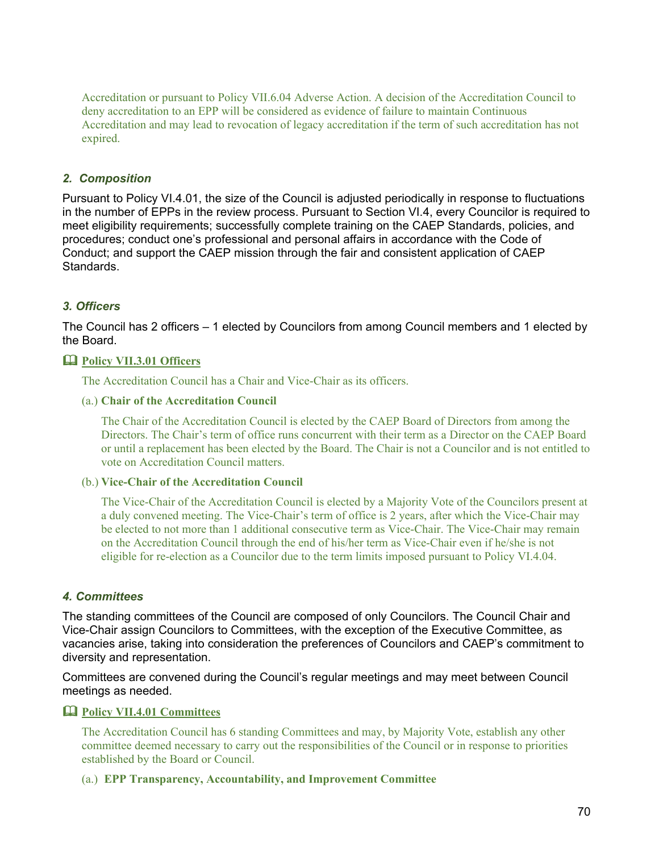Accreditation or pursuant to Policy VII.6.04 Adverse Action. A decision of the Accreditation Council to deny accreditation to an EPP will be considered as evidence of failure to maintain Continuous Accreditation and may lead to revocation of legacy accreditation if the term of such accreditation has not expired.

# *2. Composition*

Pursuant to Policy VI.4.01, the size of the Council is adjusted periodically in response to fluctuations in the number of EPPs in the review process. Pursuant to Section VI.4, every Councilor is required to meet eligibility requirements; successfully complete training on the CAEP Standards, policies, and procedures; conduct one's professional and personal affairs in accordance with the Code of Conduct; and support the CAEP mission through the fair and consistent application of CAEP Standards.

# *3. Officers*

The Council has 2 officers – 1 elected by Councilors from among Council members and 1 elected by the Board.

# **Policy VII.3.01 Officers**

The Accreditation Council has a Chair and Vice-Chair as its officers.

# (a.) **Chair of the Accreditation Council**

The Chair of the Accreditation Council is elected by the CAEP Board of Directors from among the Directors. The Chair's term of office runs concurrent with their term as a Director on the CAEP Board or until a replacement has been elected by the Board. The Chair is not a Councilor and is not entitled to vote on Accreditation Council matters.

# (b.) **Vice-Chair of the Accreditation Council**

The Vice-Chair of the Accreditation Council is elected by a Majority Vote of the Councilors present at a duly convened meeting. The Vice-Chair's term of office is 2 years, after which the Vice-Chair may be elected to not more than 1 additional consecutive term as Vice-Chair. The Vice-Chair may remain on the Accreditation Council through the end of his/her term as Vice-Chair even if he/she is not eligible for re-election as a Councilor due to the term limits imposed pursuant to Policy VI.4.04.

# *4. Committees*

The standing committees of the Council are composed of only Councilors. The Council Chair and Vice-Chair assign Councilors to Committees, with the exception of the Executive Committee, as vacancies arise, taking into consideration the preferences of Councilors and CAEP's commitment to diversity and representation.

Committees are convened during the Council's regular meetings and may meet between Council meetings as needed.

# **Policy VII.4.01 Committees**

The Accreditation Council has 6 standing Committees and may, by Majority Vote, establish any other committee deemed necessary to carry out the responsibilities of the Council or in response to priorities established by the Board or Council.

(a.) **EPP Transparency, Accountability, and Improvement Committee**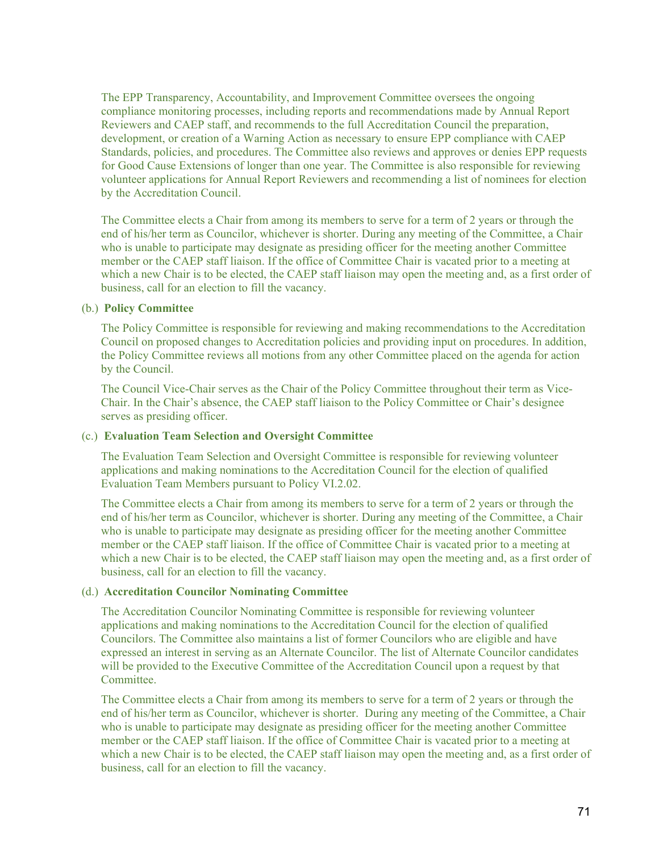The EPP Transparency, Accountability, and Improvement Committee oversees the ongoing compliance monitoring processes, including reports and recommendations made by Annual Report Reviewers and CAEP staff, and recommends to the full Accreditation Council the preparation, development, or creation of a Warning Action as necessary to ensure EPP compliance with CAEP Standards, policies, and procedures. The Committee also reviews and approves or denies EPP requests for Good Cause Extensions of longer than one year. The Committee is also responsible for reviewing volunteer applications for Annual Report Reviewers and recommending a list of nominees for election by the Accreditation Council.

The Committee elects a Chair from among its members to serve for a term of 2 years or through the end of his/her term as Councilor, whichever is shorter. During any meeting of the Committee, a Chair who is unable to participate may designate as presiding officer for the meeting another Committee member or the CAEP staff liaison. If the office of Committee Chair is vacated prior to a meeting at which a new Chair is to be elected, the CAEP staff liaison may open the meeting and, as a first order of business, call for an election to fill the vacancy.

#### (b.) **Policy Committee**

The Policy Committee is responsible for reviewing and making recommendations to the Accreditation Council on proposed changes to Accreditation policies and providing input on procedures. In addition, the Policy Committee reviews all motions from any other Committee placed on the agenda for action by the Council.

The Council Vice-Chair serves as the Chair of the Policy Committee throughout their term as Vice-Chair. In the Chair's absence, the CAEP staff liaison to the Policy Committee or Chair's designee serves as presiding officer.

#### (c.) **Evaluation Team Selection and Oversight Committee**

The Evaluation Team Selection and Oversight Committee is responsible for reviewing volunteer applications and making nominations to the Accreditation Council for the election of qualified Evaluation Team Members pursuant to Policy VI.2.02.

The Committee elects a Chair from among its members to serve for a term of 2 years or through the end of his/her term as Councilor, whichever is shorter. During any meeting of the Committee, a Chair who is unable to participate may designate as presiding officer for the meeting another Committee member or the CAEP staff liaison. If the office of Committee Chair is vacated prior to a meeting at which a new Chair is to be elected, the CAEP staff liaison may open the meeting and, as a first order of business, call for an election to fill the vacancy.

#### (d.) **Accreditation Councilor Nominating Committee**

The Accreditation Councilor Nominating Committee is responsible for reviewing volunteer applications and making nominations to the Accreditation Council for the election of qualified Councilors. The Committee also maintains a list of former Councilors who are eligible and have expressed an interest in serving as an Alternate Councilor. The list of Alternate Councilor candidates will be provided to the Executive Committee of the Accreditation Council upon a request by that Committee.

The Committee elects a Chair from among its members to serve for a term of 2 years or through the end of his/her term as Councilor, whichever is shorter. During any meeting of the Committee, a Chair who is unable to participate may designate as presiding officer for the meeting another Committee member or the CAEP staff liaison. If the office of Committee Chair is vacated prior to a meeting at which a new Chair is to be elected, the CAEP staff liaison may open the meeting and, as a first order of business, call for an election to fill the vacancy.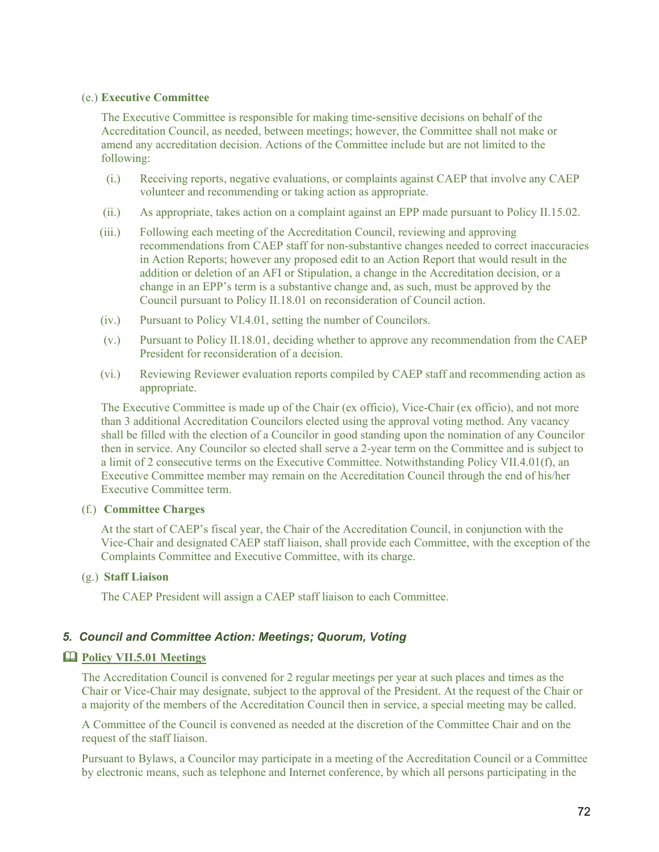#### (e.) **Executive Committee**

The Executive Committee is responsible for making time-sensitive decisions on behalf of the Accreditation Council, as needed, between meetings; however, the Committee shall not make or amend any accreditation decision. Actions of the Committee include but are not limited to the following:

- (i.) Receiving reports, negative evaluations, or complaints against CAEP that involve any CAEP volunteer and recommending or taking action as appropriate.
- (ii.) As appropriate, takes action on a complaint against an EPP made pursuant to Policy II.15.02.
- (iii.) Following each meeting of the Accreditation Council, reviewing and approving recommendations from CAEP staff for non-substantive changes needed to correct inaccuracies in Action Reports; however any proposed edit to an Action Report that would result in the addition or deletion of an AFI or Stipulation, a change in the Accreditation decision, or a change in an EPP's term is a substantive change and, as such, must be approved by the Council pursuant to Policy II.18.01 on reconsideration of Council action.
- (iv.) Pursuant to Policy VI.4.01, setting the number of Councilors.
- (v.) Pursuant to Policy II.18.01, deciding whether to approve any recommendation from the CAEP President for reconsideration of a decision.
- (vi.) Reviewing Reviewer evaluation reports compiled by CAEP staff and recommending action as appropriate.

The Executive Committee is made up of the Chair (ex officio), Vice-Chair (ex officio), and not more than 3 additional Accreditation Councilors elected using the approval voting method. Any vacancy shall be filled with the election of a Councilor in good standing upon the nomination of any Councilor then in service. Any Councilor so elected shall serve a 2-year term on the Committee and is subject to a limit of 2 consecutive terms on the Executive Committee. Notwithstanding Policy VII.4.01(f), an Executive Committee member may remain on the Accreditation Council through the end of his/her Executive Committee term.

#### (f.) **Committee Charges**

At the start of CAEP's fiscal year, the Chair of the Accreditation Council, in conjunction with the Vice-Chair and designated CAEP staff liaison, shall provide each Committee, with the exception of the Complaints Committee and Executive Committee, with its charge.

#### (g.) **Staff Liaison**

The CAEP President will assign a CAEP staff liaison to each Committee.

#### *5. Council and Committee Action: Meetings; Quorum, Voting*

#### **Policy VII.5.01 Meetings**

The Accreditation Council is convened for 2 regular meetings per year at such places and times as the Chair or Vice-Chair may designate, subject to the approval of the President. At the request of the Chair or a majority of the members of the Accreditation Council then in service, a special meeting may be called.

A Committee of the Council is convened as needed at the discretion of the Committee Chair and on the request of the staff liaison.

Pursuant to Bylaws, a Councilor may participate in a meeting of the Accreditation Council or a Committee by electronic means, such as telephone and Internet conference, by which all persons participating in the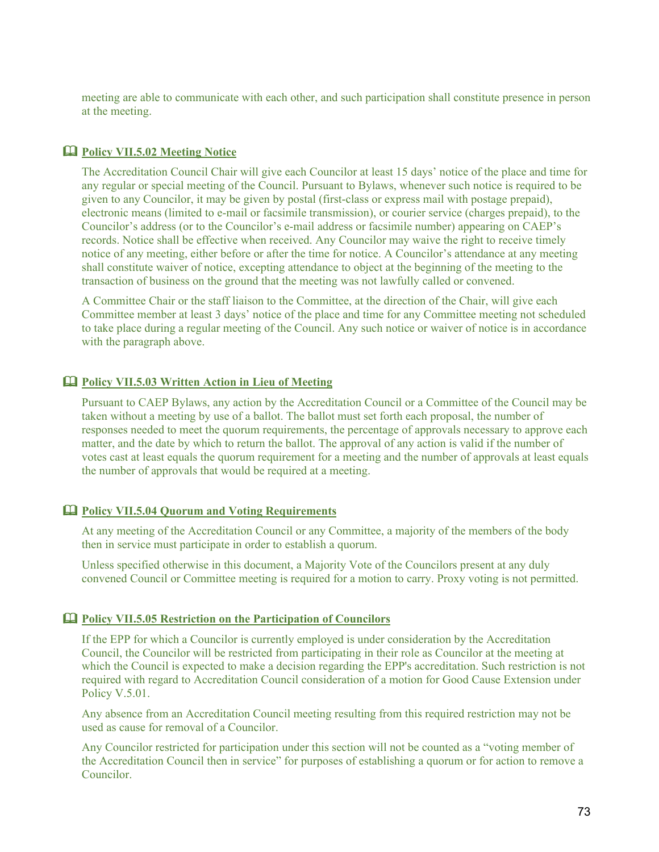meeting are able to communicate with each other, and such participation shall constitute presence in person at the meeting.

#### **Policy VII.5.02 Meeting Notice**

The Accreditation Council Chair will give each Councilor at least 15 days' notice of the place and time for any regular or special meeting of the Council. Pursuant to Bylaws, whenever such notice is required to be given to any Councilor, it may be given by postal (first-class or express mail with postage prepaid), electronic means (limited to e-mail or facsimile transmission), or courier service (charges prepaid), to the Councilor's address (or to the Councilor's e-mail address or facsimile number) appearing on CAEP's records. Notice shall be effective when received. Any Councilor may waive the right to receive timely notice of any meeting, either before or after the time for notice. A Councilor's attendance at any meeting shall constitute waiver of notice, excepting attendance to object at the beginning of the meeting to the transaction of business on the ground that the meeting was not lawfully called or convened.

A Committee Chair or the staff liaison to the Committee, at the direction of the Chair, will give each Committee member at least 3 days' notice of the place and time for any Committee meeting not scheduled to take place during a regular meeting of the Council. Any such notice or waiver of notice is in accordance with the paragraph above.

#### **Policy VII.5.03 Written Action in Lieu of Meeting**

Pursuant to CAEP Bylaws, any action by the Accreditation Council or a Committee of the Council may be taken without a meeting by use of a ballot. The ballot must set forth each proposal, the number of responses needed to meet the quorum requirements, the percentage of approvals necessary to approve each matter, and the date by which to return the ballot. The approval of any action is valid if the number of votes cast at least equals the quorum requirement for a meeting and the number of approvals at least equals the number of approvals that would be required at a meeting.

#### **Policy VII.5.04 Quorum and Voting Requirements**

At any meeting of the Accreditation Council or any Committee, a majority of the members of the body then in service must participate in order to establish a quorum.

Unless specified otherwise in this document, a Majority Vote of the Councilors present at any duly convened Council or Committee meeting is required for a motion to carry. Proxy voting is not permitted.

#### **Policy VII.5.05 Restriction on the Participation of Councilors**

If the EPP for which a Councilor is currently employed is under consideration by the Accreditation Council, the Councilor will be restricted from participating in their role as Councilor at the meeting at which the Council is expected to make a decision regarding the EPP's accreditation. Such restriction is not required with regard to Accreditation Council consideration of a motion for Good Cause Extension under Policy V.5.01.

Any absence from an Accreditation Council meeting resulting from this required restriction may not be used as cause for removal of a Councilor.

Any Councilor restricted for participation under this section will not be counted as a "voting member of the Accreditation Council then in service" for purposes of establishing a quorum or for action to remove a Councilor.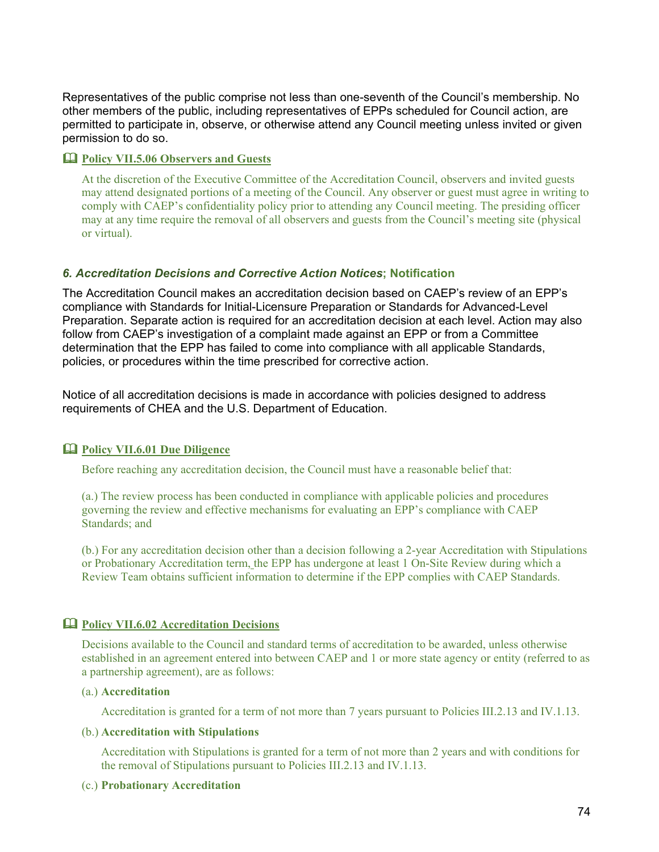Representatives of the public comprise not less than one-seventh of the Council's membership. No other members of the public, including representatives of EPPs scheduled for Council action, are permitted to participate in, observe, or otherwise attend any Council meeting unless invited or given permission to do so.

### **Policy VII.5.06 Observers and Guests**

At the discretion of the Executive Committee of the Accreditation Council, observers and invited guests may attend designated portions of a meeting of the Council. Any observer or guest must agree in writing to comply with CAEP's confidentiality policy prior to attending any Council meeting. The presiding officer may at any time require the removal of all observers and guests from the Council's meeting site (physical or virtual).

### *6. Accreditation Decisions and Corrective Action Notices***; Notification**

The Accreditation Council makes an accreditation decision based on CAEP's review of an EPP's compliance with Standards for Initial-Licensure Preparation or Standards for Advanced-Level Preparation. Separate action is required for an accreditation decision at each level. Action may also follow from CAEP's investigation of a complaint made against an EPP or from a Committee determination that the EPP has failed to come into compliance with all applicable Standards, policies, or procedures within the time prescribed for corrective action.

Notice of all accreditation decisions is made in accordance with policies designed to address requirements of CHEA and the U.S. Department of Education.

## **Policy VII.6.01 Due Diligence**

Before reaching any accreditation decision, the Council must have a reasonable belief that:

(a.) The review process has been conducted in compliance with applicable policies and procedures governing the review and effective mechanisms for evaluating an EPP's compliance with CAEP Standards; and

(b.) For any accreditation decision other than a decision following a 2-year Accreditation with Stipulations or Probationary Accreditation term, the EPP has undergone at least 1 On-Site Review during which a Review Team obtains sufficient information to determine if the EPP complies with CAEP Standards.

## **Policy VII.6.02 Accreditation Decisions**

Decisions available to the Council and standard terms of accreditation to be awarded, unless otherwise established in an agreement entered into between CAEP and 1 or more state agency or entity (referred to as a partnership agreement), are as follows:

### (a.) **Accreditation**

Accreditation is granted for a term of not more than 7 years pursuant to Policies III.2.13 and IV.1.13.

#### (b.) **Accreditation with Stipulations**

Accreditation with Stipulations is granted for a term of not more than 2 years and with conditions for the removal of Stipulations pursuant to Policies III.2.13 and IV.1.13.

#### (c.) **Probationary Accreditation**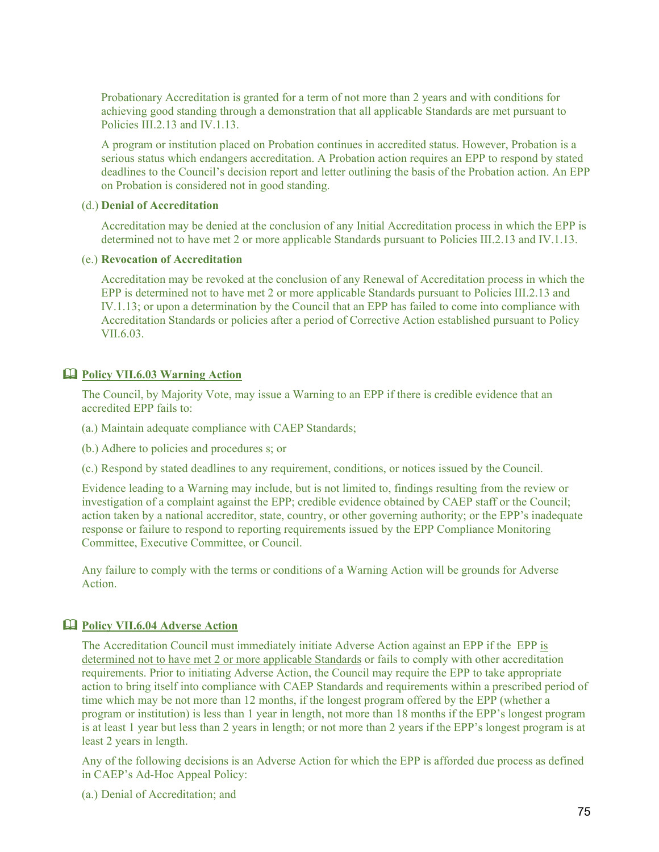Probationary Accreditation is granted for a term of not more than 2 years and with conditions for achieving good standing through a demonstration that all applicable Standards are met pursuant to Policies III.2.13 and IV.1.13.

A program or institution placed on Probation continues in accredited status. However, Probation is a serious status which endangers accreditation. A Probation action requires an EPP to respond by stated deadlines to the Council's decision report and letter outlining the basis of the Probation action. An EPP on Probation is considered not in good standing.

#### (d.) **Denial of Accreditation**

Accreditation may be denied at the conclusion of any Initial Accreditation process in which the EPP is determined not to have met 2 or more applicable Standards pursuant to Policies III.2.13 and IV.1.13.

#### (e.) **Revocation of Accreditation**

Accreditation may be revoked at the conclusion of any Renewal of Accreditation process in which the EPP is determined not to have met 2 or more applicable Standards pursuant to Policies III.2.13 and IV.1.13; or upon a determination by the Council that an EPP has failed to come into compliance with Accreditation Standards or policies after a period of Corrective Action established pursuant to Policy VII.6.03.

#### **Policy VII.6.03 Warning Action**

The Council, by Majority Vote, may issue a Warning to an EPP if there is credible evidence that an accredited EPP fails to:

- (a.) Maintain adequate compliance with CAEP Standards;
- (b.) Adhere to policies and procedures s; or
- (c.) Respond by stated deadlines to any requirement, conditions, or notices issued by the Council.

Evidence leading to a Warning may include, but is not limited to, findings resulting from the review or investigation of a complaint against the EPP; credible evidence obtained by CAEP staff or the Council; action taken by a national accreditor, state, country, or other governing authority; or the EPP's inadequate response or failure to respond to reporting requirements issued by the EPP Compliance Monitoring Committee, Executive Committee, or Council.

Any failure to comply with the terms or conditions of a Warning Action will be grounds for Adverse Action.

### **Policy VII.6.04 Adverse Action**

The Accreditation Council must immediately initiate Adverse Action against an EPP if the EPP is determined not to have met 2 or more applicable Standards or fails to comply with other accreditation requirements. Prior to initiating Adverse Action, the Council may require the EPP to take appropriate action to bring itself into compliance with CAEP Standards and requirements within a prescribed period of time which may be not more than 12 months, if the longest program offered by the EPP (whether a program or institution) is less than 1 year in length, not more than 18 months if the EPP's longest program is at least 1 year but less than 2 years in length; or not more than 2 years if the EPP's longest program is at least 2 years in length.

Any of the following decisions is an Adverse Action for which the EPP is afforded due process as defined in CAEP's Ad-Hoc Appeal Policy:

(a.) Denial of Accreditation; and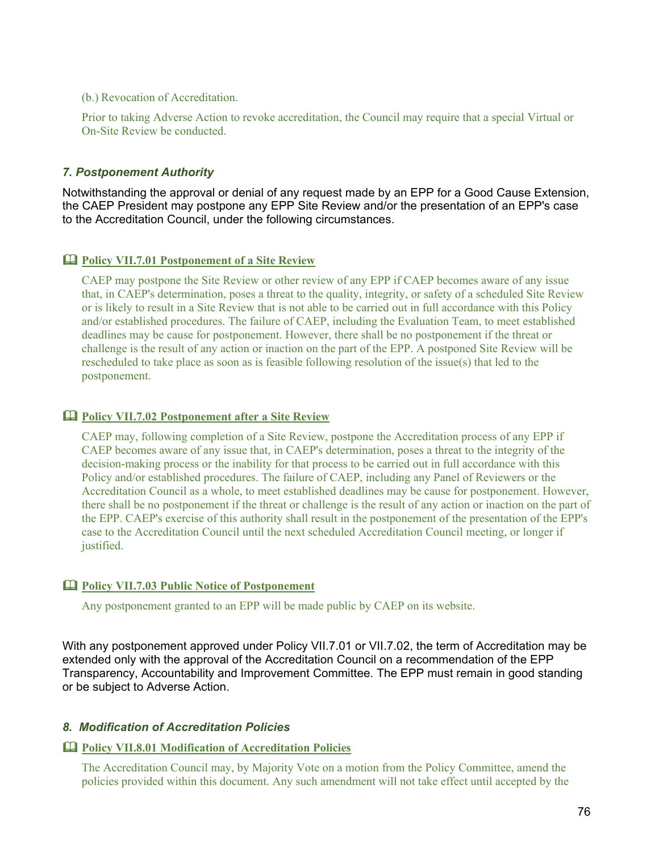(b.) Revocation of Accreditation.

Prior to taking Adverse Action to revoke accreditation, the Council may require that a special Virtual or On-Site Review be conducted.

## *7. Postponement Authority*

Notwithstanding the approval or denial of any request made by an EPP for a Good Cause Extension, the CAEP President may postpone any EPP Site Review and/or the presentation of an EPP's case to the Accreditation Council, under the following circumstances.

## **Policy VII.7.01 Postponement of a Site Review**

CAEP may postpone the Site Review or other review of any EPP if CAEP becomes aware of any issue that, in CAEP's determination, poses a threat to the quality, integrity, or safety of a scheduled Site Review or is likely to result in a Site Review that is not able to be carried out in full accordance with this Policy and/or established procedures. The failure of CAEP, including the Evaluation Team, to meet established deadlines may be cause for postponement. However, there shall be no postponement if the threat or challenge is the result of any action or inaction on the part of the EPP. A postponed Site Review will be rescheduled to take place as soon as is feasible following resolution of the issue(s) that led to the postponement.

### **Policy VII.7.02 Postponement after a Site Review**

CAEP may, following completion of a Site Review, postpone the Accreditation process of any EPP if CAEP becomes aware of any issue that, in CAEP's determination, poses a threat to the integrity of the decision-making process or the inability for that process to be carried out in full accordance with this Policy and/or established procedures. The failure of CAEP, including any Panel of Reviewers or the Accreditation Council as a whole, to meet established deadlines may be cause for postponement. However, there shall be no postponement if the threat or challenge is the result of any action or inaction on the part of the EPP. CAEP's exercise of this authority shall result in the postponement of the presentation of the EPP's case to the Accreditation Council until the next scheduled Accreditation Council meeting, or longer if justified.

## **Policy VII.7.03 Public Notice of Postponement**

Any postponement granted to an EPP will be made public by CAEP on its website.

With any postponement approved under Policy VII.7.01 or VII.7.02, the term of Accreditation may be extended only with the approval of the Accreditation Council on a recommendation of the EPP Transparency, Accountability and Improvement Committee. The EPP must remain in good standing or be subject to Adverse Action.

## *8. Modification of Accreditation Policies*

## **Policy VII.8.01 Modification of Accreditation Policies**

The Accreditation Council may, by Majority Vote on a motion from the Policy Committee, amend the policies provided within this document. Any such amendment will not take effect until accepted by the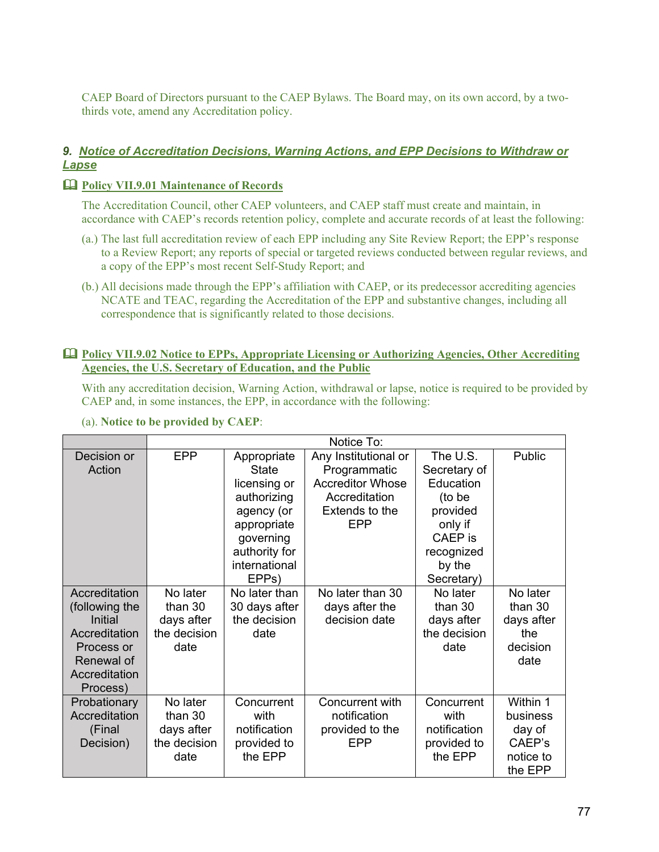CAEP Board of Directors pursuant to the CAEP Bylaws. The Board may, on its own accord, by a twothirds vote, amend any Accreditation policy.

## *9. Notice of Accreditation Decisions, Warning Actions, and EPP Decisions to Withdraw or Lapse*

### **Policy VII.9.01 Maintenance of Records**

The Accreditation Council, other CAEP volunteers, and CAEP staff must create and maintain, in accordance with CAEP's records retention policy, complete and accurate records of at least the following:

- (a.) The last full accreditation review of each EPP including any Site Review Report; the EPP's response to a Review Report; any reports of special or targeted reviews conducted between regular reviews, and a copy of the EPP's most recent Self-Study Report; and
- (b.) All decisions made through the EPP's affiliation with CAEP, or its predecessor accrediting agencies NCATE and TEAC, regarding the Accreditation of the EPP and substantive changes, including all correspondence that is significantly related to those decisions.

#### **Policy VII.9.02 Notice to EPPs, Appropriate Licensing or Authorizing Agencies, Other Accrediting Agencies, the U.S. Secretary of Education, and the Public**

With any accreditation decision, Warning Action, withdrawal or lapse, notice is required to be provided by CAEP and, in some instances, the EPP, in accordance with the following:

| (a). Notice to be provided by CAEP: |  |  |  |  |
|-------------------------------------|--|--|--|--|
|-------------------------------------|--|--|--|--|

|                | Notice To:   |                    |                         |              |            |
|----------------|--------------|--------------------|-------------------------|--------------|------------|
| Decision or    | <b>EPP</b>   | Appropriate        | Any Institutional or    | The U.S.     | Public     |
| Action         |              | State              | Programmatic            | Secretary of |            |
|                |              | licensing or       | <b>Accreditor Whose</b> | Education    |            |
|                |              | authorizing        | Accreditation           | (to be       |            |
|                |              | agency (or         | Extends to the          | provided     |            |
|                |              | appropriate        | <b>EPP</b>              | only if      |            |
|                |              | governing          |                         | CAEP is      |            |
|                |              | authority for      |                         | recognized   |            |
|                |              | international      |                         | by the       |            |
|                |              | EPP <sub>s</sub> ) |                         | Secretary)   |            |
| Accreditation  | No later     | No later than      | No later than 30        | No later     | No later   |
| (following the | than 30      | 30 days after      | days after the          | than 30      | than 30    |
| Initial        | days after   | the decision       | decision date           | days after   | days after |
| Accreditation  | the decision | date               |                         | the decision | the        |
| Process or     | date         |                    |                         | date         | decision   |
| Renewal of     |              |                    |                         |              | date       |
| Accreditation  |              |                    |                         |              |            |
| Process)       |              |                    |                         |              |            |
| Probationary   | No later     | Concurrent         | Concurrent with         | Concurrent   | Within 1   |
| Accreditation  | than 30      | with               | notification            | with         | business   |
| (Final         | days after   | notification       | provided to the         | notification | day of     |
| Decision)      | the decision | provided to        | EPP                     | provided to  | CAEP's     |
|                | date         | the EPP            |                         | the EPP      | notice to  |
|                |              |                    |                         |              | the EPP    |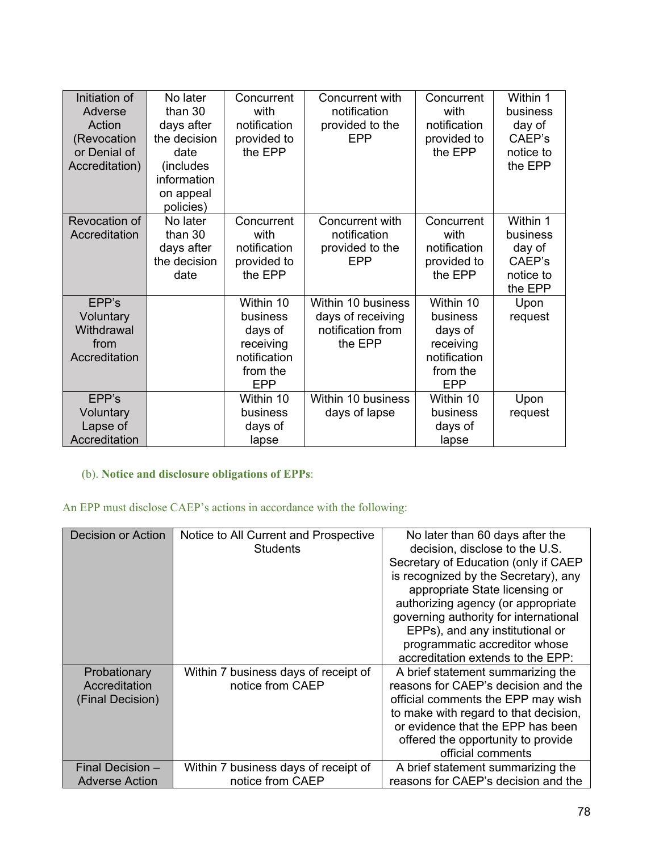| Initiation of<br>Adverse<br>Action<br>(Revocation<br>or Denial of<br>Accreditation) | No later<br>than 30<br>days after<br>the decision<br>date<br>(includes<br>information<br>on appeal<br>policies) | Concurrent<br>with<br>notification<br>provided to<br>the EPP                            | Concurrent with<br>notification<br>provided to the<br>EPP               | Concurrent<br>with<br>notification<br>provided to<br>the EPP                            | Within 1<br>business<br>day of<br>CAEP's<br>notice to<br>the EPP |
|-------------------------------------------------------------------------------------|-----------------------------------------------------------------------------------------------------------------|-----------------------------------------------------------------------------------------|-------------------------------------------------------------------------|-----------------------------------------------------------------------------------------|------------------------------------------------------------------|
| Revocation of<br>Accreditation                                                      | No later<br>than 30<br>days after<br>the decision<br>date                                                       | Concurrent<br>with<br>notification<br>provided to<br>the EPP                            | Concurrent with<br>notification<br>provided to the<br>EPP               | Concurrent<br>with<br>notification<br>provided to<br>the EPP                            | Within 1<br>business<br>day of<br>CAEP's<br>notice to<br>the EPP |
| EPP's<br>Voluntary<br>Withdrawal<br>from<br>Accreditation                           |                                                                                                                 | Within 10<br>business<br>days of<br>receiving<br>notification<br>from the<br><b>EPP</b> | Within 10 business<br>days of receiving<br>notification from<br>the EPP | Within 10<br>business<br>days of<br>receiving<br>notification<br>from the<br><b>EPP</b> | Upon<br>request                                                  |
| EPP's<br>Voluntary<br>Lapse of<br>Accreditation                                     |                                                                                                                 | Within 10<br>business<br>days of<br>lapse                                               | Within 10 business<br>days of lapse                                     | Within 10<br>business<br>days of<br>lapse                                               | Upon<br>request                                                  |

# (b). **Notice and disclosure obligations of EPPs**:

# An EPP must disclose CAEP's actions in accordance with the following:

| <b>Decision or Action</b>                         | Notice to All Current and Prospective<br>Students        | No later than 60 days after the<br>decision, disclose to the U.S.<br>Secretary of Education (only if CAEP<br>is recognized by the Secretary), any<br>appropriate State licensing or<br>authorizing agency (or appropriate<br>governing authority for international<br>EPPs), and any institutional or<br>programmatic accreditor whose<br>accreditation extends to the EPP: |
|---------------------------------------------------|----------------------------------------------------------|-----------------------------------------------------------------------------------------------------------------------------------------------------------------------------------------------------------------------------------------------------------------------------------------------------------------------------------------------------------------------------|
| Probationary<br>Accreditation<br>(Final Decision) | Within 7 business days of receipt of<br>notice from CAEP | A brief statement summarizing the<br>reasons for CAEP's decision and the<br>official comments the EPP may wish<br>to make with regard to that decision,<br>or evidence that the EPP has been<br>offered the opportunity to provide<br>official comments                                                                                                                     |
| Final Decision -                                  | Within 7 business days of receipt of                     | A brief statement summarizing the                                                                                                                                                                                                                                                                                                                                           |
| <b>Adverse Action</b>                             | notice from CAEP                                         | reasons for CAEP's decision and the                                                                                                                                                                                                                                                                                                                                         |